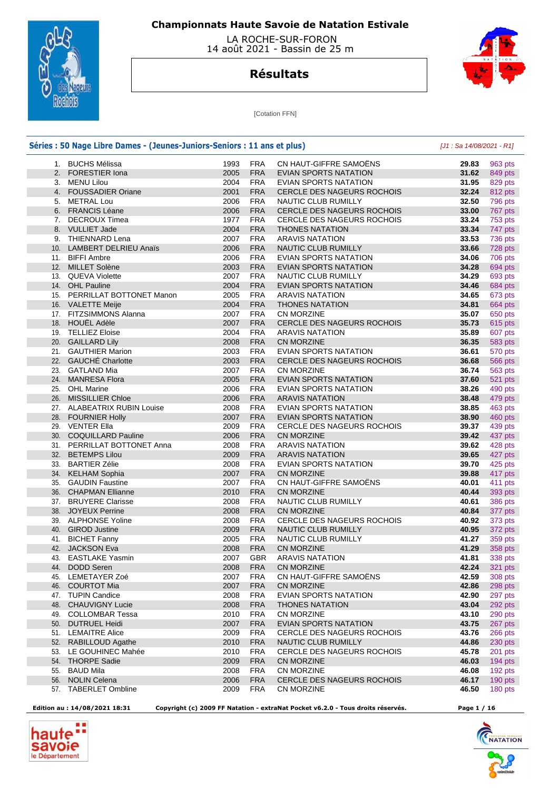

 LA ROCHE-SUR-FORON 14 août 2021 - Bassin de 25 m

## **Résultats**



[Cotation FFN]

|     | Séries : 50 Nage Libre Dames - (Jeunes-Juniors-Seniors : 11 ans et plus) |      |            |                                   | $[J1: Sa 14/08/2021 - R1]$ |
|-----|--------------------------------------------------------------------------|------|------------|-----------------------------------|----------------------------|
|     | 1. BUCHS Mélissa                                                         | 1993 | <b>FRA</b> | CN HAUT-GIFFRE SAMOENS            | 29.83                      |
|     | 2. FORESTIER Iona                                                        | 2005 | <b>FRA</b> | <b>EVIAN SPORTS NATATION</b>      | 31.62                      |
|     | 3. MENU Lilou                                                            | 2004 | <b>FRA</b> | EVIAN SPORTS NATATION             | 31.95                      |
|     | 4. FOUSSADIER Oriane                                                     | 2001 | <b>FRA</b> | CERCLE DES NAGEURS ROCHOIS        | 32.24                      |
|     | 5. METRAL Lou                                                            | 2006 | <b>FRA</b> | NAUTIC CLUB RUMILLY               | 32.50                      |
|     | 6. FRANCIS Léane                                                         | 2006 | <b>FRA</b> | <b>CERCLE DES NAGEURS ROCHOIS</b> | 33.00                      |
|     | 7. DECROUX Timea                                                         | 1977 | <b>FRA</b> | CERCLE DES NAGEURS ROCHOIS        | 33.24                      |
|     | 8. VULLIET Jade                                                          | 2004 | <b>FRA</b> | <b>THONES NATATION</b>            | 33.34                      |
|     | 9. THIENNARD Lena                                                        | 2007 | <b>FRA</b> | <b>ARAVIS NATATION</b>            | 33.53                      |
|     | 10. LAMBERT DELRIEU Anaïs                                                | 2006 | <b>FRA</b> | NAUTIC CLUB RUMILLY               | 33.66                      |
|     | 11. BIFFI Ambre                                                          | 2006 | <b>FRA</b> | EVIAN SPORTS NATATION             | 34.06                      |
|     | 12. MILLET Solène                                                        | 2003 | <b>FRA</b> | <b>EVIAN SPORTS NATATION</b>      | 34.28                      |
|     | 13. QUEVA Violette                                                       | 2007 | <b>FRA</b> | NAUTIC CLUB RUMILLY               | 34.29                      |
|     | 14. OHL Pauline                                                          | 2004 | <b>FRA</b> | <b>EVIAN SPORTS NATATION</b>      | 34.46                      |
|     |                                                                          |      |            |                                   |                            |
|     | 15. PERRILLAT BOTTONET Manon                                             | 2005 | <b>FRA</b> | <b>ARAVIS NATATION</b>            | 34.65                      |
|     | 16. VALETTE Meije                                                        | 2004 | <b>FRA</b> | <b>THONES NATATION</b>            | 34.81                      |
|     | 17. FITZSIMMONS Alanna                                                   | 2007 | <b>FRA</b> | CN MORZINE                        | 35.07                      |
|     | 18. HOUEL Adèle                                                          | 2007 | <b>FRA</b> | <b>CERCLE DES NAGEURS ROCHOIS</b> | 35.73                      |
|     | 19. TELLIEZ Eloise                                                       | 2004 | <b>FRA</b> | <b>ARAVIS NATATION</b>            | 35.89                      |
|     | 20. GAILLARD Lily                                                        | 2008 | <b>FRA</b> | <b>CN MORZINE</b>                 | 36.35                      |
|     | 21. GAUTHIER Marion                                                      | 2003 | <b>FRA</b> | EVIAN SPORTS NATATION             | 36.61                      |
|     | 22. GAUCHÉ Charlotte                                                     | 2003 | <b>FRA</b> | CERCLE DES NAGEURS ROCHOIS        | 36.68                      |
|     | 23. GATLAND Mia                                                          | 2007 | <b>FRA</b> | <b>CN MORZINE</b>                 | 36.74                      |
|     | 24. MANRESA Flora                                                        | 2005 | <b>FRA</b> | <b>EVIAN SPORTS NATATION</b>      | 37.60                      |
|     | 25. OHL Marine                                                           | 2006 | <b>FRA</b> | EVIAN SPORTS NATATION             | 38.26                      |
|     | 26. MISSILLIER Chloe                                                     | 2006 | <b>FRA</b> | <b>ARAVIS NATATION</b>            | 38.48                      |
|     | 27. ALABEATRIX RUBIN Louise                                              | 2008 | <b>FRA</b> | EVIAN SPORTS NATATION             | 38.85                      |
|     | 28. FOURNIER Holly                                                       | 2007 | <b>FRA</b> | <b>EVIAN SPORTS NATATION</b>      | 38.90                      |
|     | 29. VENTER Ella                                                          | 2009 | <b>FRA</b> | <b>CERCLE DES NAGEURS ROCHOIS</b> | 39.37                      |
|     | 30. COQUILLARD Pauline                                                   | 2006 | <b>FRA</b> | <b>CN MORZINE</b>                 | 39.42                      |
|     | 31. PERRILLAT BOTTONET Anna                                              | 2008 | <b>FRA</b> | <b>ARAVIS NATATION</b>            | 39.62                      |
|     | 32. BETEMPS Lilou                                                        | 2009 | <b>FRA</b> | <b>ARAVIS NATATION</b>            | 39.65                      |
|     | 33. BARTIER Zélie                                                        | 2008 | <b>FRA</b> | EVIAN SPORTS NATATION             | 39.70                      |
|     | 34. KELHAM Sophia                                                        | 2007 | <b>FRA</b> | <b>CN MORZINE</b>                 | 39.88                      |
| 35. | <b>GAUDIN Faustine</b>                                                   | 2007 | <b>FRA</b> | CN HAUT-GIFFRE SAMOËNS            | 40.01                      |
|     | 36. CHAPMAN Ellianne                                                     | 2010 | <b>FRA</b> | <b>CN MORZINE</b>                 | 40.44                      |
|     |                                                                          |      |            |                                   |                            |
|     | 37. BRUYERE Clarisse                                                     | 2008 | <b>FRA</b> | NAUTIC CLUB RUMILLY               | 40.61                      |
|     | 38. JOYEUX Perrine                                                       | 2008 | <b>FRA</b> | CN MORZINE                        | 40.84                      |
|     | 39. ALPHONSE Yoline                                                      | 2008 | <b>FRA</b> | <b>CERCLE DES NAGEURS ROCHOIS</b> | 40.92                      |
|     | 40. GIROD Justine                                                        | 2009 | <b>FRA</b> | NAUTIC CLUB RUMILLY               | 40.95                      |
|     | 41. BICHET Fanny                                                         | 2005 | <b>FRA</b> | NAUTIC CLUB RUMILLY               | 41.27                      |
|     | 42. JACKSON Eva                                                          | 2008 | <b>FRA</b> | CN MORZINE                        | 41.29                      |
|     | 43. EASTLAKE Yasmin                                                      | 2007 | <b>GBR</b> | <b>ARAVIS NATATION</b>            | 41.81                      |
|     | 44. DODD Seren                                                           | 2008 | <b>FRA</b> | CN MORZINE                        | 42.24                      |
|     | 45. LEMETAYER Zoé                                                        | 2007 | <b>FRA</b> | CN HAUT-GIFFRE SAMOËNS            | 42.59                      |
|     | 46. COURTOT Mia                                                          | 2007 | <b>FRA</b> | <b>CN MORZINE</b>                 | 42.86                      |
|     | 47. TUPIN Candice                                                        | 2008 | <b>FRA</b> | EVIAN SPORTS NATATION             | 42.90                      |
|     | 48. CHAUVIGNY Lucie                                                      | 2008 | <b>FRA</b> | <b>THONES NATATION</b>            | 43.04                      |
|     | 49. COLLOMBAR Tessa                                                      | 2010 | <b>FRA</b> | CN MORZINE                        | 43.10                      |
|     | 50. DUTRUEL Heidi                                                        | 2007 | <b>FRA</b> | <b>EVIAN SPORTS NATATION</b>      | 43.75                      |
|     | 51. LEMAITRE Alice                                                       | 2009 | <b>FRA</b> | CERCLE DES NAGEURS ROCHOIS        | 43.76                      |
|     | 52. RABILLOUD Agathe                                                     | 2010 | <b>FRA</b> | NAUTIC CLUB RUMILLY               | 44.86                      |
|     | 53. LE GOUHINEC Mahée                                                    | 2010 | <b>FRA</b> | CERCLE DES NAGEURS ROCHOIS        | 45.78                      |
|     | 54. THORPE Sadie                                                         | 2009 | <b>FRA</b> | CN MORZINE                        | 46.03                      |
|     |                                                                          |      |            |                                   |                            |
|     | 55. BAUD Mila                                                            | 2008 | <b>FRA</b> | CN MORZINE                        | 46.08                      |
|     | 56. NOLIN Celena                                                         | 2006 | <b>FRA</b> | CERCLE DES NAGEURS ROCHOIS        | 46.17                      |
|     | 57. TABERLET Ombline                                                     | 2009 | <b>FRA</b> | CN MORZINE                        | 46.50                      |



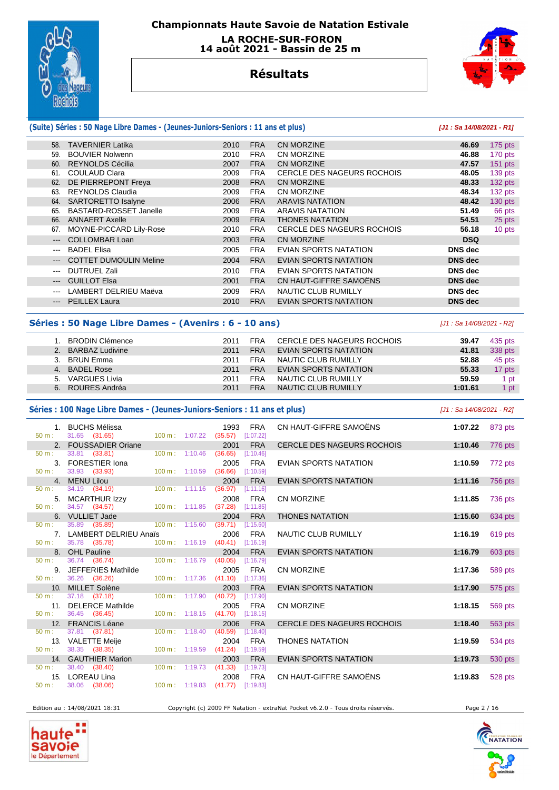

 **LA ROCHE-SUR-FORON 14 août 2021 - Bassin de 25 m** 



# **Résultats**

#### **(Suite) Séries : 50 Nage Libre Dames - (Jeunes-Juniors-Seniors : 11 ans et plus) [J1 : Sa 14/08/2021 - R1]** 58. TAVERNIER Latika 2010 FRA CN MORZINE **46.69** 175 pts 59. BOUVIER Nolwenn 2010 FRA CN MORZINE **46.88** 170 pts 60. REYNOLDS Cécilia 2007 FRA CN MORZINE **47.57** 151 pts 61. COULAUD Clara 2009 FRA CERCLE DES NAGEURS ROCHOIS **48.05** 139 pts 62. DE PIERREPONT Freya 63. REYNOLDS Claudia 2009 FRA CN MORZINE **48.34** 132 pts 64. SARTORETTO Isalyne 2006 FRA ARAVIS NATATION **48.42** 130 pts 65. BASTARD-ROSSET Janelle 2009 FRA ARAVIS NATATION **51.49** 66 pts 66. ANNAERT Axelle 2009 FRA THONES NATATION **54.51** 25 pts 67. MOYNE-PICCARD Lily-Rose 2010 FRA CERCLE DES NAGEURS ROCHOIS **56.18** 10 pts --- COLLOMBAR Loan 2003 FRA CN MORZINE **DSQ**  --- BADEL Elisa 2005 FRA EVIAN SPORTS NATATION **DNS dec**  --- COTTET DUMOULIN Meline 2004 FRA EVIAN SPORTS NATATION **DNS dec**  --- DUTRUEL Zali 2010 FRA EVIAN SPORTS NATATION **DNS dec**  --- GUILLOT Elsa 2001 FRA CN HAUT-GIFFRE SAMOËNS **DNS dec**  --- LAMBERT DELRIEU Maëva 2009 FRA NAUTIC CLUB RUMILLY **DNS dec**

### **Séries : 50 Nage Libre Dames - (Avenirs : 6 - 10 ans)** [J1 : Sa 14/08/2021 - R2]

|             | <b>BRODIN Clémence</b> | 2011 | FRA        | CERCLE DES NAGEURS ROCHOIS | 39.47   | 435 pts |
|-------------|------------------------|------|------------|----------------------------|---------|---------|
| $2^{\circ}$ | <b>BARBAZ Ludivine</b> | 2011 | <b>FRA</b> | EVIAN SPORTS NATATION      | 41.81   | 338 pts |
|             | BRUN Emma              | 2011 | <b>FRA</b> | NAUTIC CLUB RUMILLY        | 52.88   | 45 pts  |
| 4.          | <b>BADEL Rose</b>      | 2011 | <b>FRA</b> | EVIAN SPORTS NATATION      | 55.33   | 17 pts  |
|             | 5. VARGUES Livia       | 2011 | <b>FRA</b> | NAUTIC CLUB RUMILLY        | 59.59   | 1 pt    |
| 6.          | ROURES Andréa          | 2011 | <b>FRA</b> | NAUTIC CLUB RUMILLY        | 1:01.61 | 1 pt    |

--- PEILLEX Laura 2010 FRA EVIAN SPORTS NATATION **DNS dec** 

#### **Séries : 100 Nage Libre Dames - (Jeunes-Juniors-Seniors : 11 ans et plus)** [J1 : Sa 14/08/2021 - R2]

| $50 \text{ m}$ : | 1. BUCHS Mélissa<br>31.65 (31.65)         |                                  | 1993<br>100 m: 1:07.22 (35.57) [1:07.22] | <b>FRA</b> | CN HAUT-GIFFRE SAMOËNS            | 1:07.22 | 873 pts |
|------------------|-------------------------------------------|----------------------------------|------------------------------------------|------------|-----------------------------------|---------|---------|
|                  | 2. FOUSSADIER Oriane                      |                                  | 2001                                     | <b>FRA</b> | <b>CERCLE DES NAGEURS ROCHOIS</b> | 1:10.46 | 776 pts |
| 50 m:            | 33.81 (33.81)                             | $100 \text{ m}$ : 1:10.46        | (36.65)                                  | [1:10.46]  |                                   |         |         |
|                  | 3. FORESTIER Iona                         |                                  | 2005                                     | <b>FRA</b> | <b>EVIAN SPORTS NATATION</b>      | 1:10.59 | 772 pts |
| $50 m$ :         | 33.93 (33.93)                             | $100 \text{ m}: 1:10.59$         | (36.66)                                  | [1:10.59]  |                                   |         |         |
|                  | 4. MENU Lilou                             |                                  | 2004                                     | <b>FRA</b> | EVIAN SPORTS NATATION             | 1:11.16 | 756 pts |
| 50 m:            | 34.19 (34.19)                             |                                  | 100 m: 1:11.16 (36.97) [1:11.16]         |            |                                   |         |         |
|                  | 5. MCARTHUR Izzy                          |                                  | 2008                                     | <b>FRA</b> | <b>CN MORZINE</b>                 | 1:11.85 | 736 pts |
| $50 m$ :         | 34.57 (34.57)                             | $100 \text{ m}: 1:11.85$ (37.28) |                                          | [1:11.85]  |                                   |         |         |
|                  | 6. VULLIET Jade                           |                                  | 2004                                     | <b>FRA</b> | <b>THONES NATATION</b>            | 1:15.60 | 634 pts |
| $50 \text{ m}$ : | 35.89 (35.89)                             | $100 \text{ m}: 1:15.60$ (39.71) |                                          | [1:15.60]  |                                   |         |         |
| 50 m:            | 7. LAMBERT DELRIEU Anaïs<br>35.78 (35.78) |                                  | 2006<br>100 m: 1:16.19 (40.41) [1:16.19] | FRA        | NAUTIC CLUB RUMILLY               | 1:16.19 | 619 pts |
|                  | 8. OHL Pauline                            |                                  | 2004                                     | <b>FRA</b> | <b>EVIAN SPORTS NATATION</b>      | 1:16.79 |         |
| 50 m:            | 36.74 (36.74)                             | $100 \text{ m}: 1:16.79$ (40.05) |                                          | [1:16.79]  |                                   |         | 603 pts |
|                  | 9. JEFFERIES Mathilde                     |                                  | 2005                                     | FRA        | <b>CN MORZINE</b>                 | 1:17.36 | 589 pts |
| $50 \text{ m}$ : | 36.26 (36.26)                             |                                  | 100 m: 1:17.36 (41.10) [1:17.36]         |            |                                   |         |         |
|                  | 10. MILLET Solène                         |                                  | 2003                                     | <b>FRA</b> | <b>EVIAN SPORTS NATATION</b>      | 1:17.90 | 575 pts |
| $50 \text{ m}$ : | $37.18$ $(37.18)$                         | 100 m: 1:17.90                   | (40.72)                                  | [1:17.90]  |                                   |         |         |
|                  | 11. DELERCE Mathilde                      |                                  | 2005                                     | <b>FRA</b> | <b>CN MORZINE</b>                 | 1:18.15 | 569 pts |
| 50 m:            | 36.45 (36.45)                             | $100 \text{ m}: 1:18.15 (41.70)$ |                                          | [1:18.15]  |                                   |         |         |
|                  | 12. FRANCIS Léane                         |                                  | 2006                                     | <b>FRA</b> | <b>CERCLE DES NAGEURS ROCHOIS</b> | 1:18.40 | 563 pts |
| 50 m:            | 37.81 (37.81)                             | $100 \text{ m}: 1:18.40$         | (40.59)                                  | [1:18.40]  |                                   |         |         |
|                  | 13. VALETTE Meije                         |                                  | 2004                                     | <b>FRA</b> | <b>THONES NATATION</b>            | 1:19.59 | 534 pts |
| $50 m$ :         | 38.35 (38.35)                             | $100 \text{ m}: 1:19.59$ (41.24) |                                          | [1:19.59]  |                                   |         |         |
|                  | 14. GAUTHIER Marion                       |                                  | 2003                                     | <b>FRA</b> | <b>EVIAN SPORTS NATATION</b>      | 1:19.73 | 530 pts |
| 50 m:            | 38.40 (38.40)                             |                                  | 100 m: 1:19.73 (41.33) [1:19.73]         |            |                                   |         |         |
|                  | 15. LOREAU Lina                           |                                  | 2008                                     | <b>FRA</b> | CN HAUT-GIFFRE SAMOËNS            | 1:19.83 | 528 pts |
| 50 m:            | 38.06 (38.06)                             |                                  | 100 m: 1:19.83 (41.77) [1:19.83]         |            |                                   |         |         |

Edition au : 14/08/2021 18:31 Copyright (c) 2009 FF Natation - extraNat Pocket v6.2.0 - Tous droits réservés. Page 2 / 16



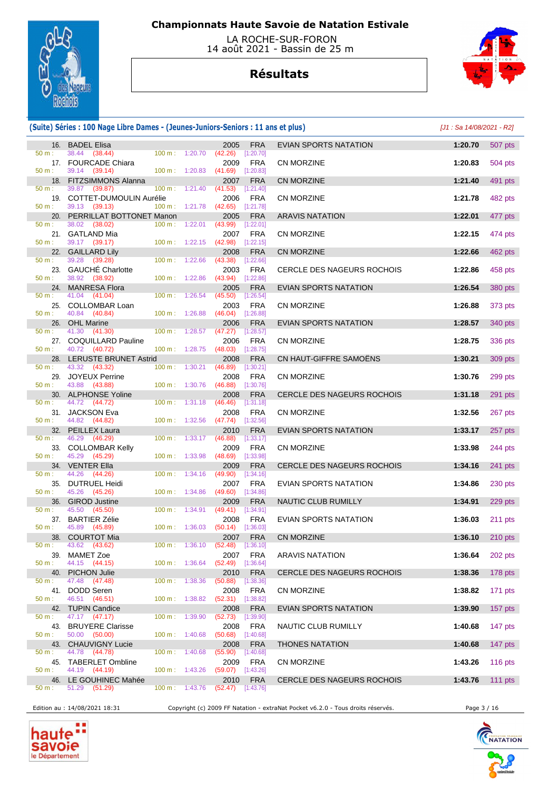

 LA ROCHE-SUR-FORON 14 août 2021 - Bassin de 25 m

# **Résultats**



### **(Suite) Séries : 100 Nage Libre Dames - (Jeunes-Juniors-Seniors : 11 ans et plus)** [J1 : Sa 14/08/2021 - R2]

|              | 16. BADEL Elisa                               |        |                                  | 2005                                     | <b>FRA</b>                | EVIAN SPORTS NATATION             | 1:20.70 | 507 pts   |
|--------------|-----------------------------------------------|--------|----------------------------------|------------------------------------------|---------------------------|-----------------------------------|---------|-----------|
| 50 m:        | 38.44 (38.44)<br>17. FOURCADE Chiara          |        | 100 m: 1:20.70                   | (42.26)<br>2009                          | $[1:20.70]$<br><b>FRA</b> | <b>CN MORZINE</b>                 | 1:20.83 | 504 pts   |
| $50 m$ :     | 39.14 (39.14)<br>18. FITZSIMMONS Alanna       |        | $100 \text{ m}: 1:20.83$         | $(41.69)$ [1:20.83]<br>2007              | <b>FRA</b>                | <b>CN MORZINE</b>                 | 1:21.40 | 491 pts   |
| 50 m:        | 39.87 (39.87)<br>19. COTTET-DUMOULIN Aurélie  |        | 100 m: 1:21.40                   | (41.53)<br>2006                          | [1:21.40]<br><b>FRA</b>   | <b>CN MORZINE</b>                 | 1:21.78 | 482 pts   |
| 50 m:        | 39.13 (39.13)<br>20. PERRILLAT BOTTONET Manon |        | $100 \text{ m}: 1:21.78$ (42.65) | 2005                                     | [1:21.78]<br><b>FRA</b>   | <b>ARAVIS NATATION</b>            | 1:22.01 | 477 pts   |
| 50 m:        | 38.02 (38.02)                                 | 100 m: | 1:22.01                          | (43.99)                                  | [1:22.01]                 |                                   |         |           |
| 50 m:        | 21. GATLAND Mia<br>39.17 (39.17)              |        | 100 m: 1:22.15                   | 2007<br>(42.98)                          | <b>FRA</b><br>[1:22.15]   | CN MORZINE                        | 1:22.15 | 474 pts   |
| 50 m:        | 22. GAILLARD Lily<br>39.28 (39.28)            |        | $100 \text{ m}: 1:22.66$         | 2008<br>(43.38)                          | <b>FRA</b><br>[1:22.66]   | <b>CN MORZINE</b>                 | 1:22.66 | 462 pts   |
| 50 m:        | 23. GAUCHÉ Charlotte<br>38.92 (38.92)         |        | $100 \text{ m}: 1:22.86$         | 2003<br>$(43.94)$ [1:22.86]              | <b>FRA</b>                | <b>CERCLE DES NAGEURS ROCHOIS</b> | 1:22.86 | 458 pts   |
|              | 24. MANRESA Flora                             |        |                                  | 2005                                     | <b>FRA</b>                | EVIAN SPORTS NATATION             | 1:26.54 | 380 pts   |
| 50 m:<br>25. | 41.04<br>(41.04)<br><b>COLLOMBAR Loan</b>     |        | $100 \text{ m}: 1:26.54$         | (45.50)<br>2003                          | [1:26.54]<br><b>FRA</b>   | CN MORZINE                        | 1:26.88 | 373 pts   |
| 50 m:        | 40.84 (40.84)<br>26. OHL Marine               |        | 100 m: 1:26.88                   | $(46.04)$ [1:26.88]<br>2006              | <b>FRA</b>                | <b>EVIAN SPORTS NATATION</b>      | 1:28.57 | 340 pts   |
| 50 m:        | 41.30 (41.30)<br>27. COQUILLARD Pauline       |        | 100 m: 1:28.57                   | (47.27)<br>2006                          | [1:28.57]<br><b>FRA</b>   | <b>CN MORZINE</b>                 | 1:28.75 | 336 pts   |
| 50 m:        | 40.72 (40.72)                                 |        | $100 m$ : 1:28.75                | (48.03)                                  | [1:28.75]                 |                                   |         |           |
| 50 m:        | 28. LERUSTE BRUNET Astrid<br>43.32 (43.32)    |        | 100 m: 1:30.21                   | 2008<br>(46.89)                          | <b>FRA</b><br>[1:30.21]   | CN HAUT-GIFFRE SAMOENS            | 1:30.21 | 309 pts   |
| 50 m:        | 29. JOYEUX Perrine<br>43.88 (43.88)           |        | 100 m: 1:30.76                   | 2008<br>(46.88)                          | <b>FRA</b><br>[1:30.76]   | CN MORZINE                        | 1:30.76 | 299 pts   |
| 50 m:        | 30. ALPHONSE Yoline<br>44.72 (44.72)          |        | 100 m: 1:31.18                   | 2008<br>(46.46)                          | <b>FRA</b><br>[1:31.18]   | <b>CERCLE DES NAGEURS ROCHOIS</b> | 1:31.18 | 291 pts   |
|              | 31. JACKSON Eva                               |        |                                  | 2008                                     | <b>FRA</b>                | <b>CN MORZINE</b>                 | 1:32.56 | 267 pts   |
| 50 m:        | 44.82 (44.82)<br>32. PEILLEX Laura            |        | 100 m: 1:32.56                   | $(47.74)$ [1:32.56]<br>2010              | <b>FRA</b>                | <b>EVIAN SPORTS NATATION</b>      | 1:33.17 | 257 pts   |
| 50 m:        | 46.29 (46.29)<br>33. COLLOMBAR Kelly          |        | 100 m: 1:33.17                   | (46.88)<br>2009                          | [1:33.17]<br><b>FRA</b>   | <b>CN MORZINE</b>                 | 1:33.98 | 244 pts   |
| $50 m$ :     | 45.29 (45.29)<br>34. VENTER Ella              |        | 100 m: 1:33.98                   | $(48.69)$ [1:33.98]<br>2009              | <b>FRA</b>                | CERCLE DES NAGEURS ROCHOIS        | 1:34.16 | 241 pts   |
| 50 m:        | 44.26 (44.26)                                 |        | $100 \text{ m}: 1:34.16$         | (49.90)                                  | [1:34.16]                 |                                   |         |           |
| 50 m:        | 35. DUTRUEL Heidi<br>45.26 (45.26)            |        | $100 \text{ m}: 1:34.86$         | 2007<br>(49.60)                          | <b>FRA</b><br>[1:34.86]   | EVIAN SPORTS NATATION             | 1:34.86 | 230 pts   |
| 36.<br>50 m: | <b>GIROD Justine</b><br>45.50<br>(45.50)      |        | 100 m: 1:34.91                   | 2009<br>(49.41)                          | <b>FRA</b><br>[1:34.91]   | NAUTIC CLUB RUMILLY               | 1:34.91 | 229 pts   |
| 50 m:        | 37. BARTIER Zélie<br>45.89 (45.89)            |        | $100 \text{ m}: 1:36.03$         | 2008<br>(50.14)                          | <b>FRA</b><br>[1:36.03]   | <b>EVIAN SPORTS NATATION</b>      | 1:36.03 | 211 pts   |
|              | 38. COURTOT Mia                               |        |                                  | 2007                                     | <b>FRA</b>                | <b>CN MORZINE</b>                 | 1:36.10 | $210$ pts |
| 50 m:        | 43.62 (43.62)<br>39. MAMET Zoe                |        | 100 m: 1:36.10                   | $(52.48)$ [1:36.10]<br>2007 FRA          |                           | <b>ARAVIS NATATION</b>            | 1:36.64 | 202 pts   |
| 50 m :       | 44.15 (44.15)<br>40. PICHON Julie             |        |                                  | 100 m: 1:36.64 (52.49) [1:36.64]<br>2010 | <b>FRA</b>                | CERCLE DES NAGEURS ROCHOIS        | 1:38.36 | 178 pts   |
| 50 m:        | 47.48 (47.48)                                 |        | $100 \text{ m}: 1:38.36$         | $(50.88)$ [1:38.36]<br>2008              | FRA                       | <b>CN MORZINE</b>                 | 1:38.82 | 171 pts   |
| 50 m:        | 41. DODD Seren<br>46.51 (46.51)               |        | 100 m: 1:38.82                   | $(52.31)$ [1:38.82]                      |                           |                                   |         |           |
| 50 m:        | 42. TUPIN Candice<br>47.17 (47.17)            |        | 100 m: 1:39.90                   | 2008<br>(52.73)                          | <b>FRA</b><br>[1:39.90]   | <b>EVIAN SPORTS NATATION</b>      | 1:39.90 | 157 pts   |
| $50 m$ :     | 43. BRUYERE Clarisse<br>50.00 (50.00)         |        | $100 \text{ m}: 1:40.68$         | 2008<br>$(50.68)$ [1:40.68]              | <b>FRA</b>                | NAUTIC CLUB RUMILLY               | 1:40.68 | 147 pts   |
| 50 m:        | 43. CHAUVIGNY Lucie<br>44.78 (44.78)          |        | 100 m: 1:40.68                   | 2008                                     | <b>FRA</b>                | <b>THONES NATATION</b>            | 1:40.68 | 147 pts   |
|              | 45. TABERLET Ombline                          |        |                                  | (55.90)<br>2009                          | [1:40.68]<br><b>FRA</b>   | CN MORZINE                        | 1:43.26 | 116 $pts$ |
| $50 m$ :     | 44.19 (44.19)<br>46. LE GOUHINEC Mahée        |        | $100 \text{ m}: 1:43.26$         | $(59.07)$ [1:43.26]<br>2010              | <b>FRA</b>                | CERCLE DES NAGEURS ROCHOIS        | 1:43.76 | 111 pts   |
| $50 m$ :     | 51.29 (51.29)                                 |        | $100 \text{ m}: 1:43.76$         | $(52.47)$ [1:43.76]                      |                           |                                   |         |           |

Edition au : 14/08/2021 18:31 Copyright (c) 2009 FF Natation - extraNat Pocket v6.2.0 - Tous droits réservés. Page 3 / 16



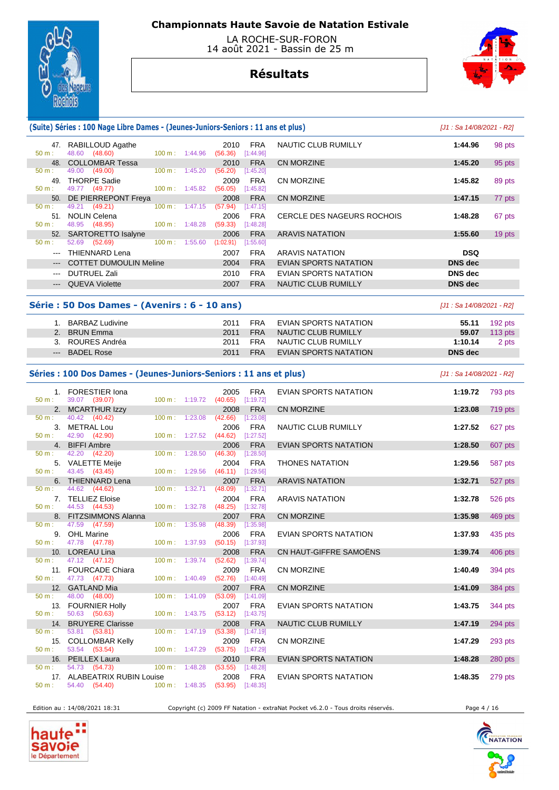

 LA ROCHE-SUR-FORON 14 août 2021 - Bassin de 25 m

## **Résultats**



### **(Suite) Séries : 100 Nage Libre Dames - (Jeunes-Juniors-Seniors : 11 ans et plus)** [J1 : Sa 14/08/2021 - R2]

| 48.60<br>(48.60)<br>$50 m$ :<br>1:44.96<br>$100 \text{ m}$ :<br>(56.36)<br>[1:44.96]                           |        |
|----------------------------------------------------------------------------------------------------------------|--------|
|                                                                                                                |        |
| <b>COLLOMBAR Tessa</b><br><b>FRA</b><br>CN MORZINE<br>1:45.20<br>48.<br>2010                                   | 95 pts |
| (49.00)<br>49.00<br>$100 \text{ m}$ :<br>1:45.20<br>$50 m$ :<br>(56.20)<br>[1:45.20]                           |        |
| <b>THORPE Sadie</b><br><b>FRA</b><br>49<br>CN MORZINE<br>1:45.82<br>2009                                       | 89 pts |
| 49.77<br>(49.77)<br>100 m: 1:45.82<br>(56.05)<br>[1:45.82]<br>$50 m$ :                                         |        |
| CN MORZINE<br>DE PIERREPONT Freya<br><b>FRA</b><br>1:47.15<br>50.<br>2008                                      | 77 pts |
| (49.21)<br>100 m:<br>49.21<br>1:47.15<br>[1:47.15]<br>$50 m$ :<br>(57.94)                                      |        |
| <b>NOLIN Celena</b><br><b>FRA</b><br>CERCLE DES NAGEURS ROCHOIS<br>51<br>2006<br>1:48.28                       | 67 pts |
| 48.95 (48.95)<br>$50 m$ :<br>$100 \text{ m}$ :<br>1:48.28<br>(59.33)<br>[1:48.28]                              |        |
| <b>FRA</b><br>SARTORETTO Isalyne<br><b>ARAVIS NATATION</b><br>1:55.60<br>52.<br>2006                           | 19 pts |
| 52.69<br>(52.69)<br>$100 \text{ m}$ :<br>1:55.60<br>$50 m$ :<br>(1:02.91)<br>[1:55.60]                         |        |
| <b>FRA</b><br><b>DSQ</b><br>THIENNARD Lena<br>2007<br>ARAVIS NATATION<br>$---$                                 |        |
| <b>FRA</b><br><b>COTTET DUMOULIN Meline</b><br>EVIAN SPORTS NATATION<br>2004<br><b>DNS</b> dec<br>$---$        |        |
| <b>FRA</b><br><b>DNS</b> dec<br><b>DUTRUEL Zali</b><br>2010<br>EVIAN SPORTS NATATION<br>$---$                  |        |
| <b>FRA</b><br><b>DNS</b> dec<br><b>QUEVA Violette</b><br>NAUTIC CLUB RUMILLY<br>2007<br>$\qquad \qquad \cdots$ |        |

### **Série : 50 Dos Dames - (Avenirs : 6 - 10 ans)** [J1 : Sa 14/08/2021 - R2]

| BARBAZ Ludivine  | 2011 | FRA        | EVIAN SPORTS NATATION | 55.11   | $192$ pts |
|------------------|------|------------|-----------------------|---------|-----------|
| 2. BRUN Emma     | 2011 | <b>FRA</b> | NAUTIC CLUB RUMILLY   | 59.07   | $113$ pts |
| 3. ROURES Andréa | 2011 | FRA        | NAUTIC CLUB RUMILLY   | 1:10.14 | 2 pts     |
| --- BADEL Rose   | 2011 | <b>FRA</b> | EVIAN SPORTS NATATION | DNS dec |           |

### **Séries : 100 Dos Dames - (Jeunes-Juniors-Seniors : 11 ans et plus)** [J1 : Sa 14/08/2021 - R2]

|                  | 1. FORESTIER Iona                          |                           |         | 2005 FRA                                   |
|------------------|--------------------------------------------|---------------------------|---------|--------------------------------------------|
| 50 m:            | 39.07 (39.07)                              | 100 m: 1:19.72            |         | $(40.65)$ [1:19.72]                        |
| 2.               | <b>MCARTHUR Izzy</b>                       |                           |         | 2008<br><b>FRA</b>                         |
|                  | 40.42 (40.42)                              | $100 \text{ m}$ :         | 1:23.08 | (42.66)<br>[1:23.08]                       |
| 3.               | <b>METRAL Lou</b>                          |                           |         | 2006<br><b>FRA</b>                         |
| 50 m:            | 42.90 (42.90)                              | $100 \text{ m}$ :         | 1:27.52 | (44.62)<br>[1:27.52]                       |
| 4 <sup>1</sup>   | <b>BIFFI Ambre</b>                         |                           |         | <b>FRA</b><br>2006                         |
| 50 m:            | 42.20 (42.20)                              | $100 m$ :                 | 1:28.50 | $(46.30)$ [1:28.50]                        |
| 5.               | <b>VALETTE Meije</b>                       |                           |         | 2004<br><b>FRA</b>                         |
| $50 \text{ m}$ : | 43.45 (43.45)                              | $100 \text{ m}$ :         | 1:29.56 | (46.11)<br>[1:29.56]                       |
| 6.               | <b>THIENNARD Lena</b>                      |                           |         | <b>FRA</b><br>2007                         |
| 50 m:            | 44.62 (44.62)                              | $100 \text{ m}$ :         | 1:32.71 | $(48.09)$ [1:32.71]                        |
| 7.               | <b>TELLIEZ Eloise</b>                      |                           |         | 2004<br><b>FRA</b>                         |
| 50 m:            | 44.53 (44.53)                              | $100 \text{ m}$ :         | 1:32.78 | $(48.25)$ [1:32.78]                        |
| 8.               | <b>FITZSIMMONS Alanna</b>                  |                           |         | 2007 FRA                                   |
| 50 m :           | 47.59<br>(47.59)                           | $100 \text{ m}$ :         | 1:35.98 | (48.39)<br>[1:35.98]                       |
| 9.               | <b>OHL Marine</b>                          |                           |         | <b>FRA</b><br>2006                         |
| 50 m:            | 47.78 (47.78)                              | 100 m:                    | 1:37.93 | (50.15)<br>[1:37.93]                       |
| 10.              | <b>LOREAU Lina</b>                         |                           |         | <b>FRA</b><br>2008                         |
| 50 m:            | 47.12 (47.12)                              | 100 m:                    | 1:39.74 | $(52.62)$ [1:39.74]                        |
| 11.              | <b>FOURCADE Chiara</b>                     |                           |         | <b>FRA</b><br>2009                         |
| 50 m:            | 47.73 (47.73)                              | 100 m:                    | 1:40.49 | (52.76)<br>[1:40.49]                       |
| 12 <sup>2</sup>  | <b>GATLAND Mia</b>                         |                           |         | <b>FRA</b><br>2007                         |
| 50 m:            | 48.00 (48.00)                              | $100 \text{ m}$ :         | 1:41.09 | (53.09)<br>[1:41.09]                       |
| 13.              | <b>FOURNIER Holly</b>                      |                           | 1:43.75 | 2007 FRA                                   |
| 50 m:            | 50.63 (50.63)                              | $100 \text{ m}$ :         |         | $(53.12)$ [1:43.75]                        |
| 14.<br>50 m:     | <b>BRUYERE Clarisse</b><br>53.81 (53.81)   | $100 \text{ m}$ :         | 1:47.19 | <b>FRA</b><br>2008<br>(53.38)<br>[1:47.19] |
|                  |                                            |                           |         |                                            |
| 15.<br>50 m:     | <b>COLLOMBAR Kelly</b><br>53.54<br>(53.54) | 100 m:                    | 1:47.29 | 2009<br><b>FRA</b><br>(53.75)<br>[1:47.29] |
|                  |                                            |                           |         |                                            |
| 16.<br>50 m : __ | PEILLEX Laura<br>54.73 (54.73)             | $100 \text{ m}$ :         | 1:48.28 | 2010<br><b>FRA</b><br>$(53.55)$ [1:48.28]  |
| 17 <sub>1</sub>  | <b>ALABEATRIX RUBIN Louise</b>             |                           |         | 2008<br><b>FRA</b>                         |
| 50 m:            | 54.40 (54.40)                              | $100 \text{ m}$ : 1:48.35 |         | (53.95)<br>[1:48.35]                       |
|                  |                                            |                           |         |                                            |

| $\mathbf{1}$ . | <b>FORESTIER Iona</b><br>39.07 (39.07)   | 100 m: 1:19.72            |         | 2005<br>(40.65)     | <b>FRA</b><br>[1:19.72] | EVIAN SPORTS NATATION        | 1:19.72 | 793 pts |
|----------------|------------------------------------------|---------------------------|---------|---------------------|-------------------------|------------------------------|---------|---------|
| 2.             | <b>MCARTHUR Izzy</b>                     |                           |         | 2008                | <b>FRA</b>              | <b>CN MORZINE</b>            | 1:23.08 | 719 pts |
|                | 40.42 (40.42)                            | 100 m:                    | 1:23.08 | (42.66)             | [1:23.08]               |                              |         |         |
| 3.             | <b>METRAL Lou</b>                        |                           |         | 2006                | <b>FRA</b>              | NAUTIC CLUB RUMILLY          | 1:27.52 | 627 pts |
|                | 42.90 (42.90)                            | 100 m: 1:27.52            |         | $(44.62)$ [1:27.52] |                         |                              |         |         |
| 4 <sup>1</sup> | <b>BIFFI Ambre</b>                       |                           |         | 2006                | <b>FRA</b>              | <b>EVIAN SPORTS NATATION</b> | 1:28.50 | 607 pts |
|                | 42.20 (42.20)                            | $100 \text{ m}$ :         | 1:28.50 | (46.30)             | [1:28.50]               |                              |         |         |
| 5.             | <b>VALETTE Meije</b>                     |                           |         | 2004                | <b>FRA</b>              | <b>THONES NATATION</b>       | 1:29.56 | 587 pts |
|                | 43.45 (43.45)                            | 100 m: 1:29.56            |         | (46.11)             | [1:29.56]               |                              |         |         |
| 6.             | <b>THIENNARD Lena</b>                    |                           |         | 2007                | <b>FRA</b>              | <b>ARAVIS NATATION</b>       | 1:32.71 | 527 pts |
|                | 44.62 (44.62)                            | 100 m: 1:32.71            |         | (48.09)             | [1:32.71]               |                              |         |         |
| 7.             | <b>TELLIEZ Eloise</b><br>44.53 (44.53)   | $100 \text{ m}$ : 1:32.78 |         | 2004<br>(48.25)     | <b>FRA</b><br>[1:32.78] | <b>ARAVIS NATATION</b>       | 1:32.78 | 526 pts |
| 8.             | <b>FITZSIMMONS Alanna</b>                |                           |         | 2007                | <b>FRA</b>              | <b>CN MORZINE</b>            | 1:35.98 | 469 pts |
|                | 47.59 (47.59)                            | 100 m: 1:35.98            |         | (48.39)             | [1:35.98]               |                              |         |         |
| 9.             | <b>OHL Marine</b>                        |                           |         | 2006                | <b>FRA</b>              | <b>EVIAN SPORTS NATATION</b> | 1:37.93 | 435 pts |
|                | 47.78 (47.78)                            | 100 m: 1:37.93            |         | (50.15)             | [1:37.93]               |                              |         |         |
| 10.            | <b>LOREAU Lina</b>                       |                           |         | 2008                | <b>FRA</b>              | CN HAUT-GIFFRE SAMOËNS       | 1:39.74 | 406 pts |
|                | 47.12 (47.12)                            | 100 m: 1:39.74            |         | (52.62)             | [1:39.74]               |                              |         |         |
| 11.            | <b>FOURCADE Chiara</b>                   |                           |         | 2009                | <b>FRA</b>              | <b>CN MORZINE</b>            | 1:40.49 | 394 pts |
|                | 47.73 (47.73)                            | $100 \text{ m}$ : 1:40.49 |         | $(52.76)$ [1:40.49] |                         |                              |         |         |
| 12.            | <b>GATLAND Mia</b>                       |                           |         | 2007                | <b>FRA</b>              | <b>CN MORZINE</b>            | 1:41.09 | 384 pts |
| ÷.             | 48.00 (48.00)                            | $100 \text{ m}: 1:41.09$  |         | (53.09)             | [1:41.09]               |                              |         |         |
| 13.            | <b>FOURNIER Holly</b>                    |                           |         | 2007                | <b>FRA</b>              | EVIAN SPORTS NATATION        | 1:43.75 | 344 pts |
|                | 50.63 (50.63)                            | $100 m$ : 1:43.75         |         | $(53.12)$ [1:43.75] |                         |                              |         |         |
| 14.            | <b>BRUYERE Clarisse</b><br>53.81 (53.81) | $100 m$ : $1:47.19$       |         | 2008<br>(53.38)     | <b>FRA</b><br>[1:47.19] | <b>NAUTIC CLUB RUMILLY</b>   | 1:47.19 | 294 pts |
| 15.            | <b>COLLOMBAR Kelly</b>                   |                           |         | 2009                | <b>FRA</b>              | <b>CN MORZINE</b>            | 1:47.29 |         |
|                | 53.54 (53.54)                            | $100 m$ : 1:47.29         |         | (53.75)             | [1:47.29]               |                              |         | 293 pts |
| 16.            | <b>PEILLEX Laura</b>                     |                           |         | 2010                | <b>FRA</b>              | EVIAN SPORTS NATATION        | 1:48.28 | 280 pts |
|                | 54.73 (54.73)                            | $100 \text{ m}$ :         | 1:48.28 | (53.55)             | [1:48.28]               |                              |         |         |
|                | 17. ALABEATRIX RUBIN Louise              |                           |         | 2008                | <b>FRA</b>              | EVIAN SPORTS NATATION        | 1:48.35 | 279 pts |
|                |                                          |                           |         |                     |                         |                              |         |         |

Edition au : 14/08/2021 18:31 Copyright (c) 2009 FF Natation - extraNat Pocket v6.2.0 - Tous droits réservés. Page 4 / 16





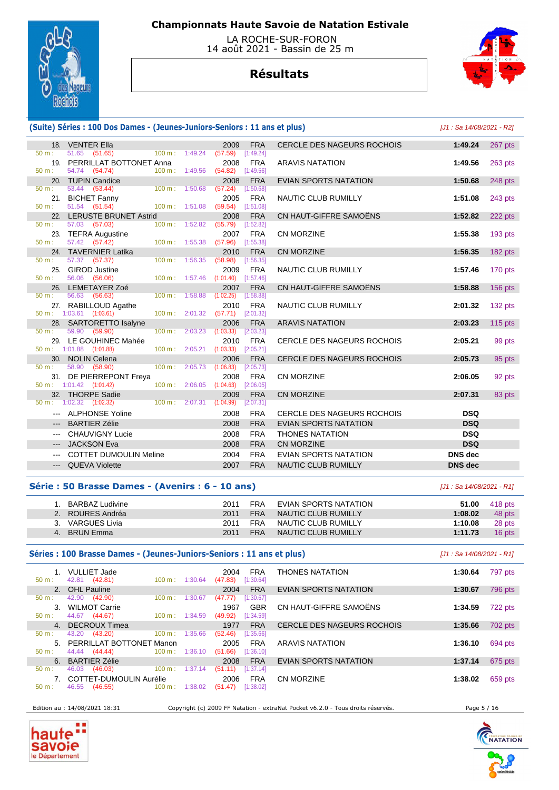

 LA ROCHE-SUR-FORON 14 août 2021 - Bassin de 25 m

# **Résultats**



### **(Suite) Séries : 100 Dos Dames - (Jeunes-Juniors-Seniors : 11 ans et plus)** [J1 : Sa 14/08/2021 - R2]

|                        | 18. VENTER Ella                       |                           |         | 2009              | <b>FRA</b>              | <b>CERCLE DES NAGEURS ROCHOIS</b> | 1:49.24        | 267 pts        |
|------------------------|---------------------------------------|---------------------------|---------|-------------------|-------------------------|-----------------------------------|----------------|----------------|
| 50 m:                  | 51.65 (51.65)                         | $100 \text{ m}$ : 1:49.24 |         | (57.59)           | [1:49.24]               |                                   |                |                |
|                        | 19. PERRILLAT BOTTONET Anna           |                           |         | 2008              | <b>FRA</b>              | <b>ARAVIS NATATION</b>            | 1:49.56        | 263 pts        |
| $50 m$ :               | 54.74 (54.74)                         | 100 m: 1:49.56            |         | (54.82)           | [1:49.56]               |                                   |                |                |
|                        | 20. TUPIN Candice                     |                           |         | 2008              | <b>FRA</b>              | <b>EVIAN SPORTS NATATION</b>      | 1:50.68        | 248 pts        |
| $50 \text{ m}$ :       | 53.44 (53.44)                         | 100 m: 1:50.68            |         | (57.24)           | [1:50.68]               |                                   |                |                |
|                        | 21. BICHET Fanny                      |                           |         | 2005              | <b>FRA</b>              | <b>NAUTIC CLUB RUMILLY</b>        | 1:51.08        | 243 pts        |
| $50 m$ :               | 51.54 (51.54)                         | 100 m: 1:51.08            |         | (59.54)           | [1:51.08]               |                                   |                |                |
|                        | 22. LERUSTE BRUNET Astrid             |                           |         | 2008              | <b>FRA</b>              | CN HAUT-GIFFRE SAMOËNS            | 1:52.82        | 222 pts        |
| 50 m:                  | 57.03 (57.03)                         | 100 m: 1:52.82            |         | (55.79)           | [1:52.82]               |                                   |                |                |
| $50 m$ :               | 23. TEFRA Augustine                   |                           |         | 2007              | <b>FRA</b>              | <b>CN MORZINE</b>                 | 1:55.38        | 193 pts        |
|                        | 57.42 (57.42)                         | 100 m: 1:55.38            |         | (57.96)           | [1:55.38]               |                                   |                |                |
| 50 m:                  | 24. TAVERNIER Latika<br>57.37 (57.37) | 100 m:                    | 1:56.35 | 2010<br>(58.98)   | <b>FRA</b><br>[1:56.35] | <b>CN MORZINE</b>                 | 1:56.35        | 182 pts        |
|                        | 25. GIROD Justine                     |                           |         | 2009              | <b>FRA</b>              | NAUTIC CLUB RUMILLY               | 1:57.46        | 170 pts        |
| $50 m$ :               | 56.06 (56.06)                         | $100 m$ : 1:57.46         |         | (1:01.40)         | [1:57.46]               |                                   |                |                |
|                        | 26. LEMETAYER Zoé                     |                           |         | 2007              | <b>FRA</b>              | CN HAUT-GIFFRE SAMOËNS            | 1:58.88        | <b>156 pts</b> |
| $50 \text{ m}$ :       | 56.63 (56.63)                         | $100 \text{ m}$ :         | 1:58.88 | (1:02.25)         | [1:58.88]               |                                   |                |                |
|                        | 27. RABILLOUD Agathe                  |                           |         | 2010              | <b>FRA</b>              | <b>NAUTIC CLUB RUMILLY</b>        | 2:01.32        | 132 pts        |
|                        | $50 \text{ m}: 1:03.61$ (1:03.61)     | 100 m: 2:01.32            |         | (57.71)           | [2:01.32]               |                                   |                |                |
|                        | 28. SARTORETTO Isalyne                |                           |         | 2006              | <b>FRA</b>              | <b>ARAVIS NATATION</b>            | 2:03.23        | $115$ pts      |
| $50 \text{ m}$ :       | 59.90 (59.90)                         | 100 m:                    | 2:03.23 | (1:03.33)         | [2:03.23]               |                                   |                |                |
|                        | 29. LE GOUHINEC Mahée                 |                           |         | 2010              | <b>FRA</b>              | CERCLE DES NAGEURS ROCHOIS        | 2:05.21        | 99 pts         |
|                        | $50 \text{ m}: 1:01.88$ $(1:01.88)$   | 100 m: 2:05.21            |         | (1:03.33)         | [2:05.21]               |                                   |                |                |
| $50 \text{ m}$ :       | 30. NOLIN Celena<br>58.90 (58.90)     | 100 m:                    | 2:05.73 | 2006<br>(1:06.83) | <b>FRA</b><br>[2:05.73] | CERCLE DES NAGEURS ROCHOIS        | 2:05.73        | 95 pts         |
|                        | 31. DE PIERREPONT Freya               |                           |         | 2008              | <b>FRA</b>              | CN MORZINE                        | 2:06.05        |                |
|                        | $50 \text{ m}: 1:01.42$ $(1:01.42)$   | 100 m: 2:06.05            |         | (1:04.63)         | [2:06.05]               |                                   |                | 92 pts         |
|                        | 32. THORPE Sadie                      |                           |         | 2009              | <b>FRA</b>              | <b>CN MORZINE</b>                 | 2:07.31        | 83 pts         |
|                        | $50 \text{ m}$ : 1:02.32 (1:02.32)    | 100 m : 2:07.31           |         | (1:04.99)         | [2:07.31]               |                                   |                |                |
|                        | --- ALPHONSE Yoline                   |                           |         | 2008              | <b>FRA</b>              | <b>CERCLE DES NAGEURS ROCHOIS</b> | <b>DSQ</b>     |                |
|                        | --- BARTIER Zélie                     |                           |         | 2008              | <b>FRA</b>              | <b>EVIAN SPORTS NATATION</b>      | <b>DSQ</b>     |                |
| $\qquad \qquad \cdots$ | <b>CHAUVIGNY Lucie</b>                |                           |         | 2008              | <b>FRA</b>              | <b>THONES NATATION</b>            | <b>DSQ</b>     |                |
|                        | <b>JACKSON Eva</b>                    |                           |         | 2008              | <b>FRA</b>              | <b>CN MORZINE</b>                 | <b>DSQ</b>     |                |
| $\qquad \qquad - -$    |                                       |                           |         |                   |                         |                                   |                |                |
|                        | <b>COTTET DUMOULIN Meline</b>         |                           |         | 2004              | <b>FRA</b>              | <b>EVIAN SPORTS NATATION</b>      | <b>DNS</b> dec |                |
|                        | --- QUEVA Violette                    |                           |         | 2007              | <b>FRA</b>              | <b>NAUTIC CLUB RUMILLY</b>        | <b>DNS</b> dec |                |

| CERCLE DES NAGEURS ROCHOIS        | 1:49.24        | 267 pts   |
|-----------------------------------|----------------|-----------|
| ARAVIS NATATION                   | 1:49.56        | $263$ pts |
| <b>EVIAN SPORTS NATATION</b>      | 1:50.68        | 248 pts   |
| NAUTIC CLUB RUMILLY               | 1:51.08        | 243 pts   |
| CN HAUT-GIFFRE SAMOËNS            | 1:52.82        | 222 pts   |
| CN MORZINE                        | 1:55.38        | $193$ pts |
| <b>CN MORZINE</b>                 | 1:56.35        | $182$ pts |
| NAUTIC CLUB RUMILLY               | 1:57.46        | 170 pts   |
| CN HAUT-GIFFRE SAMOËNS            | 1:58.88        | $156$ pts |
| NAUTIC CLUB RUMILLY               | 2:01.32        | $132$ pts |
| <b>ARAVIS NATATION</b>            | 2:03.23        | $115$ pts |
| <b>CERCLE DES NAGEURS ROCHOIS</b> | 2:05.21        | 99 pts    |
| CERCLE DES NAGEURS ROCHOIS        | 2:05.73        | 95 pts    |
| CN MORZINE                        | 2:06.05        | 92 pts    |
| <b>CN MORZINE</b>                 | 2:07.31        | 83 pts    |
| CERCLE DES NAGEURS ROCHOIS        | <b>DSQ</b>     |           |
| EVIAN SPORTS NATATION             | <b>DSQ</b>     |           |
| THONES NATATION                   | <b>DSQ</b>     |           |
| CN MORZINE                        | <b>DSQ</b>     |           |
| EVIAN SPORTS NATATION             | <b>DNS</b> dec |           |
|                                   |                |           |

### **Série : 50 Brasse Dames - (Avenirs : 6 - 10 ans)** [J1 : Sa 14/08/2021 - R1]

### 1. BARBAZ Ludivine 2011 FRA EVIAN SPORTS NATATION **51.00** 418 pts 2. ROURES Andréa 2011 FRA NAUTIC CLUB RUMILLY **1:08.02** 48 pts 3. VARGUES Livia 2011 FRA NAUTIC CLUB RUMILLY **1:10.08** 28 pts 4. BRUN Emma 2011 FRA NAUTIC CLUB RUMILLY **1:11.73** 16 pts

## **Séries : 100 Brasse Dames - (Jeunes-Juniors-Seniors : 11 ans et plus)** [J1 : Sa 14/08/2021 - R1]

| 50 m :           | 1. VULLIET Jade<br>42.81 (42.81) | $100 \text{ m}$ : 1:30.64    | FRA<br>2004<br>(47.83)<br>[1:30.64] | <b>THONES NATATION</b>            | 1:30.64 | 797 pts |
|------------------|----------------------------------|------------------------------|-------------------------------------|-----------------------------------|---------|---------|
|                  | 2. OHL Pauline                   |                              | <b>FRA</b><br>2004                  | EVIAN SPORTS NATATION             | 1:30.67 | 796 pts |
| 50 m:            | 42.90 (42.90)                    | $100 \text{ m}$ :<br>1:30.67 | [1:30.67]<br>(47.77)                |                                   |         |         |
|                  | 3. WILMOT Carrie                 |                              | <b>GBR</b><br>1967                  | CN HAUT-GIFFRE SAMOËNS            | 1:34.59 | 722 pts |
| 50 m:            | 44.67 (44.67)                    | $100 \text{ m}$ : 1:34.59    | (49.92)<br>[1:34.59]                |                                   |         |         |
|                  | 4. DECROUX Timea                 |                              | <b>FRA</b><br>1977                  | <b>CERCLE DES NAGEURS ROCHOIS</b> | 1:35.66 | 702 pts |
| 50 m :           | 43.20 (43.20)                    | $100 \text{ m}$ :<br>1:35.66 | [1:35.66]<br>(52.46)                |                                   |         |         |
|                  | 5. PERRILLAT BOTTONET Manon      |                              | 2005<br><b>FRA</b>                  | <b>ARAVIS NATATION</b>            | 1:36.10 | 694 pts |
| $50 \text{ m}$ : | 44.44 (44.44)                    | $100 \text{ m}$ :<br>1:36.10 | (51.66)<br>[1:36.10]                |                                   |         |         |
|                  | 6. BARTIER Zélie                 |                              | <b>FRA</b><br>2008                  | EVIAN SPORTS NATATION             | 1:37.14 | 675 pts |
| 50 m:            | 46.03<br>(46.03)                 | 100 m:<br>1:37.14            | (51.11)<br>[1:37.14]                |                                   |         |         |
|                  | 7. COTTET-DUMOULIN Aurélie       |                              | <b>FRA</b><br>2006                  | <b>CN MORZINE</b>                 | 1:38.02 | 659 pts |
| $50 m$ :         | (46.55)<br>46.55                 | $100 \text{ m}$ :<br>1:38.02 | [1:38.02]<br>(51.47)                |                                   |         |         |
|                  |                                  |                              |                                     |                                   |         |         |

Edition au : 14/08/2021 18:31 Copyright (c) 2009 FF Natation - extraNat Pocket v6.2.0 - Tous droits réservés. Page 5 / 16



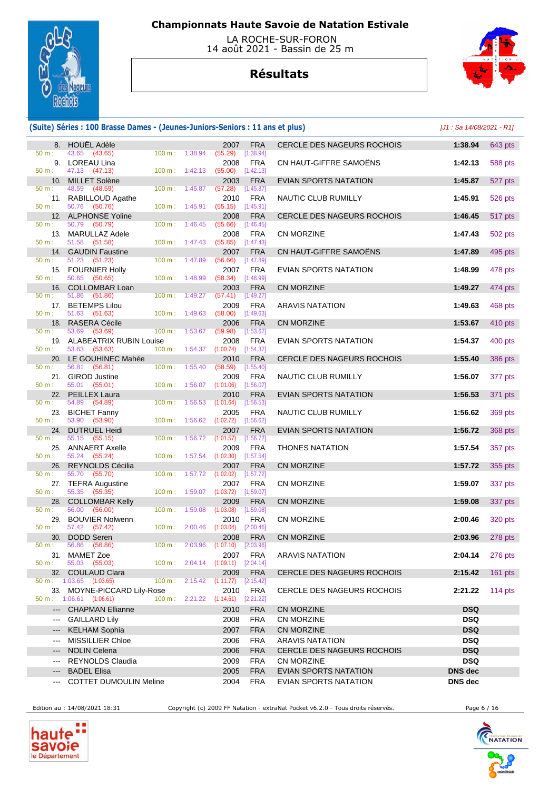

 LA ROCHE-SUR-FORON 14 août 2021 - Bassin de 25 m

# **Résultats**



## **(Suite) Séries : 100 Brasse Dames - (Jeunes-Juniors-Seniors : 11 ans et plus)** [J1 : Sa 14/08/2021 - R1]

|                                  | 8. HOUËL Adèle                                           |                   |                                      | 2007                                        | <b>FRA</b>                | CERCLE DES NAGEURS ROCHOIS                            | 1:38.94                   | 643 pts   |
|----------------------------------|----------------------------------------------------------|-------------------|--------------------------------------|---------------------------------------------|---------------------------|-------------------------------------------------------|---------------------------|-----------|
| 50 m:                            | 43.65 (43.65)                                            |                   | 100 m: 1:38.94                       | (55.29)                                     | [1:38.94]                 |                                                       |                           |           |
| 50 m:                            | 9. LOREAU Lina<br>47.13 (47.13)                          |                   | $100 m$ : 1:42.13                    | 2008<br>(55.00)                             | <b>FRA</b><br>[1:42.13]   | CN HAUT-GIFFRE SAMOËNS                                | 1:42.13                   | 588 pts   |
|                                  | 10. MILLET Solène                                        |                   |                                      | 2003                                        | <b>FRA</b>                | EVIAN SPORTS NATATION                                 | 1:45.87                   | 527 pts   |
| 50 m:                            | 48.59<br>(48.59)<br>11. RABILLOUD Agathe                 |                   | 100 m: 1:45.87                       | (57.28)<br>2010                             | [1:45.87]<br><b>FRA</b>   | NAUTIC CLUB RUMILLY                                   | 1:45.91                   | 526 pts   |
| 50 m:                            | 50.76<br>(50.76)                                         |                   | $100 m$ : 1:45.91                    | (55.15)                                     | [1:45.91]                 |                                                       |                           |           |
|                                  | 12. ALPHONSE Yoline                                      |                   |                                      | 2008                                        | <b>FRA</b>                | <b>CERCLE DES NAGEURS ROCHOIS</b>                     | 1:46.45                   | 517 pts   |
| 50 m:                            | 50.79 (50.79)<br>13. MARULLAZ Adele                      | $100 \text{ m}$ : | 1:46.45                              | (55.66)<br>2008                             | [1:46.45]<br><b>FRA</b>   | <b>CN MORZINE</b>                                     | 1:47.43                   | 502 pts   |
| 50 m:                            | 51.58 (51.58)                                            |                   | 100 m: 1:47.43                       | (55.85)                                     | [1:47.43]                 |                                                       |                           |           |
| 50 m:                            | 14. GAUDIN Faustine<br>51.23 (51.23)                     | $100 \text{ m}$ : | 1:47.89                              | 2007<br>(56.66)                             | <b>FRA</b><br>$[1:47.89]$ | CN HAUT-GIFFRE SAMOENS                                | 1:47.89                   | 495 pts   |
|                                  | 15. FOURNIER Holly                                       |                   |                                      | 2007                                        | <b>FRA</b>                | EVIAN SPORTS NATATION                                 | 1:48.99                   | 478 pts   |
| 50 m:                            | 50.65 (50.65)                                            | 100 m: 1:48.99    |                                      | (58.34)                                     | [1:48.99]                 |                                                       |                           |           |
| 50 m:                            | 16. COLLOMBAR Loan<br>51.86 (51.86)                      | 100 m: 1:49.27    |                                      | 2003<br>(57.41)                             | <b>FRA</b><br>[1:49.27]   | <b>CN MORZINE</b>                                     | 1:49.27                   | 474 pts   |
|                                  | 17. BETEMPS Lilou                                        |                   |                                      | 2009                                        | <b>FRA</b>                | <b>ARAVIS NATATION</b>                                | 1:49.63                   | 468 pts   |
| 50 m:                            | 51.63 (51.63)<br><b>RASERA Cécile</b>                    |                   | $100 m$ : 1:49.63                    | (58.00)                                     | [1:49.63]                 |                                                       |                           |           |
| 18.<br>$50 m$ :                  | 53.69<br>(53.69)                                         | $100 \text{ m}$ : | 1:53.67                              | 2006<br>(59.98)                             | <b>FRA</b><br>[1:53.67]   | <b>CN MORZINE</b>                                     | 1:53.67                   | 410 pts   |
|                                  | 19. ALABEATRIX RUBIN Louise                              |                   |                                      | 2008                                        | <b>FRA</b>                | <b>EVIAN SPORTS NATATION</b>                          | 1:54.37                   | 400 pts   |
| $50 m$ :                         | 53.63 (53.63)<br>20. LE GOUHINEC Mahée                   |                   | 100 m: 1:54.37                       | $(1:00.74)$ $[1:54.37]$<br>2010             | <b>FRA</b>                | CERCLE DES NAGEURS ROCHOIS                            | 1:55.40                   | 386 pts   |
| 50 m:                            | 56.81 (56.81)                                            |                   | 100 m: 1:55.40                       | (58.59)                                     | [1:55.40]                 |                                                       |                           |           |
|                                  | 21. GIROD Justine<br>55.01 (55.01)                       |                   |                                      | 2009                                        | <b>FRA</b>                | NAUTIC CLUB RUMILLY                                   | 1:56.07                   | 377 pts   |
| 50 m:<br>22.                     | <b>PEILLEX Laura</b>                                     |                   | 100 m: 1:56.07                       | $(1:01.06)$ [1:56.07]<br>2010               | <b>FRA</b>                | EVIAN SPORTS NATATION                                 | 1:56.53                   | 371 pts   |
| 50 m:                            | 54.89 (54.89)                                            |                   | 100 m: 1:56.53                       | (1:01.64)                                   | [1:56.53]                 |                                                       |                           |           |
| 50 m:                            | 23. BICHET Fanny<br>53.90<br>(53.90)                     |                   | 100 m: 1:56.62                       | 2005<br>(1:02.72)                           | <b>FRA</b><br>[1:56.62]   | NAUTIC CLUB RUMILLY                                   | 1:56.62                   | 369 pts   |
| 24.                              | <b>DUTRUEL Heidi</b>                                     |                   |                                      | 2007                                        | <b>FRA</b>                | <b>EVIAN SPORTS NATATION</b>                          | 1:56.72                   | 368 pts   |
| 50 m:                            | 55.15 (55.15)                                            | $100 m$ :         | 1:56.72                              | (1:01.57)                                   | [1:56.72]                 |                                                       |                           |           |
| 50 m:                            | 25. ANNAERT Axelle<br>55.24 (55.24)                      |                   | 100 m: 1:57.54                       | 2009<br>$(1:02.30)$ $[1:57.54]$             | <b>FRA</b>                | <b>THONES NATATION</b>                                | 1:57.54                   | 357 pts   |
| 26.                              | REYNOLDS Cécilia                                         |                   |                                      | 2007                                        | <b>FRA</b>                | <b>CN MORZINE</b>                                     | 1:57.72                   | 355 pts   |
| 50 m:                            | 55.70 (55.70)<br>27. TEFRA Augustine                     | $100 \text{ m}$ : |                                      | $1:57.72$ $(1:02.02)$<br>2007               | $[1:57.72]$<br><b>FRA</b> | <b>CN MORZINE</b>                                     | 1:59.07                   | 337 pts   |
| 50 m:                            | (55.35)<br>55.35                                         |                   | $100 \text{ m}: 1:59.07$ $(1:03.72)$ |                                             | [1:59.07]                 |                                                       |                           |           |
|                                  | 28. COLLOMBAR Kelly                                      |                   |                                      | 2009                                        | <b>FRA</b>                | <b>CN MORZINE</b>                                     | 1:59.08                   | 337 pts   |
| 50 m:<br>29.                     | 56.00<br>(56.00)<br><b>BOUVIER Nolwenn</b>               | $100 \text{ m}$ : | 1:59.08                              | (1:03.08)<br>2010                           | [1:59.08]<br><b>FRA</b>   | <b>CN MORZINE</b>                                     | 2:00.46                   | 320 pts   |
| 50 m:                            | 57.42 (57.42)                                            | 100 m:            | 2:00.46                              | (1:03.04)                                   | [2:00.46]                 |                                                       |                           |           |
| 30.<br>50 m:                     | DODD Seren<br>56.86 (56.86)                              |                   | 100 m: 2:03.96                       | 2008<br>$(1:07.10)$ $[2:03.96]$             | <b>FRA</b>                | <b>CN MORZINE</b>                                     | 2:03.96                   | 278 pts   |
|                                  | 31. MAMET Zoe                                            |                   |                                      | 2007                                        | <b>FRA</b>                | <b>ARAVIS NATATION</b>                                | 2:04.14                   | 276 pts   |
|                                  | $50 \text{ m}: 55.03 (55.03)$                            |                   |                                      | 100 m: 2:04.14 (1:09.11) [2:04.14]          |                           |                                                       |                           |           |
|                                  | 32. COULAUD Clara<br>$50 \text{ m}: 1:03.65$ $(1:03.65)$ |                   |                                      | 2009<br>100 m : 2:15.42 (1:11.77) [2:15.42] | <b>FRA</b>                | <b>CERCLE DES NAGEURS ROCHOIS</b>                     | 2:15.42                   | $161$ pts |
|                                  | 33. MOYNE-PICCARD Lily-Rose                              |                   |                                      | 2010                                        | FRA                       | CERCLE DES NAGEURS ROCHOIS                            | 2:21.22                   | 114 $pts$ |
|                                  | $50 \text{ m}: 1:06.61$ (1:06.61)                        |                   |                                      | 100 m: 2:21.22 (1:14.61) [2:21.22]          |                           |                                                       |                           |           |
|                                  | --- CHAPMAN Ellianne<br>--- GAILLARD Lily                |                   |                                      | 2010<br>2008                                | <b>FRA</b><br><b>FRA</b>  | CN MORZINE<br>CN MORZINE                              | <b>DSQ</b><br><b>DSQ</b>  |           |
| $\qquad \qquad -\qquad \qquad -$ | <b>KELHAM Sophia</b>                                     |                   |                                      | 2007                                        | <b>FRA</b>                | CN MORZINE                                            | <b>DSQ</b>                |           |
| $\scriptstyle\cdots$             | <b>MISSILLIER Chloe</b>                                  |                   |                                      | 2006                                        | <b>FRA</b>                | <b>ARAVIS NATATION</b>                                | <b>DSQ</b>                |           |
| $---$                            | <b>NOLIN Celena</b>                                      |                   |                                      | 2006                                        | <b>FRA</b>                | CERCLE DES NAGEURS ROCHOIS                            | <b>DSQ</b>                |           |
| $\qquad \qquad \cdots$           | <b>REYNOLDS Claudia</b>                                  |                   |                                      | 2009                                        | FRA                       | CN MORZINE                                            | <b>DSQ</b>                |           |
| ---                              | <b>BADEL Elisa</b><br>--- COTTET DUMOULIN Meline         |                   |                                      | 2005<br>2004                                | <b>FRA</b><br><b>FRA</b>  | <b>EVIAN SPORTS NATATION</b><br>EVIAN SPORTS NATATION | <b>DNS</b> dec<br>DNS dec |           |
|                                  |                                                          |                   |                                      |                                             |                           |                                                       |                           |           |

Edition au : 14/08/2021 18:31 Copyright (c) 2009 FF Natation - extraNat Pocket v6.2.0 - Tous droits réservés. Page 6 / 16



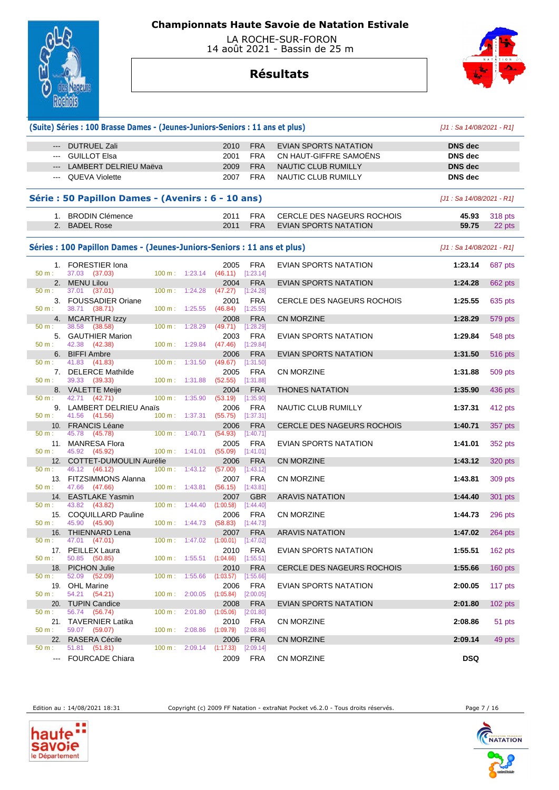

 LA ROCHE-SUR-FORON 14 août 2021 - Bassin de 25 m

# **Résultats**



|                     | (Suite) Séries : 100 Brasse Dames - (Jeunes-Juniors-Seniors : 11 ans et plus) |                                                |         |                                             |                          |                                                                   | $[J1: Sa 14/08/2021 - R1]$ |                          |
|---------------------|-------------------------------------------------------------------------------|------------------------------------------------|---------|---------------------------------------------|--------------------------|-------------------------------------------------------------------|----------------------------|--------------------------|
|                     | --- DUTRUEL Zali                                                              |                                                |         | 2010                                        | <b>FRA</b>               | EVIAN SPORTS NATATION                                             | <b>DNS</b> dec             |                          |
| $\qquad \qquad - -$ | <b>GUILLOT Elsa</b>                                                           |                                                |         | 2001                                        | <b>FRA</b>               | CN HAUT-GIFFRE SAMOENS                                            | <b>DNS</b> dec             |                          |
|                     | LAMBERT DELRIEU Maëva                                                         |                                                |         | 2009                                        | <b>FRA</b>               | NAUTIC CLUB RUMILLY                                               | <b>DNS</b> dec             |                          |
| $\frac{1}{2}$       | <b>QUEVA Violette</b>                                                         |                                                |         | 2007                                        | <b>FRA</b>               | NAUTIC CLUB RUMILLY                                               | <b>DNS</b> dec             |                          |
|                     | Série : 50 Papillon Dames - (Avenirs : 6 - 10 ans)                            |                                                |         |                                             |                          |                                                                   | [J1 : Sa 14/08/2021 - R1]  |                          |
|                     |                                                                               |                                                |         |                                             |                          |                                                                   |                            |                          |
|                     | 1. BRODIN Clémence<br>2. BADEL Rose                                           |                                                |         | 2011<br>2011                                | <b>FRA</b><br><b>FRA</b> | <b>CERCLE DES NAGEURS ROCHOIS</b><br><b>EVIAN SPORTS NATATION</b> | 45.93<br>59.75             | <b>318 pts</b><br>22 pts |
|                     | Séries : 100 Papillon Dames - (Jeunes-Juniors-Seniors : 11 ans et plus)       |                                                |         |                                             |                          |                                                                   | [J1 : Sa 14/08/2021 - R1]  |                          |
|                     |                                                                               |                                                |         |                                             | <b>FRA</b>               | EVIAN SPORTS NATATION                                             | 1:23.14                    | 687 pts                  |
| $50 m$ :            | 1. FORESTIER Iona<br>37.03 (37.03)                                            | 100 m: 1:23.14                                 |         | 2005<br>(46.11)                             | [1:23.14]                |                                                                   |                            |                          |
|                     | 2. MENU Lilou                                                                 |                                                |         | 2004                                        | <b>FRA</b>               | <b>EVIAN SPORTS NATATION</b>                                      | 1:24.28                    | 662 pts                  |
| 50 m:               | 37.01 (37.01)<br>3. FOUSSADIER Oriane                                         | $100 \text{ m}$ :                              | 1:24.28 | $(47.27)$ [1:24.28]<br>2001                 | <b>FRA</b>               | <b>CERCLE DES NAGEURS ROCHOIS</b>                                 | 1:25.55                    | 635 pts                  |
| 50 m:               | 38.71 (38.71)                                                                 | 100 m: 1:25.55                                 |         | (46.84)                                     | [1:25.55]                |                                                                   |                            |                          |
| 50 m:               | 4. MCARTHUR Izzy<br>38.58<br>(38.58)                                          | $100 \text{ m}$ :                              | 1:28.29 | 2008<br>(49.71)                             | <b>FRA</b><br>[1:28.29]  | CN MORZINE                                                        | 1:28.29                    | 579 pts                  |
|                     | 5. GAUTHIER Marion                                                            |                                                |         | 2003                                        | <b>FRA</b>               | EVIAN SPORTS NATATION                                             | 1:29.84                    | 548 pts                  |
| 50 m:               | 42.38<br>(42.38)                                                              | 100 m: 1:29.84                                 |         | (47.46)                                     | [1:29.84]                |                                                                   |                            |                          |
| 50 m:               | 6. BIFFI Ambre<br>41.83 (41.83)                                               | 100 m: 1:31.50                                 |         | 2006<br>(49.67)                             | <b>FRA</b><br>[1:31.50]  | EVIAN SPORTS NATATION                                             | 1:31.50                    | 516 pts                  |
|                     | 7. DELERCE Mathilde                                                           |                                                |         | 2005                                        | <b>FRA</b>               | <b>CN MORZINE</b>                                                 | 1:31.88                    | 509 pts                  |
| 50 m:               | 39.33<br>(39.33)<br>8. VALETTE Meije                                          | 100 m: 1:31.88                                 |         | (52.55)<br>2004                             | [1:31.88]<br><b>FRA</b>  | <b>THONES NATATION</b>                                            | 1:35.90                    | 436 pts                  |
| 50 m:               | 42.71 (42.71)                                                                 | $100 \text{ m}$ :                              | 1:35.90 | (53.19)                                     | [1:35.90]                |                                                                   |                            |                          |
| 50 m:               | 9. LAMBERT DELRIEU Anaïs<br>41.56 (41.56)                                     | 100 m: 1:37.31                                 |         | 2006<br>(55.75)                             | <b>FRA</b><br>[1:37.31]  | NAUTIC CLUB RUMILLY                                               | 1:37.31                    | 412 pts                  |
|                     | 10. FRANCIS Léane                                                             |                                                |         | 2006                                        | <b>FRA</b>               | <b>CERCLE DES NAGEURS ROCHOIS</b>                                 | 1:40.71                    | 357 pts                  |
| 50 m:               | 45.78<br>(45.78)                                                              | $100 m$ : 1:40.71                              |         | (54.93)                                     | [1:40.71]                |                                                                   |                            |                          |
| $50 m$ :            | 11. MANRESA Flora<br>45.92 (45.92)                                            | $100 \text{ m}: 1:41.01$                       |         | 2005<br>(55.09)                             | <b>FRA</b><br>[1:41.01]  | EVIAN SPORTS NATATION                                             | 1:41.01                    | 352 pts                  |
|                     | 12. COTTET-DUMOULIN Aurélie                                                   |                                                |         | 2006                                        | <b>FRA</b>               | <b>CN MORZINE</b>                                                 | 1:43.12                    | 320 pts                  |
| 50 m:               | 46.12 (46.12)                                                                 | $100 m$ : 1:43.12                              |         | (57.00)                                     | [1:43.12]                |                                                                   |                            |                          |
| 50 m:               | 13. FITZSIMMONS Alanna<br>47.66<br>(47.66)                                    | $100 \text{ m}: 1:43.81$                       |         | 2007<br>(56.15)                             | <b>FRA</b><br>[1:43.81]  | <b>CN MORZINE</b>                                                 | 1:43.81                    | 309 pts                  |
|                     | 14. EASTLAKE Yasmin                                                           |                                                |         | 2007                                        | <b>GBR</b>               | <b>ARAVIS NATATION</b>                                            | 1:44.40                    | 301 pts                  |
| 50 m:               | 43.82<br>(43.82)<br>15. COQUILLARD Pauline                                    | 100 m:                                         | 1:44.40 | (1:00.58)                                   | [1:44.40]<br><b>FRA</b>  | <b>CN MORZINE</b>                                                 |                            |                          |
| 50 m:               | 45.90 (45.90)                                                                 | $100 \text{ m}: 1:44.73$                       |         | 2006<br>$(58.83)$ [1:44.73]                 |                          |                                                                   | 1:44.73                    | 296 pts                  |
|                     | 16. THIENNARD Lena                                                            |                                                |         |                                             | 2007 FRA                 | <b>ARAVIS NATATION</b>                                            | 1:47.02                    | <b>264 pts</b>           |
| 50 m:               | 47.01 (47.01)<br>17. PEILLEX Laura                                            |                                                |         | 100 m : 1:47.02 (1:00.01) [1:47.02]<br>2010 | FRA                      | EVIAN SPORTS NATATION                                             | 1:55.51                    | $162$ pts                |
| 50 m:               | 50.85 (50.85)                                                                 |                                                |         | 100 m : 1:55.51 (1:04.66) [1:55.51]         |                          |                                                                   |                            |                          |
|                     | 18. PICHON Julie                                                              |                                                |         | 2010                                        | <b>FRA</b>               | <b>CERCLE DES NAGEURS ROCHOIS</b>                                 | 1:55.66                    | 160 pts                  |
| $50 m$ :            | 52.09 (52.09)<br>19. OHL Marine                                               | $100 \text{ m}: 1:55.66$ $(1:03.57)$           |         | 2006                                        | [1:55.66]<br><b>FRA</b>  | EVIAN SPORTS NATATION                                             | 2:00.05                    | 117 pts                  |
| 50 m:               | 54.21 (54.21)                                                                 | $100 \text{ m}: 2:00.05$ $(1:05.84)$           |         |                                             | [2:00.05]                |                                                                   |                            |                          |
| 50 m:               | 20. TUPIN Candice<br>56.74 (56.74)                                            | $100 \text{ m}: \quad 2:01.80 \quad (1:05.06)$ |         | 2008                                        | <b>FRA</b><br>[2:01.80]  | EVIAN SPORTS NATATION                                             | 2:01.80                    | $102$ pts                |
|                     | 21. TAVERNIER Latika                                                          |                                                |         | 2010                                        | FRA                      | CN MORZINE                                                        | 2:08.86                    | 51 pts                   |
| $50 m$ :            | 59.07 (59.07)                                                                 | $100 \text{ m}: 2:08.86$ $(1:09.79)$           |         |                                             | [2:08.86]                |                                                                   |                            |                          |
| 50 m:               | 22. RASERA Cécile<br>51.81 (51.81)                                            | $100 \text{ m}: 2:09.14$ $(1:17.33)$           |         | 2006                                        | <b>FRA</b><br>[2:09.14]  | <b>CN MORZINE</b>                                                 | 2:09.14                    | 49 pts                   |
| $\frac{1}{2}$       | <b>FOURCADE Chiara</b>                                                        |                                                |         | 2009                                        | FRA                      | CN MORZINE                                                        | <b>DSQ</b>                 |                          |

Edition au : 14/08/2021 18:31 Copyright (c) 2009 FF Natation - extraNat Pocket v6.2.0 - Tous droits réservés. Page 7 / 16

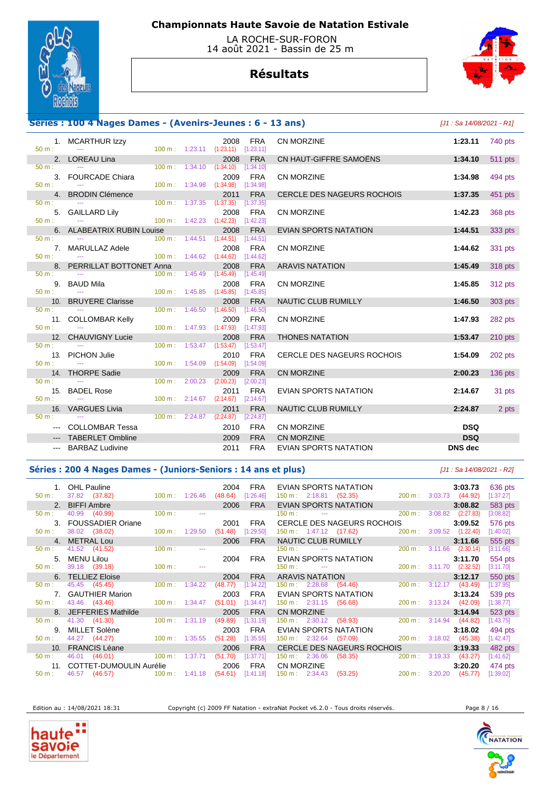

 LA ROCHE-SUR-FORON 14 août 2021 - Bassin de 25 m

# **Résultats**



## **Séries : 100 4 Nages Dames - (Avenirs-Jeunes : 6 - 13**

| $50 m$ : | 1. MCARTHUR Izzy<br><b>State State</b>                        |                                      |                                      | 2008<br>100 m: 1:23.11 (1:23.11) [1:23.11] | FRA        | <b>CN MORZINE</b>                 | 1:23.11        | 740 pts        |
|----------|---------------------------------------------------------------|--------------------------------------|--------------------------------------|--------------------------------------------|------------|-----------------------------------|----------------|----------------|
|          | 2. LOREAU Lina                                                |                                      |                                      | 2008                                       | <b>FRA</b> | CN HAUT-GIFFRE SAMOËNS            | 1:34.10        | <b>511 pts</b> |
| 50 m:    | <b>State State</b>                                            |                                      |                                      | 100 m: 1:34.10 (1:34.10) [1:34.10]         |            |                                   |                |                |
|          | 3. FOURCADE Chiara                                            |                                      |                                      | 2009                                       | FRA        | <b>CN MORZINE</b>                 | 1:34.98        | 494 pts        |
| $50 m$ : | <b>Service State</b>                                          |                                      |                                      | 100 m: 1:34.98 (1:34.98) [1:34.98]         |            |                                   |                |                |
| $50 m$ : | 4. BRODIN Clémence                                            |                                      |                                      | 2011                                       | <b>FRA</b> | <b>CERCLE DES NAGEURS ROCHOIS</b> | 1:37.35        | 451 pts        |
|          |                                                               |                                      |                                      | 100 m: 1:37.35 (1:37.35) [1:37.35]         |            |                                   |                |                |
| $50 m$ : | 5. GAILLARD Lily<br>the company of the company of the company |                                      |                                      | 2008<br>100 m: 1:42.23 (1:42.23) [1:42.23] | FRA        | <b>CN MORZINE</b>                 | 1:42.23        | 368 pts        |
|          | 6. ALABEATRIX RUBIN Louise                                    |                                      |                                      | 2008                                       | <b>FRA</b> | <b>EVIAN SPORTS NATATION</b>      | 1:44.51        | 333 pts        |
| $50 m$ : | and the contract of the contract of the                       | $100 \text{ m}: 1:44.51$ $(1:44.51)$ |                                      |                                            | [1:44.51]  |                                   |                |                |
|          | 7. MARULLAZ Adele                                             |                                      |                                      | 2008                                       | FRA        | <b>CN MORZINE</b>                 | 1:44.62        | 331 pts        |
| $50 m$ : | the company of the company of the                             |                                      |                                      | 100 m: 1:44.62 (1:44.62) [1:44.62]         |            |                                   |                |                |
|          | 8. PERRILLAT BOTTONET Anna                                    |                                      |                                      | 2008                                       | <b>FRA</b> | <b>ARAVIS NATATION</b>            | 1:45.49        | 318 pts        |
| 50 m:    | <b><i><u>Participate</u></i></b>                              |                                      | $100 \text{ m}: 1:45.49$ $(1:45.49)$ |                                            | [1:45.49]  |                                   |                |                |
|          | 9. BAUD Mila                                                  |                                      |                                      | 2008                                       | <b>FRA</b> | <b>CN MORZINE</b>                 | 1:45.85        | 312 pts        |
| $50 m$ : | <b>State State</b>                                            |                                      |                                      | 100 m: 1:45.85 (1:45.85) [1:45.85]<br>2008 | <b>FRA</b> |                                   |                |                |
| 50 m:    | 10. BRUYERE Clarisse                                          |                                      | $100 \text{ m}: 1:46.50 (1:46.50)$   |                                            | [1:46.50]  | NAUTIC CLUB RUMILLY               | 1:46.50        | 303 pts        |
|          | 11. COLLOMBAR Kelly                                           |                                      |                                      | 2009                                       | <b>FRA</b> | <b>CN MORZINE</b>                 | 1:47.93        | 282 pts        |
| 50 m:    | <b>Contract Contract</b>                                      |                                      |                                      | 100 m: 1:47.93 (1:47.93) [1:47.93]         |            |                                   |                |                |
|          | 12. CHAUVIGNY Lucie                                           |                                      |                                      | 2008                                       | <b>FRA</b> | <b>THONES NATATION</b>            | 1:53.47        | 210 pts        |
| 50 m:    | <b>State State</b>                                            |                                      |                                      | 100 m: 1:53.47 (1:53.47) [1:53.47]         |            |                                   |                |                |
|          | 13. PICHON Julie                                              |                                      |                                      | 2010                                       | FRA        | CERCLE DES NAGEURS ROCHOIS        | 1:54.09        | 202 pts        |
| $50 m$ : | <b>Service</b>                                                |                                      |                                      | 100 m: 1:54.09 (1:54.09) [1:54.09]         |            |                                   |                |                |
|          | 14. THORPE Sadie                                              |                                      |                                      | 2009                                       | <b>FRA</b> | <b>CN MORZINE</b>                 | 2:00.23        | 136 pts        |
| 50 m:    | the contract of the contract of the                           |                                      |                                      | $100 \text{ m}: 2:00.23$ (2:00.23)         | [2:00.23]  |                                   |                |                |
| $50 m$ : | 15. BADEL Rose<br><b>State State</b>                          |                                      |                                      | 2011<br>100 m: 2:14.67 (2:14.67) [2:14.67] | <b>FRA</b> | EVIAN SPORTS NATATION             | 2:14.67        | 31 pts         |
|          | 16. VARGUES Livia                                             |                                      |                                      | 2011                                       | <b>FRA</b> | NAUTIC CLUB RUMILLY               | 2:24.87        | 2 pts          |
| $50 m$ : |                                                               |                                      | $100 \text{ m}: 2:24.87$ $(2:24.87)$ |                                            | [2:24.87]  |                                   |                |                |
|          | --- COLLOMBAR Tessa                                           |                                      |                                      | 2010                                       | <b>FRA</b> | CN MORZINE                        | <b>DSQ</b>     |                |
|          | --- TABERLET Ombline                                          |                                      |                                      | 2009                                       | <b>FRA</b> | <b>CN MORZINE</b>                 | <b>DSQ</b>     |                |
|          | --- BARBAZ Ludivine                                           |                                      |                                      | 2011                                       | <b>FRA</b> | <b>EVIAN SPORTS NATATION</b>      | <b>DNS</b> dec |                |
|          |                                                               |                                      |                                      |                                            |            |                                   |                |                |

| 3 ans)                       | [J1 : Sa 14/08/2021 - R1] |           |
|------------------------------|---------------------------|-----------|
| CN MORZINE                   | 1:23.11                   | 740 pts   |
| CN HAUT-GIFFRE SAMOËNS       | 1:34.10                   | 511 pts   |
| CN MORZINE                   | 1:34.98                   | 494 pts   |
| CERCLE DES NAGEURS ROCHOIS   | 1:37.35                   | 451 pts   |
| CN MORZINE                   | 1:42.23                   | 368 pts   |
| EVIAN SPORTS NATATION        | 1:44.51                   | 333 pts   |
| CN MORZINE                   | 1:44.62                   | 331 pts   |
| <b>ARAVIS NATATION</b>       | 1:45.49                   | 318 pts   |
| CN MORZINE                   | 1:45.85                   | 312 pts   |
| <b>NAUTIC CLUB RUMILLY</b>   | 1:46.50                   | 303 pts   |
| CN MORZINE                   | 1:47.93                   | 282 pts   |
| THONES NATATION              | 1:53.47                   | 210 pts   |
| CERCLE DES NAGEURS ROCHOIS   | 1:54.09                   | 202 pts   |
| CN MORZINE                   | 2:00.23                   | $136$ pts |
| <b>EVIAN SPORTS NATATION</b> | 2:14.67                   | 31 pts    |
| <b>NAUTIC CLUB RUMILLY</b>   | 2:24.87                   | 2 pts     |
| CN MORZINE                   | <b>DSQ</b>                |           |
| CN MORZINE                   | <b>DSQ</b>                |           |
| EVIAN SPORTS NATATION        | DNS dec                   |           |

### **Séries : 200 4 Nages Dames - (Juniors-Seniors : 14 ans et plus)** [J1 : Sa 14/08/2021 - R2]

 1. OHL Pauline 2004 FRA EVIAN SPORTS NATATION **3:03.73** 636 pts 50 m : 37.82 (37.82) 100 m : 1:26.46 (48.64) [1:26.46] 150 m : 2:18.81 (52.35) 200 m : 3:03.73 (44.92) [1:37.27] 2. BIFFI Ambre 2006 FRA EVIAN SPORTS NATATION 3:08.82 583 pts<br>  $\frac{20 \text{ m}}{200 \text{ m}}$   $\frac{200 \text{ m}}{3.08.82}$   $\frac{583 \text{ m}}{3.08.82}$   $\frac{583 \text{ m}}{3.08.82}$   $\frac{583 \text{ m}}{3.08.82}$   $\frac{583 \text{ m}}{3.08.82}$   $\frac{583 \text{ m}}{3.08.82}$ 50 m : 40.99 (40.99) 100 m : --- 150 m : --- 150 m : --- 200 m : 3:08.82 (2:27.83) [3:08.82] 3. FOUSSADIER Oriane 2001 FRA CERCLE DES NAGEURS ROCHOIS **3:09.52** 576 pts 150 m : 1:47.12 (17.62) 4. METRAL Lou 2006 FRA NAUTIC CLUB RUMILLY **3:11.66** 555 pts 50 m : 41.52 (41.52) 100 m : --- 150 m : --- 150 m : --- 200 m : 3:11.66 (2:30.14) [3:11.66] 5. MENU Lilou 2004 FRA EVIAN SPORTS NATATION **3:11.70** 554 pts 50 m : 39.18 (39.18) 100 m : --- 150 m : --- 150 m : --- 200 m : 3:11.70 (2:32.52) [3:11.70] 6. TELLIEZ Eloise 2004 FRA ARAVIS NATATION **3:12.17** 550 pts 45.45 (45.45) 100 m : 1:34.22 (48.77) [1:34.22] 150 m : 2:28.68 (54.46) 200 m : 3:12.17 (43.49) 7. GAUTHIER Marion 2003 FRA EVIAN SPORTS NATATION **3:13.24** 539 pts 150 m : 2:31.15 (56.68) 200 m : 3:13.24 (42.09) 8. JEFFERIES Mathilde **2005 FRA CN MORZINE 3:14.94 3:14.94 3:14.94 3:14.96 3:14.96 3:14.96 3:14.96 3:14.96 3:14.96 3:14.96 3:14.96 41.30 100 m**: 1:31.19 **49.89** [1:31.19] **150 m**: 2:30.12 **(58.93)**  50 m : 41.30 (41.30) 100 m : 1:31.19 (49.89) [1:31.19] 150 m : 2:30.12 (58.93) 200 m : 3:14.94 (44.82) [1:43.75] 9. MILLET Solène 2003 FRA EVIAN SPORTS NATATION **3:18.02** 494 pts 50 m : 44.27 (44.27) 100 m : 1:35.55 (51.28) [1:35.55] 150 m : 2:32.64 (57.09) 200 m : 3:18.02 (45.38) [1:42.47] 10. FRANCIS Léane 2006 FRA CERCLE DES NAGEURS ROCHOIS **3:19.33** 482 pts 50 m : 46.01 (46.01) 100 m : 1:37.71 (51.70) [1:37.71] 150 m : 2:36.06 (58.35) 200 m : 3:19.33 (43.27) [1:41.62] 11. COTTET-DUMOULIN Aurélie 2006 FRA CN MORZINE **3:20.20** 474 pts 200 m : 3:20.20 (45.77)

Edition au : 14/08/2021 18:31 Copyright (c) 2009 FF Natation - extraNat Pocket v6.2.0 - Tous droits réservés. Page 8 / 16





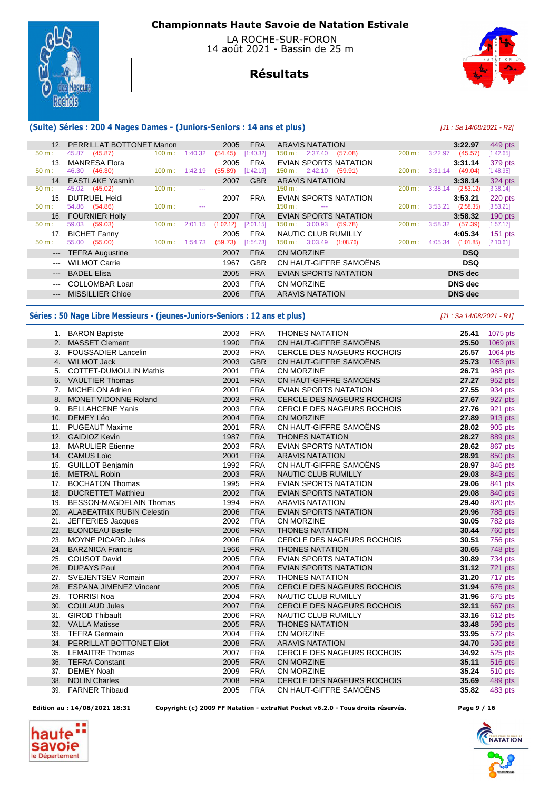

 LA ROCHE-SUR-FORON 14 août 2021 - Bassin de 25 m

# **Résultats**



### **(Suite) Séries : 200 4 Nages Dames - (Juniors-Seniors : 14 ans et plus)** [J1 : Sa 14/08/2021 - R2]

|                     | 12. PERRILLAT BOTTONET Manon |        |                          | 2005      | <b>FRA</b> | ARAVIS NATATION                           |                   | 3:22.97                   | 449 pts   |
|---------------------|------------------------------|--------|--------------------------|-----------|------------|-------------------------------------------|-------------------|---------------------------|-----------|
| $50 m$ :            | (45.87)<br>45.87             | 100 m: | 1:40.32                  | (54.45)   | [1:40.32]  | $150 \text{ m}: 2:37.40$<br>(57.08)       | 200 m:            | 3:22.97<br>(45.57)        | [1:42.65] |
| 13.                 | <b>MANRESA Flora</b>         |        |                          | 2005      | <b>FRA</b> | EVIAN SPORTS NATATION                     |                   | 3:31.14                   | 379 pts   |
| $50 m$ :            | 46.30 (46.30)                |        | $100 \text{ m}: 1:42.19$ | (55.89)   | [1:42.19]  | $150 \text{ m}: 2:42.10$ (59.91)          |                   | 200 m: 3:31.14<br>(49.04) | [1:48.95] |
| 14.                 | <b>EASTLAKE Yasmin</b>       |        |                          | 2007      | <b>GBR</b> | <b>ARAVIS NATATION</b>                    |                   | 3:38.14                   | 324 pts   |
| $50 m$ :            | 45.02 (45.02)                | 100 m: |                          |           |            | $150 \text{ m}$ :<br>$\sim$ $\sim$        | 200 m:            | 3:38.14<br>(2:53.12)      | [3:38.14] |
| 15.                 | DUTRUEL Heidi                |        |                          | 2007      | FRA        | EVIAN SPORTS NATATION                     |                   | 3:53.21                   | 220 pts   |
| $50 m$ :            | 54.86 (54.86)                | 100 m: |                          |           |            | $150 \text{ m}$ :<br>$\sim$ $\sim$ $\sim$ | $200 \text{ m}$ : | (2:58.35)<br>3:53.21      | [3:53.21] |
| 16.                 | <b>FOURNIER Holly</b>        |        |                          | 2007      | <b>FRA</b> | EVIAN SPORTS NATATION                     |                   | 3:58.32                   | $190$ pts |
| $50 m$ :            | 59.03 (59.03)                | 100 m: | 2:01.15                  | (1:02.12) | [2:01.15]  | $150 \text{ m}: 3:00.93$<br>(59.78)       | 200 m:            | 3:58.32<br>(57.39)        | [1:57.17] |
| 17.                 | <b>BICHET Fanny</b>          |        |                          | 2005      | <b>FRA</b> | NAUTIC CLUB RUMILLY                       |                   | 4:05.34                   | $151$ pts |
| $50 m$ :            | 55.00 (55.00)                |        | $100 \text{ m}: 1:54.73$ | (59.73)   | [1:54.73]  | $150 \text{ m}: 3:03.49$<br>(1:08.76)     | $200 \text{ m}$ : | (1:01.85)<br>4:05.34      | [2:10.61] |
| $\qquad \qquad - -$ | <b>TEFRA Augustine</b>       |        |                          | 2007      | <b>FRA</b> | <b>CN MORZINE</b>                         |                   | <b>DSQ</b>                |           |
| $---$               | <b>WILMOT Carrie</b>         |        |                          | 1967      | <b>GBR</b> | CN HAUT-GIFFRE SAMOËNS                    |                   | <b>DSQ</b>                |           |
| $---$               | <b>BADEL Elisa</b>           |        |                          | 2005      | <b>FRA</b> | EVIAN SPORTS NATATION                     |                   | <b>DNS</b> dec            |           |
| $---$               | <b>COLLOMBAR Loan</b>        |        |                          | 2003      | <b>FRA</b> | CN MORZINE                                |                   | DNS dec                   |           |
| $\qquad \qquad - -$ | <b>MISSILLIER Chloe</b>      |        |                          | 2006      | <b>FRA</b> | <b>ARAVIS NATATION</b>                    |                   | <b>DNS</b> dec            |           |
|                     |                              |        |                          |           |            |                                           |                   |                           |           |

### **Séries : 50 Nage Libre Messieurs - (jeunes-Juniors-Seniors : 12 ans et plus)** [J1 : Sa 14/08/2021 - R1]

|                | 1. BARON Baptiste                | 2003 | <b>FRA</b> | <b>THONES NATATION</b>            | 25.41 | 1075 pts       |
|----------------|----------------------------------|------|------------|-----------------------------------|-------|----------------|
| 2.             | <b>MASSET Clement</b>            | 1990 | <b>FRA</b> | CN HAUT-GIFFRE SAMOËNS            | 25.50 | 1069 pts       |
| 3.             | <b>FOUSSADIER Lancelin</b>       | 2003 | <b>FRA</b> | CERCLE DES NAGEURS ROCHOIS        | 25.57 | 1064 pts       |
| 4.             | <b>WILMOT Jack</b>               | 2003 | <b>GBR</b> | CN HAUT-GIFFRE SAMOËNS            | 25.73 | 1053 pts       |
| 5.             | <b>COTTET-DUMOULIN Mathis</b>    | 2001 | <b>FRA</b> | CN MORZINE                        | 26.71 | 988 pts        |
| 6.             | <b>VAULTIER Thomas</b>           | 2001 | <b>FRA</b> | CN HAUT-GIFFRE SAMOËNS            | 27.27 | 952 pts        |
| 7 <sub>1</sub> | <b>MICHELON Adrien</b>           | 2001 | <b>FRA</b> | <b>EVIAN SPORTS NATATION</b>      | 27.55 | 934 pts        |
| 8.             | <b>MONET VIDONNE Roland</b>      | 2003 | <b>FRA</b> | CERCLE DES NAGEURS ROCHOIS        | 27.67 | 927 pts        |
| 9.             | <b>BELLAHCENE Yanis</b>          | 2003 | <b>FRA</b> | CERCLE DES NAGEURS ROCHOIS        | 27.76 | 921 pts        |
| 10.            | <b>DEMEY Léo</b>                 | 2004 | <b>FRA</b> | <b>CN MORZINE</b>                 | 27.89 | 913 pts        |
| 11.            | <b>PUGEAUT Maxime</b>            | 2001 | <b>FRA</b> | CN HAUT-GIFFRE SAMOËNS            | 28.02 | 905 pts        |
| 12.            | <b>GAIDIOZ Kevin</b>             | 1987 | <b>FRA</b> | <b>THONES NATATION</b>            | 28.27 | 889 pts        |
| 13.            | <b>MARULIER Etienne</b>          | 2003 | <b>FRA</b> | <b>EVIAN SPORTS NATATION</b>      | 28.62 | 867 pts        |
| 14.            | <b>CAMUS Loïc</b>                | 2001 | <b>FRA</b> | <b>ARAVIS NATATION</b>            | 28.91 | 850 pts        |
| 15.            | <b>GUILLOT Benjamin</b>          | 1992 | <b>FRA</b> | CN HAUT-GIFFRE SAMOËNS            | 28.97 | 846 pts        |
| 16.            | <b>METRAL Robin</b>              | 2003 | <b>FRA</b> | <b>NAUTIC CLUB RUMILLY</b>        | 29.03 | 843 pts        |
| 17.            | <b>BOCHATON Thomas</b>           | 1995 | <b>FRA</b> | <b>EVIAN SPORTS NATATION</b>      | 29.06 | 841 pts        |
| 18.            | <b>DUCRETTET Matthieu</b>        | 2002 | <b>FRA</b> | <b>EVIAN SPORTS NATATION</b>      | 29.08 | 840 pts        |
| 19.            | <b>BESSON-MAGDELAIN Thomas</b>   | 1994 | <b>FRA</b> | <b>ARAVIS NATATION</b>            | 29.40 | 820 pts        |
| 20.            | <b>ALABEATRIX RUBIN Celestin</b> | 2006 | <b>FRA</b> | <b>EVIAN SPORTS NATATION</b>      | 29.96 | 788 pts        |
| 21.            | JEFFERIES Jacques                | 2002 | <b>FRA</b> | CN MORZINE                        | 30.05 | 782 pts        |
| 22.            | <b>BLONDEAU Basile</b>           | 2006 | <b>FRA</b> | <b>THONES NATATION</b>            | 30.44 | 760 pts        |
| 23.            | <b>MOYNE PICARD Jules</b>        | 2006 | <b>FRA</b> | <b>CERCLE DES NAGEURS ROCHOIS</b> | 30.51 | <b>756 pts</b> |
| 24.            | <b>BARZNICA Francis</b>          | 1966 | <b>FRA</b> | <b>THONES NATATION</b>            | 30.65 | 748 pts        |
| 25.            | <b>COUSOT David</b>              | 2005 | <b>FRA</b> | <b>EVIAN SPORTS NATATION</b>      | 30.89 | 734 pts        |
| 26.            | <b>DUPAYS Paul</b>               | 2004 | <b>FRA</b> | <b>EVIAN SPORTS NATATION</b>      | 31.12 | 721 pts        |
| 27.            | SVEJENTSEV Romain                | 2007 | <b>FRA</b> | <b>THONES NATATION</b>            | 31.20 | 717 pts        |
| 28.            | <b>ESPANA JIMENEZ Vincent</b>    | 2005 | <b>FRA</b> | CERCLE DES NAGEURS ROCHOIS        | 31.94 | 676 pts        |
| 29.            | <b>TORRISI Noa</b>               | 2004 | <b>FRA</b> | NAUTIC CLUB RUMILLY               | 31.96 | 675 pts        |
| 30.            | <b>COULAUD Jules</b>             | 2007 | <b>FRA</b> | <b>CERCLE DES NAGEURS ROCHOIS</b> | 32.11 | 667 pts        |
| 31.            | <b>GIROD Thibault</b>            | 2006 | <b>FRA</b> | <b>NAUTIC CLUB RUMILLY</b>        | 33.16 | 612 pts        |
| 32.            | <b>VALLA Matisse</b>             | 2005 | <b>FRA</b> | <b>THONES NATATION</b>            | 33.48 | 596 pts        |
| 33.            | <b>TEFRA Germain</b>             | 2004 | <b>FRA</b> | <b>CN MORZINE</b>                 | 33.95 | 572 pts        |
| 34.            | PERRILLAT BOTTONET Eliot         | 2008 | <b>FRA</b> | <b>ARAVIS NATATION</b>            | 34.70 | 536 pts        |
| 35.            | <b>LEMAITRE Thomas</b>           | 2007 | <b>FRA</b> | <b>CERCLE DES NAGEURS ROCHOIS</b> | 34.92 | 525 pts        |
| 36.            | <b>TEFRA Constant</b>            | 2005 | <b>FRA</b> | <b>CN MORZINE</b>                 | 35.11 | 516 pts        |
| 37.            | <b>DEMEY Noah</b>                | 2009 | <b>FRA</b> | <b>CN MORZINE</b>                 | 35.24 | <b>510 pts</b> |
| 38.            | <b>NOLIN Charles</b>             | 2008 | <b>FRA</b> | CERCLE DES NAGEURS ROCHOIS        | 35.69 | 489 pts        |
| 39.            | <b>FARNER Thibaud</b>            | 2005 | <b>FRA</b> | CN HAUT-GIFFRE SAMOËNS            | 35.82 | 483 pts        |
|                |                                  |      |            |                                   |       |                |

 **Edition au : 14/08/2021 18:31 Copyright (c) 2009 FF Natation - extraNat Pocket v6.2.0 - Tous droits réservés. Page 9 / 16** 

haut **savoie** le Département

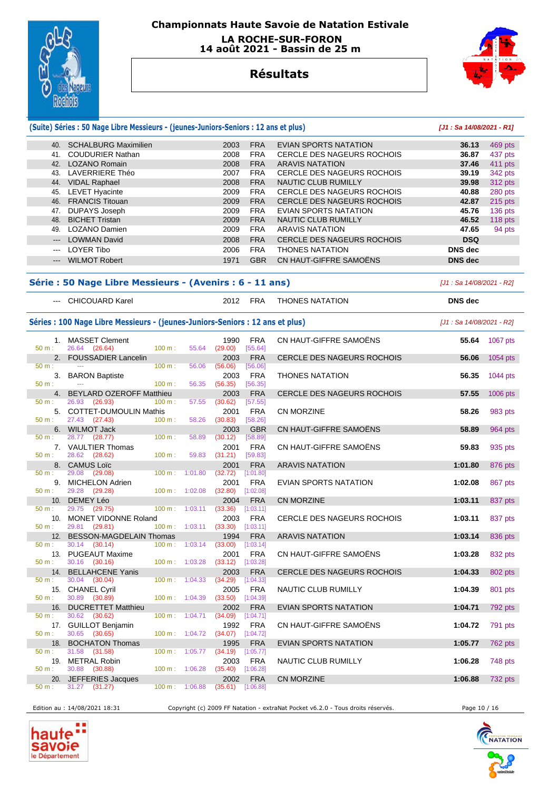

 **LA ROCHE-SUR-FORON 14 août 2021 - Bassin de 25 m** 



## **Résultats**

| <b>FRA</b><br>40. SCHALBURG Maximilien<br>2003<br>EVIAN SPORTS NATATION<br>36.13<br><b>FRA</b><br>41. COUDURIER Nathan<br>2008<br><b>CERCLE DES NAGEURS ROCHOIS</b><br>36.87<br><b>FRA</b><br>42. LOZANO Romain<br>2008<br>37.46<br><b>ARAVIS NATATION</b><br>43. LAVERRIERE Théo<br>2007<br><b>FRA</b><br><b>CERCLE DES NAGEURS ROCHOIS</b><br>39.19<br><b>FRA</b><br>44. VIDAL Raphael<br>2008<br>NAUTIC CLUB RUMILLY<br>39.98<br>45. LEVET Hyacinte<br>2009<br><b>FRA</b><br><b>CERCLE DES NAGEURS ROCHOIS</b><br>40.88<br>280 pts<br><b>FRA</b><br>46. FRANCIS Titouan<br>2009<br>CERCLE DES NAGEURS ROCHOIS<br>42.87<br>215 pts<br>47. DUPAYS Joseph<br><b>FRA</b><br>2009<br>EVIAN SPORTS NATATION<br>45.76<br>136 pts<br><b>FRA</b><br>48. BICHET Tristan<br>2009<br>NAUTIC CLUB RUMILLY<br>46.52<br>118 pts<br>49. LOZANO Damien<br><b>FRA</b><br>2009<br><b>ARAVIS NATATION</b><br>47.65<br>94 pts<br>--- LOWMAN David<br>2008<br><b>FRA</b><br><b>CERCLE DES NAGEURS ROCHOIS</b><br><b>DSQ</b><br><b>LOYER Tibo</b><br><b>FRA</b><br><b>DNS</b> dec<br>2006<br><b>THONES NATATION</b><br>$\sim$<br><b>WILMOT Robert</b><br>1971<br><b>GBR</b><br>CN HAUT-GIFFRE SAMOËNS<br><b>DNS</b> dec<br>$\qquad \qquad - -$<br>Série : 50 Nage Libre Messieurs - (Avenirs : 6 - 11 ans)<br>[J1 : Sa 14/08/2021 - R2]<br>--- CHICOUARD Karel<br>2012<br>FRA<br><b>THONES NATATION</b><br><b>DNS</b> dec<br>Séries : 100 Nage Libre Messieurs - (jeunes-Juniors-Seniors : 12 ans et plus)<br>[J1 : Sa 14/08/2021 - R2]<br>CN HAUT-GIFFRE SAMOËNS<br>1. MASSET Clement<br>1990<br><b>FRA</b><br>55.64<br>50 m:<br>26.64 (26.64)<br>100 m:<br>55.64<br>(29.00)<br>[55.64]<br>2. FOUSSADIER Lancelin<br>2003<br><b>FRA</b><br><b>CERCLE DES NAGEURS ROCHOIS</b><br>56.06<br>1054 pts<br>50 m:<br>100 m:<br>56.06<br>(56.06)<br>[56.06]<br>3. BARON Baptiste<br><b>FRA</b><br><b>THONES NATATION</b><br>2003<br>56.35<br>1044 pts<br>$50 m$ :<br>100 m:<br>56.35<br>(56.35)<br>[56.35]<br>4. BEYLARD OZEROFF Matthieu<br>2003<br><b>FRA</b><br><b>CERCLE DES NAGEURS ROCHOIS</b><br>57.55<br>1006 pts<br>$100 m$ :<br>50 m:<br>26.93 (26.93)<br>57.55<br>(30.62)<br>[57.55]<br>5. COTTET-DUMOULIN Mathis<br>2001<br><b>FRA</b><br><b>CN MORZINE</b><br>58.26<br>983 pts<br>100 m:<br>58.26<br>50 m:<br>27.43 (27.43)<br>(30.83)<br>[58.26]<br>CN HAUT-GIFFRE SAMOËNS<br>6. WILMOT Jack<br>2003<br><b>GBR</b><br>58.89<br>964 pts<br>100 m:<br>28.77 (28.77)<br>58.89<br>(30.12)<br>[58.89]<br>50 m:<br>CN HAUT-GIFFRE SAMOËNS<br>7. VAULTIER Thomas<br>2001<br><b>FRA</b><br>59.83<br>935 pts<br>28.62 (28.62)<br>100 m:<br>59.83<br>(31.21)<br>[59.83]<br>50 m:<br>8. CAMUS Loïc<br>2001<br><b>FRA</b><br><b>ARAVIS NATATION</b><br>1:01.80<br>876 pts<br>29.08 (29.08)<br>(32.72)<br>[1:01.80]<br>50 m:<br>100 m: 1:01.80<br><b>FRA</b><br>9. MICHELON Adrien<br>2001<br>EVIAN SPORTS NATATION<br>1:02.08<br>867 pts<br>29.28<br>100 m: 1:02.08<br>(32.80)<br>[1:02.08]<br>$50 m$ :<br>(29.28)<br>DEMEY Léo<br>2004<br><b>FRA</b><br><b>CN MORZINE</b><br>1:03.11<br>10.<br>837 pts<br>[1:03.11]<br>50 m:<br>29.75<br>(29.75)<br>$100 \text{ m}$ :<br>1:03.11<br>(33.36)<br>10. MONET VIDONNE Roland<br>2003<br><b>FRA</b><br><b>CERCLE DES NAGEURS ROCHOIS</b><br>1:03.11<br>837 pts<br>100 m:<br>1:03.11<br>50 m:<br>29.81 (29.81)<br>(33.30)<br>[1:03.11]<br><b>FRA</b><br>12. BESSON-MAGDELAIN Thomas<br><b>ARAVIS NATATION</b><br>1:03.14<br>1994<br>836 pts<br>50 m:<br>30.14 (30.14)<br>$100 \text{ m}: 1:03.14$<br>$(33.00)$ [1:03.14]<br>CN HAUT-GIFFRE SAMOËNS<br>1:03.28<br>832 pts<br>13. PUGEAUT Maxime<br>2001<br><b>FRA</b><br>50 m:<br>30.16 (30.16)<br>100 m: 1:03.28<br>$(33.12)$ [1:03.28]<br>14.<br><b>BELLAHCENE Yanis</b><br>2003<br><b>FRA</b><br><b>CERCLE DES NAGEURS ROCHOIS</b><br>1:04.33<br>802 pts<br>30.04 (30.04)<br>(34.29)<br>[1:04.33]<br>$50 m$ :<br>$100 \text{ m}: 1:04.33$<br><b>FRA</b><br>1:04.39<br>15. CHANEL Cyril<br>2005<br>NAUTIC CLUB RUMILLY<br>801 pts<br>30.89 (30.89)<br>100 m: 1:04.39<br>(33.50)<br>[1:04.39]<br>50 m:<br><b>DUCRETTET Matthieu</b><br><b>EVIAN SPORTS NATATION</b><br>1:04.71<br>792 pts<br>16.<br>2002<br><b>FRA</b><br>30.62 (30.62)<br>50 m:<br>100 m:<br>1:04.71<br>(34.09)<br>[1:04.71]<br>17. GUILLOT Benjamin<br>1992<br><b>FRA</b><br>CN HAUT-GIFFRE SAMOËNS<br>1:04.72<br>791 pts<br>30.65 (30.65)<br>100 m: 1:04.72<br>50 m:<br>(34.07)<br>[1:04.72]<br><b>BOCHATON Thomas</b><br>1:05.77<br>18.<br>1995<br><b>FRA</b><br>EVIAN SPORTS NATATION<br><b>762 pts</b><br>(34.19)<br>31.58 (31.58)<br>100 m:<br>1:05.77<br>[1:05.77]<br>50 m:<br><b>METRAL Robin</b><br>2003<br><b>FRA</b><br>1:06.28<br>19.<br>NAUTIC CLUB RUMILLY<br>748 pts<br>50 m:<br>30.88 (30.88)<br>$100 \text{ m}: 1:06.28$<br>(35.40)<br>[1:06.28]<br>JEFFERIES Jacques<br>2002<br><b>FRA</b><br>CN MORZINE<br>1:06.88<br>20.<br>732 pts<br>100 m: 1:06.88 |          | (Suite) Séries : 50 Nage Libre Messieurs - (jeunes-Juniors-Seniors : 12 ans et plus) |  |         |           | [J1: Sa 14/08/2021 - R1] |          |
|-------------------------------------------------------------------------------------------------------------------------------------------------------------------------------------------------------------------------------------------------------------------------------------------------------------------------------------------------------------------------------------------------------------------------------------------------------------------------------------------------------------------------------------------------------------------------------------------------------------------------------------------------------------------------------------------------------------------------------------------------------------------------------------------------------------------------------------------------------------------------------------------------------------------------------------------------------------------------------------------------------------------------------------------------------------------------------------------------------------------------------------------------------------------------------------------------------------------------------------------------------------------------------------------------------------------------------------------------------------------------------------------------------------------------------------------------------------------------------------------------------------------------------------------------------------------------------------------------------------------------------------------------------------------------------------------------------------------------------------------------------------------------------------------------------------------------------------------------------------------------------------------------------------------------------------------------------------------------------------------------------------------------------------------------------------------------------------------------------------------------------------------------------------------------------------------------------------------------------------------------------------------------------------------------------------------------------------------------------------------------------------------------------------------------------------------------------------------------------------------------------------------------------------------------------------------------------------------------------------------------------------------------------------------------------------------------------------------------------------------------------------------------------------------------------------------------------------------------------------------------------------------------------------------------------------------------------------------------------------------------------------------------------------------------------------------------------------------------------------------------------------------------------------------------------------------------------------------------------------------------------------------------------------------------------------------------------------------------------------------------------------------------------------------------------------------------------------------------------------------------------------------------------------------------------------------------------------------------------------------------------------------------------------------------------------------------------------------------------------------------------------------------------------------------------------------------------------------------------------------------------------------------------------------------------------------------------------------------------------------------------------------------------------------------------------------------------------------------------------------------------------------------------------------------------------------------------------------------------------------------------------------------------------------------------------------------------------------------------------------------------------------------------------------------------------------------------------------------------------------------------------------------------------------------------------------------------------------------------------------------------------------------------------------------------------------------------------------------------------------------------------------------------------------------------------------------------------------------------------------------------------------------------------|----------|--------------------------------------------------------------------------------------|--|---------|-----------|--------------------------|----------|
|                                                                                                                                                                                                                                                                                                                                                                                                                                                                                                                                                                                                                                                                                                                                                                                                                                                                                                                                                                                                                                                                                                                                                                                                                                                                                                                                                                                                                                                                                                                                                                                                                                                                                                                                                                                                                                                                                                                                                                                                                                                                                                                                                                                                                                                                                                                                                                                                                                                                                                                                                                                                                                                                                                                                                                                                                                                                                                                                                                                                                                                                                                                                                                                                                                                                                                                                                                                                                                                                                                                                                                                                                                                                                                                                                                                                                                                                                                                                                                                                                                                                                                                                                                                                                                                                                                                                                                                                                                                                                                                                                                                                                                                                                                                                                                                                                                                                                                             |          |                                                                                      |  |         |           |                          | 469 pts  |
|                                                                                                                                                                                                                                                                                                                                                                                                                                                                                                                                                                                                                                                                                                                                                                                                                                                                                                                                                                                                                                                                                                                                                                                                                                                                                                                                                                                                                                                                                                                                                                                                                                                                                                                                                                                                                                                                                                                                                                                                                                                                                                                                                                                                                                                                                                                                                                                                                                                                                                                                                                                                                                                                                                                                                                                                                                                                                                                                                                                                                                                                                                                                                                                                                                                                                                                                                                                                                                                                                                                                                                                                                                                                                                                                                                                                                                                                                                                                                                                                                                                                                                                                                                                                                                                                                                                                                                                                                                                                                                                                                                                                                                                                                                                                                                                                                                                                                                             |          |                                                                                      |  |         |           |                          | 437 pts  |
|                                                                                                                                                                                                                                                                                                                                                                                                                                                                                                                                                                                                                                                                                                                                                                                                                                                                                                                                                                                                                                                                                                                                                                                                                                                                                                                                                                                                                                                                                                                                                                                                                                                                                                                                                                                                                                                                                                                                                                                                                                                                                                                                                                                                                                                                                                                                                                                                                                                                                                                                                                                                                                                                                                                                                                                                                                                                                                                                                                                                                                                                                                                                                                                                                                                                                                                                                                                                                                                                                                                                                                                                                                                                                                                                                                                                                                                                                                                                                                                                                                                                                                                                                                                                                                                                                                                                                                                                                                                                                                                                                                                                                                                                                                                                                                                                                                                                                                             |          |                                                                                      |  |         |           |                          | 411 pts  |
|                                                                                                                                                                                                                                                                                                                                                                                                                                                                                                                                                                                                                                                                                                                                                                                                                                                                                                                                                                                                                                                                                                                                                                                                                                                                                                                                                                                                                                                                                                                                                                                                                                                                                                                                                                                                                                                                                                                                                                                                                                                                                                                                                                                                                                                                                                                                                                                                                                                                                                                                                                                                                                                                                                                                                                                                                                                                                                                                                                                                                                                                                                                                                                                                                                                                                                                                                                                                                                                                                                                                                                                                                                                                                                                                                                                                                                                                                                                                                                                                                                                                                                                                                                                                                                                                                                                                                                                                                                                                                                                                                                                                                                                                                                                                                                                                                                                                                                             |          |                                                                                      |  |         |           |                          | 342 pts  |
|                                                                                                                                                                                                                                                                                                                                                                                                                                                                                                                                                                                                                                                                                                                                                                                                                                                                                                                                                                                                                                                                                                                                                                                                                                                                                                                                                                                                                                                                                                                                                                                                                                                                                                                                                                                                                                                                                                                                                                                                                                                                                                                                                                                                                                                                                                                                                                                                                                                                                                                                                                                                                                                                                                                                                                                                                                                                                                                                                                                                                                                                                                                                                                                                                                                                                                                                                                                                                                                                                                                                                                                                                                                                                                                                                                                                                                                                                                                                                                                                                                                                                                                                                                                                                                                                                                                                                                                                                                                                                                                                                                                                                                                                                                                                                                                                                                                                                                             |          |                                                                                      |  |         |           |                          | 312 pts  |
|                                                                                                                                                                                                                                                                                                                                                                                                                                                                                                                                                                                                                                                                                                                                                                                                                                                                                                                                                                                                                                                                                                                                                                                                                                                                                                                                                                                                                                                                                                                                                                                                                                                                                                                                                                                                                                                                                                                                                                                                                                                                                                                                                                                                                                                                                                                                                                                                                                                                                                                                                                                                                                                                                                                                                                                                                                                                                                                                                                                                                                                                                                                                                                                                                                                                                                                                                                                                                                                                                                                                                                                                                                                                                                                                                                                                                                                                                                                                                                                                                                                                                                                                                                                                                                                                                                                                                                                                                                                                                                                                                                                                                                                                                                                                                                                                                                                                                                             |          |                                                                                      |  |         |           |                          |          |
|                                                                                                                                                                                                                                                                                                                                                                                                                                                                                                                                                                                                                                                                                                                                                                                                                                                                                                                                                                                                                                                                                                                                                                                                                                                                                                                                                                                                                                                                                                                                                                                                                                                                                                                                                                                                                                                                                                                                                                                                                                                                                                                                                                                                                                                                                                                                                                                                                                                                                                                                                                                                                                                                                                                                                                                                                                                                                                                                                                                                                                                                                                                                                                                                                                                                                                                                                                                                                                                                                                                                                                                                                                                                                                                                                                                                                                                                                                                                                                                                                                                                                                                                                                                                                                                                                                                                                                                                                                                                                                                                                                                                                                                                                                                                                                                                                                                                                                             |          |                                                                                      |  |         |           |                          |          |
|                                                                                                                                                                                                                                                                                                                                                                                                                                                                                                                                                                                                                                                                                                                                                                                                                                                                                                                                                                                                                                                                                                                                                                                                                                                                                                                                                                                                                                                                                                                                                                                                                                                                                                                                                                                                                                                                                                                                                                                                                                                                                                                                                                                                                                                                                                                                                                                                                                                                                                                                                                                                                                                                                                                                                                                                                                                                                                                                                                                                                                                                                                                                                                                                                                                                                                                                                                                                                                                                                                                                                                                                                                                                                                                                                                                                                                                                                                                                                                                                                                                                                                                                                                                                                                                                                                                                                                                                                                                                                                                                                                                                                                                                                                                                                                                                                                                                                                             |          |                                                                                      |  |         |           |                          |          |
|                                                                                                                                                                                                                                                                                                                                                                                                                                                                                                                                                                                                                                                                                                                                                                                                                                                                                                                                                                                                                                                                                                                                                                                                                                                                                                                                                                                                                                                                                                                                                                                                                                                                                                                                                                                                                                                                                                                                                                                                                                                                                                                                                                                                                                                                                                                                                                                                                                                                                                                                                                                                                                                                                                                                                                                                                                                                                                                                                                                                                                                                                                                                                                                                                                                                                                                                                                                                                                                                                                                                                                                                                                                                                                                                                                                                                                                                                                                                                                                                                                                                                                                                                                                                                                                                                                                                                                                                                                                                                                                                                                                                                                                                                                                                                                                                                                                                                                             |          |                                                                                      |  |         |           |                          |          |
|                                                                                                                                                                                                                                                                                                                                                                                                                                                                                                                                                                                                                                                                                                                                                                                                                                                                                                                                                                                                                                                                                                                                                                                                                                                                                                                                                                                                                                                                                                                                                                                                                                                                                                                                                                                                                                                                                                                                                                                                                                                                                                                                                                                                                                                                                                                                                                                                                                                                                                                                                                                                                                                                                                                                                                                                                                                                                                                                                                                                                                                                                                                                                                                                                                                                                                                                                                                                                                                                                                                                                                                                                                                                                                                                                                                                                                                                                                                                                                                                                                                                                                                                                                                                                                                                                                                                                                                                                                                                                                                                                                                                                                                                                                                                                                                                                                                                                                             |          |                                                                                      |  |         |           |                          |          |
|                                                                                                                                                                                                                                                                                                                                                                                                                                                                                                                                                                                                                                                                                                                                                                                                                                                                                                                                                                                                                                                                                                                                                                                                                                                                                                                                                                                                                                                                                                                                                                                                                                                                                                                                                                                                                                                                                                                                                                                                                                                                                                                                                                                                                                                                                                                                                                                                                                                                                                                                                                                                                                                                                                                                                                                                                                                                                                                                                                                                                                                                                                                                                                                                                                                                                                                                                                                                                                                                                                                                                                                                                                                                                                                                                                                                                                                                                                                                                                                                                                                                                                                                                                                                                                                                                                                                                                                                                                                                                                                                                                                                                                                                                                                                                                                                                                                                                                             |          |                                                                                      |  |         |           |                          |          |
|                                                                                                                                                                                                                                                                                                                                                                                                                                                                                                                                                                                                                                                                                                                                                                                                                                                                                                                                                                                                                                                                                                                                                                                                                                                                                                                                                                                                                                                                                                                                                                                                                                                                                                                                                                                                                                                                                                                                                                                                                                                                                                                                                                                                                                                                                                                                                                                                                                                                                                                                                                                                                                                                                                                                                                                                                                                                                                                                                                                                                                                                                                                                                                                                                                                                                                                                                                                                                                                                                                                                                                                                                                                                                                                                                                                                                                                                                                                                                                                                                                                                                                                                                                                                                                                                                                                                                                                                                                                                                                                                                                                                                                                                                                                                                                                                                                                                                                             |          |                                                                                      |  |         |           |                          |          |
|                                                                                                                                                                                                                                                                                                                                                                                                                                                                                                                                                                                                                                                                                                                                                                                                                                                                                                                                                                                                                                                                                                                                                                                                                                                                                                                                                                                                                                                                                                                                                                                                                                                                                                                                                                                                                                                                                                                                                                                                                                                                                                                                                                                                                                                                                                                                                                                                                                                                                                                                                                                                                                                                                                                                                                                                                                                                                                                                                                                                                                                                                                                                                                                                                                                                                                                                                                                                                                                                                                                                                                                                                                                                                                                                                                                                                                                                                                                                                                                                                                                                                                                                                                                                                                                                                                                                                                                                                                                                                                                                                                                                                                                                                                                                                                                                                                                                                                             |          |                                                                                      |  |         |           |                          |          |
|                                                                                                                                                                                                                                                                                                                                                                                                                                                                                                                                                                                                                                                                                                                                                                                                                                                                                                                                                                                                                                                                                                                                                                                                                                                                                                                                                                                                                                                                                                                                                                                                                                                                                                                                                                                                                                                                                                                                                                                                                                                                                                                                                                                                                                                                                                                                                                                                                                                                                                                                                                                                                                                                                                                                                                                                                                                                                                                                                                                                                                                                                                                                                                                                                                                                                                                                                                                                                                                                                                                                                                                                                                                                                                                                                                                                                                                                                                                                                                                                                                                                                                                                                                                                                                                                                                                                                                                                                                                                                                                                                                                                                                                                                                                                                                                                                                                                                                             |          |                                                                                      |  |         |           |                          |          |
|                                                                                                                                                                                                                                                                                                                                                                                                                                                                                                                                                                                                                                                                                                                                                                                                                                                                                                                                                                                                                                                                                                                                                                                                                                                                                                                                                                                                                                                                                                                                                                                                                                                                                                                                                                                                                                                                                                                                                                                                                                                                                                                                                                                                                                                                                                                                                                                                                                                                                                                                                                                                                                                                                                                                                                                                                                                                                                                                                                                                                                                                                                                                                                                                                                                                                                                                                                                                                                                                                                                                                                                                                                                                                                                                                                                                                                                                                                                                                                                                                                                                                                                                                                                                                                                                                                                                                                                                                                                                                                                                                                                                                                                                                                                                                                                                                                                                                                             |          |                                                                                      |  |         |           |                          |          |
|                                                                                                                                                                                                                                                                                                                                                                                                                                                                                                                                                                                                                                                                                                                                                                                                                                                                                                                                                                                                                                                                                                                                                                                                                                                                                                                                                                                                                                                                                                                                                                                                                                                                                                                                                                                                                                                                                                                                                                                                                                                                                                                                                                                                                                                                                                                                                                                                                                                                                                                                                                                                                                                                                                                                                                                                                                                                                                                                                                                                                                                                                                                                                                                                                                                                                                                                                                                                                                                                                                                                                                                                                                                                                                                                                                                                                                                                                                                                                                                                                                                                                                                                                                                                                                                                                                                                                                                                                                                                                                                                                                                                                                                                                                                                                                                                                                                                                                             |          |                                                                                      |  |         |           |                          |          |
|                                                                                                                                                                                                                                                                                                                                                                                                                                                                                                                                                                                                                                                                                                                                                                                                                                                                                                                                                                                                                                                                                                                                                                                                                                                                                                                                                                                                                                                                                                                                                                                                                                                                                                                                                                                                                                                                                                                                                                                                                                                                                                                                                                                                                                                                                                                                                                                                                                                                                                                                                                                                                                                                                                                                                                                                                                                                                                                                                                                                                                                                                                                                                                                                                                                                                                                                                                                                                                                                                                                                                                                                                                                                                                                                                                                                                                                                                                                                                                                                                                                                                                                                                                                                                                                                                                                                                                                                                                                                                                                                                                                                                                                                                                                                                                                                                                                                                                             |          |                                                                                      |  |         |           |                          |          |
|                                                                                                                                                                                                                                                                                                                                                                                                                                                                                                                                                                                                                                                                                                                                                                                                                                                                                                                                                                                                                                                                                                                                                                                                                                                                                                                                                                                                                                                                                                                                                                                                                                                                                                                                                                                                                                                                                                                                                                                                                                                                                                                                                                                                                                                                                                                                                                                                                                                                                                                                                                                                                                                                                                                                                                                                                                                                                                                                                                                                                                                                                                                                                                                                                                                                                                                                                                                                                                                                                                                                                                                                                                                                                                                                                                                                                                                                                                                                                                                                                                                                                                                                                                                                                                                                                                                                                                                                                                                                                                                                                                                                                                                                                                                                                                                                                                                                                                             |          |                                                                                      |  |         |           |                          | 1067 pts |
|                                                                                                                                                                                                                                                                                                                                                                                                                                                                                                                                                                                                                                                                                                                                                                                                                                                                                                                                                                                                                                                                                                                                                                                                                                                                                                                                                                                                                                                                                                                                                                                                                                                                                                                                                                                                                                                                                                                                                                                                                                                                                                                                                                                                                                                                                                                                                                                                                                                                                                                                                                                                                                                                                                                                                                                                                                                                                                                                                                                                                                                                                                                                                                                                                                                                                                                                                                                                                                                                                                                                                                                                                                                                                                                                                                                                                                                                                                                                                                                                                                                                                                                                                                                                                                                                                                                                                                                                                                                                                                                                                                                                                                                                                                                                                                                                                                                                                                             |          |                                                                                      |  |         |           |                          |          |
|                                                                                                                                                                                                                                                                                                                                                                                                                                                                                                                                                                                                                                                                                                                                                                                                                                                                                                                                                                                                                                                                                                                                                                                                                                                                                                                                                                                                                                                                                                                                                                                                                                                                                                                                                                                                                                                                                                                                                                                                                                                                                                                                                                                                                                                                                                                                                                                                                                                                                                                                                                                                                                                                                                                                                                                                                                                                                                                                                                                                                                                                                                                                                                                                                                                                                                                                                                                                                                                                                                                                                                                                                                                                                                                                                                                                                                                                                                                                                                                                                                                                                                                                                                                                                                                                                                                                                                                                                                                                                                                                                                                                                                                                                                                                                                                                                                                                                                             |          |                                                                                      |  |         |           |                          |          |
|                                                                                                                                                                                                                                                                                                                                                                                                                                                                                                                                                                                                                                                                                                                                                                                                                                                                                                                                                                                                                                                                                                                                                                                                                                                                                                                                                                                                                                                                                                                                                                                                                                                                                                                                                                                                                                                                                                                                                                                                                                                                                                                                                                                                                                                                                                                                                                                                                                                                                                                                                                                                                                                                                                                                                                                                                                                                                                                                                                                                                                                                                                                                                                                                                                                                                                                                                                                                                                                                                                                                                                                                                                                                                                                                                                                                                                                                                                                                                                                                                                                                                                                                                                                                                                                                                                                                                                                                                                                                                                                                                                                                                                                                                                                                                                                                                                                                                                             |          |                                                                                      |  |         |           |                          |          |
|                                                                                                                                                                                                                                                                                                                                                                                                                                                                                                                                                                                                                                                                                                                                                                                                                                                                                                                                                                                                                                                                                                                                                                                                                                                                                                                                                                                                                                                                                                                                                                                                                                                                                                                                                                                                                                                                                                                                                                                                                                                                                                                                                                                                                                                                                                                                                                                                                                                                                                                                                                                                                                                                                                                                                                                                                                                                                                                                                                                                                                                                                                                                                                                                                                                                                                                                                                                                                                                                                                                                                                                                                                                                                                                                                                                                                                                                                                                                                                                                                                                                                                                                                                                                                                                                                                                                                                                                                                                                                                                                                                                                                                                                                                                                                                                                                                                                                                             |          |                                                                                      |  |         |           |                          |          |
|                                                                                                                                                                                                                                                                                                                                                                                                                                                                                                                                                                                                                                                                                                                                                                                                                                                                                                                                                                                                                                                                                                                                                                                                                                                                                                                                                                                                                                                                                                                                                                                                                                                                                                                                                                                                                                                                                                                                                                                                                                                                                                                                                                                                                                                                                                                                                                                                                                                                                                                                                                                                                                                                                                                                                                                                                                                                                                                                                                                                                                                                                                                                                                                                                                                                                                                                                                                                                                                                                                                                                                                                                                                                                                                                                                                                                                                                                                                                                                                                                                                                                                                                                                                                                                                                                                                                                                                                                                                                                                                                                                                                                                                                                                                                                                                                                                                                                                             |          |                                                                                      |  |         |           |                          |          |
|                                                                                                                                                                                                                                                                                                                                                                                                                                                                                                                                                                                                                                                                                                                                                                                                                                                                                                                                                                                                                                                                                                                                                                                                                                                                                                                                                                                                                                                                                                                                                                                                                                                                                                                                                                                                                                                                                                                                                                                                                                                                                                                                                                                                                                                                                                                                                                                                                                                                                                                                                                                                                                                                                                                                                                                                                                                                                                                                                                                                                                                                                                                                                                                                                                                                                                                                                                                                                                                                                                                                                                                                                                                                                                                                                                                                                                                                                                                                                                                                                                                                                                                                                                                                                                                                                                                                                                                                                                                                                                                                                                                                                                                                                                                                                                                                                                                                                                             |          |                                                                                      |  |         |           |                          |          |
|                                                                                                                                                                                                                                                                                                                                                                                                                                                                                                                                                                                                                                                                                                                                                                                                                                                                                                                                                                                                                                                                                                                                                                                                                                                                                                                                                                                                                                                                                                                                                                                                                                                                                                                                                                                                                                                                                                                                                                                                                                                                                                                                                                                                                                                                                                                                                                                                                                                                                                                                                                                                                                                                                                                                                                                                                                                                                                                                                                                                                                                                                                                                                                                                                                                                                                                                                                                                                                                                                                                                                                                                                                                                                                                                                                                                                                                                                                                                                                                                                                                                                                                                                                                                                                                                                                                                                                                                                                                                                                                                                                                                                                                                                                                                                                                                                                                                                                             |          |                                                                                      |  |         |           |                          |          |
|                                                                                                                                                                                                                                                                                                                                                                                                                                                                                                                                                                                                                                                                                                                                                                                                                                                                                                                                                                                                                                                                                                                                                                                                                                                                                                                                                                                                                                                                                                                                                                                                                                                                                                                                                                                                                                                                                                                                                                                                                                                                                                                                                                                                                                                                                                                                                                                                                                                                                                                                                                                                                                                                                                                                                                                                                                                                                                                                                                                                                                                                                                                                                                                                                                                                                                                                                                                                                                                                                                                                                                                                                                                                                                                                                                                                                                                                                                                                                                                                                                                                                                                                                                                                                                                                                                                                                                                                                                                                                                                                                                                                                                                                                                                                                                                                                                                                                                             |          |                                                                                      |  |         |           |                          |          |
|                                                                                                                                                                                                                                                                                                                                                                                                                                                                                                                                                                                                                                                                                                                                                                                                                                                                                                                                                                                                                                                                                                                                                                                                                                                                                                                                                                                                                                                                                                                                                                                                                                                                                                                                                                                                                                                                                                                                                                                                                                                                                                                                                                                                                                                                                                                                                                                                                                                                                                                                                                                                                                                                                                                                                                                                                                                                                                                                                                                                                                                                                                                                                                                                                                                                                                                                                                                                                                                                                                                                                                                                                                                                                                                                                                                                                                                                                                                                                                                                                                                                                                                                                                                                                                                                                                                                                                                                                                                                                                                                                                                                                                                                                                                                                                                                                                                                                                             |          |                                                                                      |  |         |           |                          |          |
|                                                                                                                                                                                                                                                                                                                                                                                                                                                                                                                                                                                                                                                                                                                                                                                                                                                                                                                                                                                                                                                                                                                                                                                                                                                                                                                                                                                                                                                                                                                                                                                                                                                                                                                                                                                                                                                                                                                                                                                                                                                                                                                                                                                                                                                                                                                                                                                                                                                                                                                                                                                                                                                                                                                                                                                                                                                                                                                                                                                                                                                                                                                                                                                                                                                                                                                                                                                                                                                                                                                                                                                                                                                                                                                                                                                                                                                                                                                                                                                                                                                                                                                                                                                                                                                                                                                                                                                                                                                                                                                                                                                                                                                                                                                                                                                                                                                                                                             |          |                                                                                      |  |         |           |                          |          |
|                                                                                                                                                                                                                                                                                                                                                                                                                                                                                                                                                                                                                                                                                                                                                                                                                                                                                                                                                                                                                                                                                                                                                                                                                                                                                                                                                                                                                                                                                                                                                                                                                                                                                                                                                                                                                                                                                                                                                                                                                                                                                                                                                                                                                                                                                                                                                                                                                                                                                                                                                                                                                                                                                                                                                                                                                                                                                                                                                                                                                                                                                                                                                                                                                                                                                                                                                                                                                                                                                                                                                                                                                                                                                                                                                                                                                                                                                                                                                                                                                                                                                                                                                                                                                                                                                                                                                                                                                                                                                                                                                                                                                                                                                                                                                                                                                                                                                                             |          |                                                                                      |  |         |           |                          |          |
|                                                                                                                                                                                                                                                                                                                                                                                                                                                                                                                                                                                                                                                                                                                                                                                                                                                                                                                                                                                                                                                                                                                                                                                                                                                                                                                                                                                                                                                                                                                                                                                                                                                                                                                                                                                                                                                                                                                                                                                                                                                                                                                                                                                                                                                                                                                                                                                                                                                                                                                                                                                                                                                                                                                                                                                                                                                                                                                                                                                                                                                                                                                                                                                                                                                                                                                                                                                                                                                                                                                                                                                                                                                                                                                                                                                                                                                                                                                                                                                                                                                                                                                                                                                                                                                                                                                                                                                                                                                                                                                                                                                                                                                                                                                                                                                                                                                                                                             |          |                                                                                      |  |         |           |                          |          |
|                                                                                                                                                                                                                                                                                                                                                                                                                                                                                                                                                                                                                                                                                                                                                                                                                                                                                                                                                                                                                                                                                                                                                                                                                                                                                                                                                                                                                                                                                                                                                                                                                                                                                                                                                                                                                                                                                                                                                                                                                                                                                                                                                                                                                                                                                                                                                                                                                                                                                                                                                                                                                                                                                                                                                                                                                                                                                                                                                                                                                                                                                                                                                                                                                                                                                                                                                                                                                                                                                                                                                                                                                                                                                                                                                                                                                                                                                                                                                                                                                                                                                                                                                                                                                                                                                                                                                                                                                                                                                                                                                                                                                                                                                                                                                                                                                                                                                                             |          |                                                                                      |  |         |           |                          |          |
|                                                                                                                                                                                                                                                                                                                                                                                                                                                                                                                                                                                                                                                                                                                                                                                                                                                                                                                                                                                                                                                                                                                                                                                                                                                                                                                                                                                                                                                                                                                                                                                                                                                                                                                                                                                                                                                                                                                                                                                                                                                                                                                                                                                                                                                                                                                                                                                                                                                                                                                                                                                                                                                                                                                                                                                                                                                                                                                                                                                                                                                                                                                                                                                                                                                                                                                                                                                                                                                                                                                                                                                                                                                                                                                                                                                                                                                                                                                                                                                                                                                                                                                                                                                                                                                                                                                                                                                                                                                                                                                                                                                                                                                                                                                                                                                                                                                                                                             |          |                                                                                      |  |         |           |                          |          |
|                                                                                                                                                                                                                                                                                                                                                                                                                                                                                                                                                                                                                                                                                                                                                                                                                                                                                                                                                                                                                                                                                                                                                                                                                                                                                                                                                                                                                                                                                                                                                                                                                                                                                                                                                                                                                                                                                                                                                                                                                                                                                                                                                                                                                                                                                                                                                                                                                                                                                                                                                                                                                                                                                                                                                                                                                                                                                                                                                                                                                                                                                                                                                                                                                                                                                                                                                                                                                                                                                                                                                                                                                                                                                                                                                                                                                                                                                                                                                                                                                                                                                                                                                                                                                                                                                                                                                                                                                                                                                                                                                                                                                                                                                                                                                                                                                                                                                                             |          |                                                                                      |  |         |           |                          |          |
|                                                                                                                                                                                                                                                                                                                                                                                                                                                                                                                                                                                                                                                                                                                                                                                                                                                                                                                                                                                                                                                                                                                                                                                                                                                                                                                                                                                                                                                                                                                                                                                                                                                                                                                                                                                                                                                                                                                                                                                                                                                                                                                                                                                                                                                                                                                                                                                                                                                                                                                                                                                                                                                                                                                                                                                                                                                                                                                                                                                                                                                                                                                                                                                                                                                                                                                                                                                                                                                                                                                                                                                                                                                                                                                                                                                                                                                                                                                                                                                                                                                                                                                                                                                                                                                                                                                                                                                                                                                                                                                                                                                                                                                                                                                                                                                                                                                                                                             |          |                                                                                      |  |         |           |                          |          |
|                                                                                                                                                                                                                                                                                                                                                                                                                                                                                                                                                                                                                                                                                                                                                                                                                                                                                                                                                                                                                                                                                                                                                                                                                                                                                                                                                                                                                                                                                                                                                                                                                                                                                                                                                                                                                                                                                                                                                                                                                                                                                                                                                                                                                                                                                                                                                                                                                                                                                                                                                                                                                                                                                                                                                                                                                                                                                                                                                                                                                                                                                                                                                                                                                                                                                                                                                                                                                                                                                                                                                                                                                                                                                                                                                                                                                                                                                                                                                                                                                                                                                                                                                                                                                                                                                                                                                                                                                                                                                                                                                                                                                                                                                                                                                                                                                                                                                                             |          |                                                                                      |  |         |           |                          |          |
|                                                                                                                                                                                                                                                                                                                                                                                                                                                                                                                                                                                                                                                                                                                                                                                                                                                                                                                                                                                                                                                                                                                                                                                                                                                                                                                                                                                                                                                                                                                                                                                                                                                                                                                                                                                                                                                                                                                                                                                                                                                                                                                                                                                                                                                                                                                                                                                                                                                                                                                                                                                                                                                                                                                                                                                                                                                                                                                                                                                                                                                                                                                                                                                                                                                                                                                                                                                                                                                                                                                                                                                                                                                                                                                                                                                                                                                                                                                                                                                                                                                                                                                                                                                                                                                                                                                                                                                                                                                                                                                                                                                                                                                                                                                                                                                                                                                                                                             |          |                                                                                      |  |         |           |                          |          |
|                                                                                                                                                                                                                                                                                                                                                                                                                                                                                                                                                                                                                                                                                                                                                                                                                                                                                                                                                                                                                                                                                                                                                                                                                                                                                                                                                                                                                                                                                                                                                                                                                                                                                                                                                                                                                                                                                                                                                                                                                                                                                                                                                                                                                                                                                                                                                                                                                                                                                                                                                                                                                                                                                                                                                                                                                                                                                                                                                                                                                                                                                                                                                                                                                                                                                                                                                                                                                                                                                                                                                                                                                                                                                                                                                                                                                                                                                                                                                                                                                                                                                                                                                                                                                                                                                                                                                                                                                                                                                                                                                                                                                                                                                                                                                                                                                                                                                                             |          |                                                                                      |  |         |           |                          |          |
|                                                                                                                                                                                                                                                                                                                                                                                                                                                                                                                                                                                                                                                                                                                                                                                                                                                                                                                                                                                                                                                                                                                                                                                                                                                                                                                                                                                                                                                                                                                                                                                                                                                                                                                                                                                                                                                                                                                                                                                                                                                                                                                                                                                                                                                                                                                                                                                                                                                                                                                                                                                                                                                                                                                                                                                                                                                                                                                                                                                                                                                                                                                                                                                                                                                                                                                                                                                                                                                                                                                                                                                                                                                                                                                                                                                                                                                                                                                                                                                                                                                                                                                                                                                                                                                                                                                                                                                                                                                                                                                                                                                                                                                                                                                                                                                                                                                                                                             |          |                                                                                      |  |         |           |                          |          |
|                                                                                                                                                                                                                                                                                                                                                                                                                                                                                                                                                                                                                                                                                                                                                                                                                                                                                                                                                                                                                                                                                                                                                                                                                                                                                                                                                                                                                                                                                                                                                                                                                                                                                                                                                                                                                                                                                                                                                                                                                                                                                                                                                                                                                                                                                                                                                                                                                                                                                                                                                                                                                                                                                                                                                                                                                                                                                                                                                                                                                                                                                                                                                                                                                                                                                                                                                                                                                                                                                                                                                                                                                                                                                                                                                                                                                                                                                                                                                                                                                                                                                                                                                                                                                                                                                                                                                                                                                                                                                                                                                                                                                                                                                                                                                                                                                                                                                                             |          |                                                                                      |  |         |           |                          |          |
|                                                                                                                                                                                                                                                                                                                                                                                                                                                                                                                                                                                                                                                                                                                                                                                                                                                                                                                                                                                                                                                                                                                                                                                                                                                                                                                                                                                                                                                                                                                                                                                                                                                                                                                                                                                                                                                                                                                                                                                                                                                                                                                                                                                                                                                                                                                                                                                                                                                                                                                                                                                                                                                                                                                                                                                                                                                                                                                                                                                                                                                                                                                                                                                                                                                                                                                                                                                                                                                                                                                                                                                                                                                                                                                                                                                                                                                                                                                                                                                                                                                                                                                                                                                                                                                                                                                                                                                                                                                                                                                                                                                                                                                                                                                                                                                                                                                                                                             |          |                                                                                      |  |         |           |                          |          |
|                                                                                                                                                                                                                                                                                                                                                                                                                                                                                                                                                                                                                                                                                                                                                                                                                                                                                                                                                                                                                                                                                                                                                                                                                                                                                                                                                                                                                                                                                                                                                                                                                                                                                                                                                                                                                                                                                                                                                                                                                                                                                                                                                                                                                                                                                                                                                                                                                                                                                                                                                                                                                                                                                                                                                                                                                                                                                                                                                                                                                                                                                                                                                                                                                                                                                                                                                                                                                                                                                                                                                                                                                                                                                                                                                                                                                                                                                                                                                                                                                                                                                                                                                                                                                                                                                                                                                                                                                                                                                                                                                                                                                                                                                                                                                                                                                                                                                                             |          |                                                                                      |  |         |           |                          |          |
|                                                                                                                                                                                                                                                                                                                                                                                                                                                                                                                                                                                                                                                                                                                                                                                                                                                                                                                                                                                                                                                                                                                                                                                                                                                                                                                                                                                                                                                                                                                                                                                                                                                                                                                                                                                                                                                                                                                                                                                                                                                                                                                                                                                                                                                                                                                                                                                                                                                                                                                                                                                                                                                                                                                                                                                                                                                                                                                                                                                                                                                                                                                                                                                                                                                                                                                                                                                                                                                                                                                                                                                                                                                                                                                                                                                                                                                                                                                                                                                                                                                                                                                                                                                                                                                                                                                                                                                                                                                                                                                                                                                                                                                                                                                                                                                                                                                                                                             |          |                                                                                      |  |         |           |                          |          |
|                                                                                                                                                                                                                                                                                                                                                                                                                                                                                                                                                                                                                                                                                                                                                                                                                                                                                                                                                                                                                                                                                                                                                                                                                                                                                                                                                                                                                                                                                                                                                                                                                                                                                                                                                                                                                                                                                                                                                                                                                                                                                                                                                                                                                                                                                                                                                                                                                                                                                                                                                                                                                                                                                                                                                                                                                                                                                                                                                                                                                                                                                                                                                                                                                                                                                                                                                                                                                                                                                                                                                                                                                                                                                                                                                                                                                                                                                                                                                                                                                                                                                                                                                                                                                                                                                                                                                                                                                                                                                                                                                                                                                                                                                                                                                                                                                                                                                                             |          |                                                                                      |  |         |           |                          |          |
|                                                                                                                                                                                                                                                                                                                                                                                                                                                                                                                                                                                                                                                                                                                                                                                                                                                                                                                                                                                                                                                                                                                                                                                                                                                                                                                                                                                                                                                                                                                                                                                                                                                                                                                                                                                                                                                                                                                                                                                                                                                                                                                                                                                                                                                                                                                                                                                                                                                                                                                                                                                                                                                                                                                                                                                                                                                                                                                                                                                                                                                                                                                                                                                                                                                                                                                                                                                                                                                                                                                                                                                                                                                                                                                                                                                                                                                                                                                                                                                                                                                                                                                                                                                                                                                                                                                                                                                                                                                                                                                                                                                                                                                                                                                                                                                                                                                                                                             |          |                                                                                      |  |         |           |                          |          |
|                                                                                                                                                                                                                                                                                                                                                                                                                                                                                                                                                                                                                                                                                                                                                                                                                                                                                                                                                                                                                                                                                                                                                                                                                                                                                                                                                                                                                                                                                                                                                                                                                                                                                                                                                                                                                                                                                                                                                                                                                                                                                                                                                                                                                                                                                                                                                                                                                                                                                                                                                                                                                                                                                                                                                                                                                                                                                                                                                                                                                                                                                                                                                                                                                                                                                                                                                                                                                                                                                                                                                                                                                                                                                                                                                                                                                                                                                                                                                                                                                                                                                                                                                                                                                                                                                                                                                                                                                                                                                                                                                                                                                                                                                                                                                                                                                                                                                                             |          |                                                                                      |  |         |           |                          |          |
|                                                                                                                                                                                                                                                                                                                                                                                                                                                                                                                                                                                                                                                                                                                                                                                                                                                                                                                                                                                                                                                                                                                                                                                                                                                                                                                                                                                                                                                                                                                                                                                                                                                                                                                                                                                                                                                                                                                                                                                                                                                                                                                                                                                                                                                                                                                                                                                                                                                                                                                                                                                                                                                                                                                                                                                                                                                                                                                                                                                                                                                                                                                                                                                                                                                                                                                                                                                                                                                                                                                                                                                                                                                                                                                                                                                                                                                                                                                                                                                                                                                                                                                                                                                                                                                                                                                                                                                                                                                                                                                                                                                                                                                                                                                                                                                                                                                                                                             |          |                                                                                      |  |         |           |                          |          |
|                                                                                                                                                                                                                                                                                                                                                                                                                                                                                                                                                                                                                                                                                                                                                                                                                                                                                                                                                                                                                                                                                                                                                                                                                                                                                                                                                                                                                                                                                                                                                                                                                                                                                                                                                                                                                                                                                                                                                                                                                                                                                                                                                                                                                                                                                                                                                                                                                                                                                                                                                                                                                                                                                                                                                                                                                                                                                                                                                                                                                                                                                                                                                                                                                                                                                                                                                                                                                                                                                                                                                                                                                                                                                                                                                                                                                                                                                                                                                                                                                                                                                                                                                                                                                                                                                                                                                                                                                                                                                                                                                                                                                                                                                                                                                                                                                                                                                                             |          |                                                                                      |  |         |           |                          |          |
|                                                                                                                                                                                                                                                                                                                                                                                                                                                                                                                                                                                                                                                                                                                                                                                                                                                                                                                                                                                                                                                                                                                                                                                                                                                                                                                                                                                                                                                                                                                                                                                                                                                                                                                                                                                                                                                                                                                                                                                                                                                                                                                                                                                                                                                                                                                                                                                                                                                                                                                                                                                                                                                                                                                                                                                                                                                                                                                                                                                                                                                                                                                                                                                                                                                                                                                                                                                                                                                                                                                                                                                                                                                                                                                                                                                                                                                                                                                                                                                                                                                                                                                                                                                                                                                                                                                                                                                                                                                                                                                                                                                                                                                                                                                                                                                                                                                                                                             |          |                                                                                      |  |         |           |                          |          |
|                                                                                                                                                                                                                                                                                                                                                                                                                                                                                                                                                                                                                                                                                                                                                                                                                                                                                                                                                                                                                                                                                                                                                                                                                                                                                                                                                                                                                                                                                                                                                                                                                                                                                                                                                                                                                                                                                                                                                                                                                                                                                                                                                                                                                                                                                                                                                                                                                                                                                                                                                                                                                                                                                                                                                                                                                                                                                                                                                                                                                                                                                                                                                                                                                                                                                                                                                                                                                                                                                                                                                                                                                                                                                                                                                                                                                                                                                                                                                                                                                                                                                                                                                                                                                                                                                                                                                                                                                                                                                                                                                                                                                                                                                                                                                                                                                                                                                                             |          |                                                                                      |  |         |           |                          |          |
|                                                                                                                                                                                                                                                                                                                                                                                                                                                                                                                                                                                                                                                                                                                                                                                                                                                                                                                                                                                                                                                                                                                                                                                                                                                                                                                                                                                                                                                                                                                                                                                                                                                                                                                                                                                                                                                                                                                                                                                                                                                                                                                                                                                                                                                                                                                                                                                                                                                                                                                                                                                                                                                                                                                                                                                                                                                                                                                                                                                                                                                                                                                                                                                                                                                                                                                                                                                                                                                                                                                                                                                                                                                                                                                                                                                                                                                                                                                                                                                                                                                                                                                                                                                                                                                                                                                                                                                                                                                                                                                                                                                                                                                                                                                                                                                                                                                                                                             |          |                                                                                      |  |         |           |                          |          |
|                                                                                                                                                                                                                                                                                                                                                                                                                                                                                                                                                                                                                                                                                                                                                                                                                                                                                                                                                                                                                                                                                                                                                                                                                                                                                                                                                                                                                                                                                                                                                                                                                                                                                                                                                                                                                                                                                                                                                                                                                                                                                                                                                                                                                                                                                                                                                                                                                                                                                                                                                                                                                                                                                                                                                                                                                                                                                                                                                                                                                                                                                                                                                                                                                                                                                                                                                                                                                                                                                                                                                                                                                                                                                                                                                                                                                                                                                                                                                                                                                                                                                                                                                                                                                                                                                                                                                                                                                                                                                                                                                                                                                                                                                                                                                                                                                                                                                                             |          |                                                                                      |  |         |           |                          |          |
|                                                                                                                                                                                                                                                                                                                                                                                                                                                                                                                                                                                                                                                                                                                                                                                                                                                                                                                                                                                                                                                                                                                                                                                                                                                                                                                                                                                                                                                                                                                                                                                                                                                                                                                                                                                                                                                                                                                                                                                                                                                                                                                                                                                                                                                                                                                                                                                                                                                                                                                                                                                                                                                                                                                                                                                                                                                                                                                                                                                                                                                                                                                                                                                                                                                                                                                                                                                                                                                                                                                                                                                                                                                                                                                                                                                                                                                                                                                                                                                                                                                                                                                                                                                                                                                                                                                                                                                                                                                                                                                                                                                                                                                                                                                                                                                                                                                                                                             |          |                                                                                      |  |         |           |                          |          |
|                                                                                                                                                                                                                                                                                                                                                                                                                                                                                                                                                                                                                                                                                                                                                                                                                                                                                                                                                                                                                                                                                                                                                                                                                                                                                                                                                                                                                                                                                                                                                                                                                                                                                                                                                                                                                                                                                                                                                                                                                                                                                                                                                                                                                                                                                                                                                                                                                                                                                                                                                                                                                                                                                                                                                                                                                                                                                                                                                                                                                                                                                                                                                                                                                                                                                                                                                                                                                                                                                                                                                                                                                                                                                                                                                                                                                                                                                                                                                                                                                                                                                                                                                                                                                                                                                                                                                                                                                                                                                                                                                                                                                                                                                                                                                                                                                                                                                                             |          |                                                                                      |  |         |           |                          |          |
|                                                                                                                                                                                                                                                                                                                                                                                                                                                                                                                                                                                                                                                                                                                                                                                                                                                                                                                                                                                                                                                                                                                                                                                                                                                                                                                                                                                                                                                                                                                                                                                                                                                                                                                                                                                                                                                                                                                                                                                                                                                                                                                                                                                                                                                                                                                                                                                                                                                                                                                                                                                                                                                                                                                                                                                                                                                                                                                                                                                                                                                                                                                                                                                                                                                                                                                                                                                                                                                                                                                                                                                                                                                                                                                                                                                                                                                                                                                                                                                                                                                                                                                                                                                                                                                                                                                                                                                                                                                                                                                                                                                                                                                                                                                                                                                                                                                                                                             |          |                                                                                      |  |         |           |                          |          |
|                                                                                                                                                                                                                                                                                                                                                                                                                                                                                                                                                                                                                                                                                                                                                                                                                                                                                                                                                                                                                                                                                                                                                                                                                                                                                                                                                                                                                                                                                                                                                                                                                                                                                                                                                                                                                                                                                                                                                                                                                                                                                                                                                                                                                                                                                                                                                                                                                                                                                                                                                                                                                                                                                                                                                                                                                                                                                                                                                                                                                                                                                                                                                                                                                                                                                                                                                                                                                                                                                                                                                                                                                                                                                                                                                                                                                                                                                                                                                                                                                                                                                                                                                                                                                                                                                                                                                                                                                                                                                                                                                                                                                                                                                                                                                                                                                                                                                                             | $50 m$ : | 31.27 (31.27)                                                                        |  | (35.61) | [1:06.88] |                          |          |

Edition au : 14/08/2021 18:31 Copyright (c) 2009 FF Natation - extraNat Pocket v6.2.0 - Tous droits réservés. Page 10 / 16



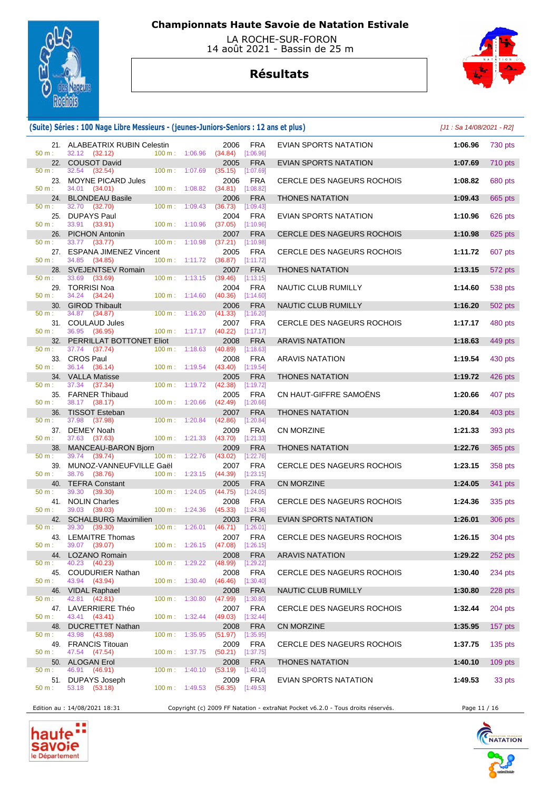

 LA ROCHE-SUR-FORON 14 août 2021 - Bassin de 25 m

# **Résultats**



### **(Suite) Séries : 100 Nage Libre Messieurs - (jeunes-Juniors-Seniors : 12 ans et plus)** [J1 : Sa 14/08/2021 - R2]

|          | 21. ALABEATRIX RUBIN Celestin |                          |                          | 2006                              | FRA         | EVIAN SPORTS NATATION             | 1:06.96 | 730 pts   |
|----------|-------------------------------|--------------------------|--------------------------|-----------------------------------|-------------|-----------------------------------|---------|-----------|
| 50 m:    | 32.12 (32.12)                 | 100 m: 1:06.96           |                          | (34.84)                           | [1:06.96]   |                                   |         |           |
|          |                               |                          |                          |                                   |             |                                   |         |           |
|          | 22. COUSOT David              |                          |                          | 2005                              | <b>FRA</b>  | <b>EVIAN SPORTS NATATION</b>      | 1:07.69 | 710 pts   |
| 50 m:    | 32.54 (32.54)                 | 100 m: 1:07.69           |                          | (35.15)                           | [1:07.69]   |                                   |         |           |
| 23.      | <b>MOYNE PICARD Jules</b>     |                          |                          | 2006                              | <b>FRA</b>  | <b>CERCLE DES NAGEURS ROCHOIS</b> | 1:08.82 | 680 pts   |
| 50 m:    | 34.01 (34.01)                 | 100 m: 1:08.82           |                          | (34.81)                           | [1:08.82]   |                                   |         |           |
|          |                               |                          |                          |                                   |             |                                   |         |           |
| 24.      | <b>BLONDEAU Basile</b>        |                          |                          | 2006                              | <b>FRA</b>  | <b>THONES NATATION</b>            | 1:09.43 | 665 pts   |
| 50 m:    | 32.70 (32.70)                 | 100 m: 1:09.43           |                          | (36.73)                           | [1:09.43]   |                                   |         |           |
|          | 25. DUPAYS Paul               |                          |                          | 2004                              | <b>FRA</b>  | EVIAN SPORTS NATATION             | 1:10.96 | 626 pts   |
| 50 m:    | 33.91 (33.91)                 | $100 \text{ m}: 1:10.96$ |                          | (37.05)                           | [1:10.96]   |                                   |         |           |
|          |                               |                          |                          |                                   |             |                                   |         |           |
|          | 26. PICHON Antonin            |                          |                          | 2007                              | <b>FRA</b>  | CERCLE DES NAGEURS ROCHOIS        | 1:10.98 | 625 pts   |
| 50 m:    | 33.77 (33.77)                 | 100 m: 1:10.98           |                          | (37.21)                           | [1:10.98]   |                                   |         |           |
|          | 27. ESPANA JIMENEZ Vincent    |                          |                          | 2005                              | FRA         | CERCLE DES NAGEURS ROCHOIS        | 1:11.72 | 607 pts   |
| 50 m:    | 34.85 (34.85)                 |                          | $100 m$ : 1:11.72        | $(36.87)$ [1:11.72]               |             |                                   |         |           |
|          |                               |                          |                          |                                   |             |                                   |         |           |
|          | 28. SVEJENTSEV Romain         |                          |                          | 2007                              | <b>FRA</b>  | <b>THONES NATATION</b>            | 1:13.15 | 572 pts   |
| 50 m:    | 33.69<br>(33.69)              | $100 \text{ m}: 1:13.15$ |                          | (39.46)                           | [1:13.15]   |                                   |         |           |
|          | 29. TORRISI Noa               |                          |                          | 2004                              | <b>FRA</b>  | NAUTIC CLUB RUMILLY               | 1:14.60 | 538 pts   |
| 50 m:    | 34.24 (34.24)                 |                          |                          | (40.36)                           |             |                                   |         |           |
|          |                               |                          | $100 \text{ m}: 1:14.60$ |                                   | [1:14.60]   |                                   |         |           |
|          | 30. GIROD Thibault            |                          |                          | 2006                              | <b>FRA</b>  | NAUTIC CLUB RUMILLY               | 1:16.20 | 502 pts   |
| 50 m:    | 34.87 (34.87)                 | 100 m: 1:16.20           |                          | (41.33)                           | [1:16.20]   |                                   |         |           |
|          | 31. COULAUD Jules             |                          |                          | 2007                              | <b>FRA</b>  | <b>CERCLE DES NAGEURS ROCHOIS</b> | 1:17.17 | 480 pts   |
|          |                               |                          |                          |                                   |             |                                   |         |           |
| 50 m:    | 36.95 (36.95)                 |                          | 100 m: 1:17.17           | (40.22)                           | [1:17.17]   |                                   |         |           |
|          | 32. PERRILLAT BOTTONET Eliot  |                          |                          | 2008                              | <b>FRA</b>  | <b>ARAVIS NATATION</b>            | 1:18.63 | 449 pts   |
| 50 m:    | 37.74 (37.74)                 |                          | $100 \text{ m}: 1:18.63$ | (40.89)                           | [1:18.63]   |                                   |         |           |
|          | 33. CROS Paul                 |                          |                          | 2008                              | FRA         | <b>ARAVIS NATATION</b>            | 1:19.54 | 430 pts   |
|          |                               |                          |                          |                                   |             |                                   |         |           |
| 50 m:    | 36.14 (36.14)                 |                          | $100 \text{ m}: 1:19.54$ | $(43.40)$ [1:19.54]               |             |                                   |         |           |
|          | 34. VALLA Matisse             |                          |                          | 2005                              | <b>FRA</b>  | <b>THONES NATATION</b>            | 1:19.72 | 426 pts   |
| 50 m:    | 37.34 (37.34)                 |                          | 100 m: 1:19.72           | (42.38)                           | [1:19.72]   |                                   |         |           |
|          | 35. FARNER Thibaud            |                          |                          | 2005                              | <b>FRA</b>  | CN HAUT-GIFFRE SAMOËNS            | 1:20.66 |           |
|          |                               |                          |                          |                                   |             |                                   |         | 407 pts   |
| 50 m:    | 38.17 (38.17)                 | 100 m: 1:20.66           |                          | (42.49)                           | [1:20.66]   |                                   |         |           |
| 36.      | <b>TISSOT Esteban</b>         |                          |                          | 2007                              | <b>FRA</b>  | <b>THONES NATATION</b>            | 1:20.84 | 403 pts   |
| 50 m:    | 37.98 (37.98)                 | 100 m: 1:20.84           |                          | (42.86)                           | [1:20.84]   |                                   |         |           |
|          |                               |                          |                          |                                   |             |                                   |         |           |
|          | 37. DEMEY Noah                |                          |                          | 2009                              | <b>FRA</b>  | <b>CN MORZINE</b>                 | 1:21.33 | 393 pts   |
| $50 m$ : | 37.63 (37.63)                 | 100 m: 1:21.33           |                          | (43.70)                           | [1:21.33]   |                                   |         |           |
| 38.      | MANCEAU-BARON Bjorn           |                          |                          | 2009                              | <b>FRA</b>  | <b>THONES NATATION</b>            | 1:22.76 | 365 pts   |
| 50 m:    | 39.74 (39.74)                 |                          | 100 m: 1:22.76           | (43.02)                           | $[1:22.76]$ |                                   |         |           |
| 39.      | MUNOZ-VANNEUFVILLE Gaël       |                          |                          | 2007                              | FRA         |                                   | 1:23.15 |           |
|          |                               |                          |                          |                                   |             | CERCLE DES NAGEURS ROCHOIS        |         | 358 pts   |
| 50 m:    | 38.76 (38.76)                 |                          | 100 m: 1:23.15           | $(44.39)$ [1:23.15]               |             |                                   |         |           |
| 40.      | <b>TEFRA Constant</b>         |                          |                          | 2005                              | <b>FRA</b>  | <b>CN MORZINE</b>                 | 1:24.05 | 341 pts   |
| 50 m:    | 39.30<br>(39.30)              | $100 \text{ m}: 1:24.05$ |                          | (44.75)                           | [1:24.05]   |                                   |         |           |
|          | 41. NOLIN Charles             |                          |                          |                                   |             |                                   |         |           |
|          |                               |                          |                          | 2008                              | <b>FRA</b>  | <b>CERCLE DES NAGEURS ROCHOIS</b> | 1:24.36 | 335 pts   |
| 50 m:    | 39.03<br>(39.03)              | $100 \text{ m}: 1:24.36$ |                          | (45.33)                           | [1:24.36]   |                                   |         |           |
|          | 42. SCHALBURG Maximilien      |                          |                          | 2003                              | <b>FRA</b>  | <b>EVIAN SPORTS NATATION</b>      | 1:26.01 | 306 pts   |
| 50 m:    | 39.30 (39.30)                 | 100 m: 1:26.01           |                          | $(46.71)$ [1:26.01]               |             |                                   |         |           |
|          | 43. LEMAITRE Thomas           |                          |                          |                                   |             |                                   |         |           |
|          |                               |                          |                          | 2007                              | <b>FRA</b>  | <b>CERCLE DES NAGEURS ROCHOIS</b> | 1:26.15 | 304 pts   |
| 50 m:    | 39.07 (39.07)                 | 100 m: 1:26.15           |                          | $(47.08)$ [1:26.15]               |             |                                   |         |           |
|          | 44. LOZANO Romain             |                          |                          |                                   | 2008 FRA    | ARAVIS NATATION                   | 1:29.22 | 252 pts   |
| 50 m :   | 40.23 (40.23)                 |                          |                          | 100 m : 1:29.22 (48.99) [1:29.22] |             |                                   |         |           |
|          | 45. COUDURIER Nathan          |                          |                          | 2008                              | <b>FRA</b>  |                                   | 1:30.40 | $234$ pts |
|          |                               |                          |                          |                                   |             | CERCLE DES NAGEURS ROCHOIS        |         |           |
| 50 m:    | 43.94 (43.94)                 |                          | $100 \text{ m}: 1:30.40$ | $(46.46)$ [1:30.40]               |             |                                   |         |           |
|          | 46. VIDAL Raphael             |                          |                          | 2008                              | <b>FRA</b>  | NAUTIC CLUB RUMILLY               | 1:30.80 | 228 pts   |
| 50 m:    | 42.81 (42.81)                 | 100 m: 1:30.80           |                          | (47.99)                           | [1:30.80]   |                                   |         |           |
|          | 47. LAVERRIERE Théo           |                          |                          |                                   |             |                                   | 1:32.44 | 204 pts   |
|          |                               |                          |                          | 2007                              | <b>FRA</b>  | CERCLE DES NAGEURS ROCHOIS        |         |           |
| 50 m:    | 43.41 (43.41)                 |                          | 100 m: 1:32.44           | (49.03)                           | [1:32.44]   |                                   |         |           |
| 48.      | <b>DUCRETTET Nathan</b>       |                          |                          | 2008                              | <b>FRA</b>  | CN MORZINE                        | 1:35.95 | $157$ pts |
| 50 m:    | 43.98 (43.98)                 | $100 \text{ m}: 1:35.95$ |                          | $(51.97)$ [1:35.95]               |             |                                   |         |           |
|          |                               |                          |                          |                                   |             |                                   |         |           |
|          | 49. FRANCIS Titouan           |                          |                          | 2009                              | <b>FRA</b>  | <b>CERCLE DES NAGEURS ROCHOIS</b> | 1:37.75 | 135 pts   |
| $50 m$ : | 47.54 (47.54)                 |                          | 100 m: 1:37.75           | $(50.21)$ [1:37.75]               |             |                                   |         |           |
|          | 50. ALOGAN Erol               |                          |                          | 2008                              | <b>FRA</b>  | <b>THONES NATATION</b>            | 1:40.10 | $109$ pts |
| $50 m$ : | 46.91 (46.91)                 |                          | $100 \text{ m}: 1:40.10$ | $(53.19)$ [1:40.10]               |             |                                   |         |           |
|          |                               |                          |                          |                                   |             |                                   |         |           |
|          | 51. DUPAYS Joseph             |                          |                          | 2009                              | FRA         | EVIAN SPORTS NATATION             | 1:49.53 | 33 pts    |
| 50 m:    | 53.18 (53.18)                 |                          | $100 \text{ m}: 1:49.53$ | $(56.35)$ [1:49.53]               |             |                                   |         |           |
|          |                               |                          |                          |                                   |             |                                   |         |           |

Edition au : 14/08/2021 18:31 Copyright (c) 2009 FF Natation - extraNat Pocket v6.2.0 - Tous droits réservés. Page 11 / 16



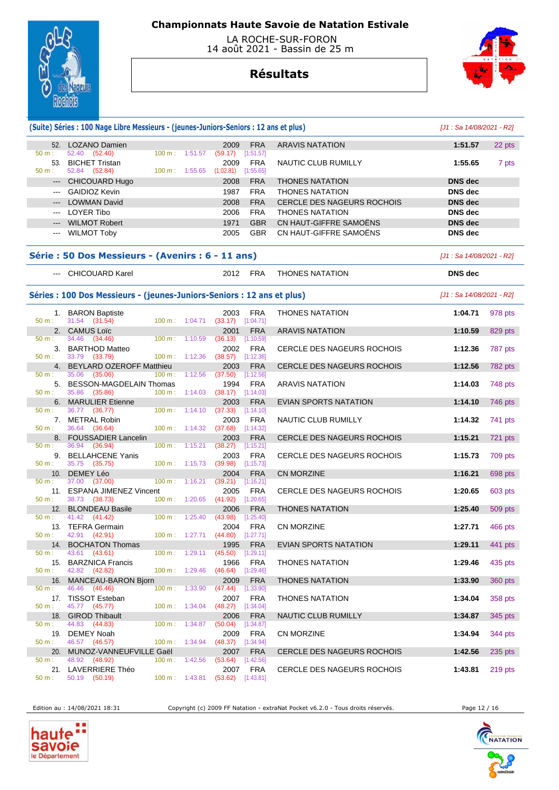

 LA ROCHE-SUR-FORON 14 août 2021 - Bassin de 25 m

## **Résultats**



|                        | (Suite) Séries : 100 Nage Libre Messieurs - (jeunes-Juniors-Seniors : 12 ans et plus) |           |                          |                                           |                           |                                   | $[J1: Sa 14/08/2021 - R2]$ |           |
|------------------------|---------------------------------------------------------------------------------------|-----------|--------------------------|-------------------------------------------|---------------------------|-----------------------------------|----------------------------|-----------|
|                        | 52. LOZANO Damien                                                                     |           |                          | 2009                                      | <b>FRA</b>                | <b>ARAVIS NATATION</b>            | 1:51.57                    | 22 pts    |
| 50 m:<br>53.           | 52.40<br>(52.40)<br><b>BICHET Tristan</b>                                             |           | 100 m: 1:51.57           | (59.17)<br>2009                           | [1:51.57]<br><b>FRA</b>   | NAUTIC CLUB RUMILLY               | 1:55.65                    |           |
| 50 m:                  | 52.84 (52.84)                                                                         |           | 100 m: 1:55.65           | (1:02.81)                                 | [1:55.65]                 |                                   |                            | 7 pts     |
| $\qquad \qquad - - -$  | <b>CHICOUARD Hugo</b>                                                                 |           |                          | 2008                                      | <b>FRA</b>                | <b>THONES NATATION</b>            | <b>DNS</b> dec             |           |
| $- - -$                | <b>GAIDIOZ Kevin</b>                                                                  |           |                          | 1987                                      | <b>FRA</b>                | <b>THONES NATATION</b>            | DNS dec                    |           |
| ---                    | <b>LOWMAN David</b>                                                                   |           |                          | 2008                                      | <b>FRA</b>                | <b>CERCLE DES NAGEURS ROCHOIS</b> | <b>DNS dec</b>             |           |
| $\qquad \qquad \cdots$ | LOYER Tibo                                                                            |           |                          | 2006                                      | <b>FRA</b>                | <b>THONES NATATION</b>            | <b>DNS</b> dec             |           |
| $---$                  | <b>WILMOT Robert</b>                                                                  |           |                          | 1971                                      | <b>GBR</b>                | CN HAUT-GIFFRE SAMOËNS            | <b>DNS</b> dec             |           |
| $---$                  | <b>WILMOT Toby</b>                                                                    |           |                          | 2005                                      | <b>GBR</b>                | CN HAUT-GIFFRE SAMOËNS            | <b>DNS</b> dec             |           |
|                        | Série : 50 Dos Messieurs - (Avenirs : 6 - 11 ans)                                     |           |                          |                                           |                           |                                   | [J1 : Sa 14/08/2021 - R2]  |           |
|                        | --- CHICOUARD Karel                                                                   |           |                          | 2012                                      | FRA                       | <b>THONES NATATION</b>            | <b>DNS</b> dec             |           |
|                        | Séries : 100 Dos Messieurs - (jeunes-Juniors-Seniors : 12 ans et plus)                |           |                          |                                           |                           |                                   | [J1 : Sa 14/08/2021 - R2]  |           |
| 50 m:                  | 1. BARON Baptiste<br>31.54 (31.54)                                                    |           | $100 \text{ m}: 1:04.71$ | 2003<br>(33.17)                           | <b>FRA</b><br>[1:04.71]   | <b>THONES NATATION</b>            | 1:04.71                    | 978 pts   |
|                        | 2. CAMUS Loïc                                                                         |           |                          | 2001                                      | <b>FRA</b>                | <b>ARAVIS NATATION</b>            | 1:10.59                    | 829 pts   |
| 50 m :<br>3.           | 34.46<br>(34.46)<br><b>BARTHOD Matteo</b>                                             |           | $100 \text{ m}: 1:10.59$ | (36.13)<br>2002                           | [1:10.59]<br><b>FRA</b>   | CERCLE DES NAGEURS ROCHOIS        | 1:12.36                    | 787 pts   |
| 50 m:                  | 33.79 (33.79)                                                                         |           | $100 \text{ m}: 1:12.36$ | (38.57)                                   | [1:12.36]                 |                                   |                            |           |
| 4.                     | <b>BEYLARD OZEROFF Matthieu</b>                                                       |           |                          | 2003                                      | <b>FRA</b>                | CERCLE DES NAGEURS ROCHOIS        | 1:12.56                    | 782 pts   |
| 50 m:<br>5.            | 35.06 (35.06)<br><b>BESSON-MAGDELAIN Thomas</b>                                       | 100 m:    | 1:12.56                  | (37.50)<br>1994                           | [1:12.56]<br><b>FRA</b>   | <b>ARAVIS NATATION</b>            | 1:14.03                    | 748 pts   |
| $50 m$ :               | 35.86 (35.86)                                                                         |           | 100 m: 1:14.03           | (38.17)                                   | [1:14.03]                 |                                   |                            |           |
| 6.<br>50 m:            | <b>MARULIER Etienne</b><br>36.77 (36.77)                                              |           | $100 \text{ m}: 1:14.10$ | 2003<br>(37.33)                           | <b>FRA</b><br>[1:14.10]   | <b>EVIAN SPORTS NATATION</b>      | 1:14.10                    | 746 pts   |
| 50 m:                  | 7. METRAL Robin<br>36.64 (36.64)                                                      |           | $100 \text{ m}: 1:14.32$ | 2003<br>(37.68)                           | <b>FRA</b><br>[1:14.32]   | NAUTIC CLUB RUMILLY               | 1:14.32                    | 741 pts   |
| 8.                     | <b>FOUSSADIER Lancelin</b>                                                            |           |                          | 2003                                      | <b>FRA</b>                | CERCLE DES NAGEURS ROCHOIS        | 1:15.21                    | 721 pts   |
| 50 m:                  | 36.94<br>(36.94)                                                                      |           | $100 \text{ m}: 1:15.21$ | (38.27)                                   | [1:15.21]                 |                                   |                            |           |
| 9.<br>50 m:            | <b>BELLAHCENE Yanis</b><br>35.75 (35.75)                                              |           | $100 \text{ m}: 1:15.73$ | 2003<br>(39.98)                           | <b>FRA</b><br>[1:15.73]   | CERCLE DES NAGEURS ROCHOIS        | 1:15.73                    | 709 pts   |
| 10.                    | DEMEY Léo                                                                             |           |                          | 2004                                      | <b>FRA</b>                | <b>CN MORZINE</b>                 | 1:16.21                    | 698 pts   |
| 50 m:                  | 37.00 (37.00)                                                                         |           | 100 m: 1:16.21           | (39.21)                                   | [1:16.21]                 |                                   |                            |           |
| 50 m:                  | 11. ESPANA JIMENEZ Vincent<br>38.73 (38.73)                                           |           | $100 \text{ m}: 1:20.65$ | 2005<br>(41.92)                           | <b>FRA</b><br>$[1:20.65]$ | CERCLE DES NAGEURS ROCHOIS        | 1:20.65                    | 603 pts   |
| 12.                    | <b>BLONDEAU Basile</b>                                                                |           |                          | 2006                                      | <b>FRA</b>                | <b>THONES NATATION</b>            | 1:25.40                    | 509 pts   |
| 50 m:                  | 41.42 (41.42)                                                                         |           | 100 m: 1:25.40           | (43.98)                                   | [1:25.40]                 |                                   |                            |           |
|                        | 13. TEFRA Germain<br>50 m : 42.91 (42.91)                                             |           |                          | 2004<br>100 m : 1:27.71 (44.80) [1:27.71] | <b>FRA</b>                | <b>CN MORZINE</b>                 | 1:27.71                    | 466 pts   |
| 14.                    | <b>BOCHATON Thomas</b>                                                                |           |                          | 1995                                      | <b>FRA</b>                | <b>EVIAN SPORTS NATATION</b>      | 1:29.11                    | 441 pts   |
| 50 m :                 | 43.61<br>(43.61)                                                                      |           | 100 m: 1:29.11           | (45.50)                                   | [1:29.11]                 |                                   |                            |           |
| 15.<br>50 m:           | <b>BARZNICA Francis</b><br>42.82 (42.82)                                              |           | $100 \text{ m}: 1:29.46$ | 1966<br>(46.64)                           | <b>FRA</b><br>[1:29.46]   | <b>THONES NATATION</b>            | 1:29.46                    | 435 pts   |
| 16.                    | MANCEAU-BARON Bjorn                                                                   |           |                          | 2009                                      | <b>FRA</b>                | <b>THONES NATATION</b>            | 1:33.90                    | 360 pts   |
| $50 m$ :               | 46.46<br>(46.46)                                                                      | $100 m$ : | 1:33.90                  | (47.44)                                   | [1:33.90]                 |                                   |                            |           |
| 50 m:                  | 17. TISSOT Esteban<br>45.77 (45.77)                                                   |           | 100 m: 1:34.04           | 2007<br>$(48.27)$ [1:34.04]               | <b>FRA</b>                | <b>THONES NATATION</b>            | 1:34.04                    | 358 pts   |
| 18.                    | <b>GIROD Thibault</b>                                                                 |           |                          | 2006                                      | <b>FRA</b>                | NAUTIC CLUB RUMILLY               | 1:34.87                    | 345 pts   |
| 50 m:                  | 44.83 (44.83)<br>DEMEY Noah                                                           |           | $100 \text{ m}: 1:34.87$ | (50.04)                                   | [1:34.87]<br><b>FRA</b>   |                                   |                            |           |
| 19.<br>50 m:           | 46.57 (46.57)                                                                         |           | $100 \text{ m}: 1:34.94$ | 2009<br>(48.37)                           | $[1:34.94]$               | CN MORZINE                        | 1:34.94                    | 344 pts   |
| 20.                    | MUNOZ-VANNEUFVILLE Gaël                                                               |           |                          | 2007                                      | <b>FRA</b>                | <b>CERCLE DES NAGEURS ROCHOIS</b> | 1:42.56                    | $235$ pts |
| 50 m:                  | 48.92<br>(48.92)                                                                      |           | $100 \text{ m}: 1:42.56$ | (53.64)                                   | [1:42.56]                 |                                   |                            |           |
| 50 m:                  | 21. LAVERRIERE Théo<br>50.19<br>(50.19)                                               |           | 100 m: 1:43.81           | 2007<br>(53.62)                           | <b>FRA</b><br>[1:43.81]   | CERCLE DES NAGEURS ROCHOIS        | 1:43.81                    | 219 pts   |

haute Savoie

Edition au : 14/08/2021 18:31 Copyright (c) 2009 FF Natation - extraNat Pocket v6.2.0 - Tous droits réservés. Page 12 / 16



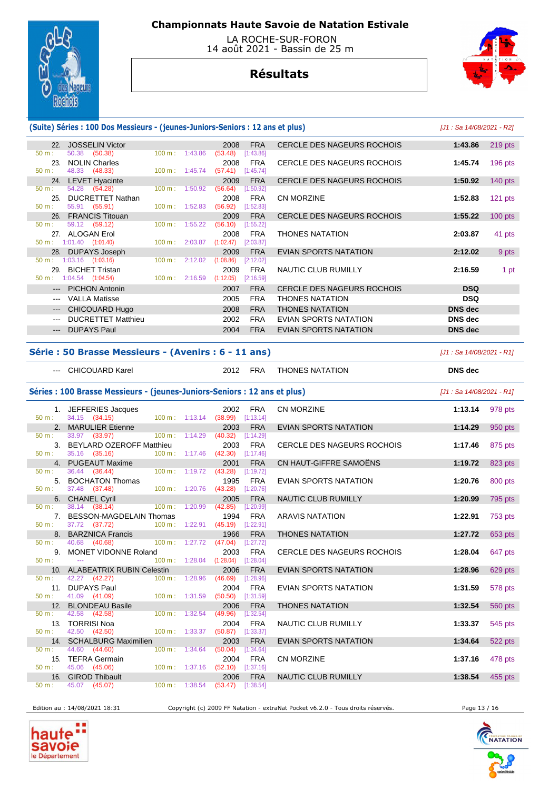

 LA ROCHE-SUR-FORON 14 août 2021 - Bassin de 25 m

# **Résultats**



### **(Suite) Séries : 100 Dos Messieurs - (jeunes-Juniors-Seniors : 12 ans et plus)** [J1 : Sa 14/08/2021 - R2]

|                        | 22. JOSSELIN Victor                 |                   |                          | 2008                             | <b>FRA</b> | CERCLE DES NAGEURS ROCHOIS        | 1:43.86        | $219$ pts |
|------------------------|-------------------------------------|-------------------|--------------------------|----------------------------------|------------|-----------------------------------|----------------|-----------|
| 50 m:                  | 50.38 (50.38)                       |                   | $100 \text{ m}: 1:43.86$ | (53.48)                          | [1:43.86]  |                                   |                |           |
| 23.                    | <b>NOLIN Charles</b>                |                   |                          | 2008                             | FRA        | CERCLE DES NAGEURS ROCHOIS        | 1:45.74        | $196$ pts |
| $50 m$ :               | 48.33 (48.33)                       |                   |                          | 100 m: 1:45.74 (57.41) [1:45.74] |            |                                   |                |           |
|                        | 24. LEVET Hyacinte                  |                   |                          | 2009                             | <b>FRA</b> | <b>CERCLE DES NAGEURS ROCHOIS</b> | 1:50.92        | $140$ pts |
| $50 m$ :               | 54.28 (54.28)                       |                   | 100 m: 1:50.92           | (56.64)                          | [1:50.92]  |                                   |                |           |
| 25.                    | DUCRETTET Nathan                    |                   |                          | 2008                             | FRA        | <b>CN MORZINE</b>                 | 1:52.83        | $121$ pts |
| $50 m$ :               | 55.91 (55.91)                       |                   | $100 \text{ m}: 1:52.83$ | (56.92)                          | [1:52.83]  |                                   |                |           |
|                        | 26. FRANCIS Titouan                 |                   |                          | 2009                             | <b>FRA</b> | <b>CERCLE DES NAGEURS ROCHOIS</b> | 1:55.22        | $100$ pts |
| $50 m$ :               | 59.12 (59.12)                       |                   | 100 m: 1:55.22           | (56.10)                          | [1:55.22]  |                                   |                |           |
|                        | 27. ALOGAN Erol                     |                   |                          | 2008                             | <b>FRA</b> | <b>THONES NATATION</b>            | 2:03.87        | 41 pts    |
|                        | $50 \text{ m}: 1:01.40$ $(1:01.40)$ |                   | 100 m: 2:03.87           | (1:02.47)                        | [2:03.87]  |                                   |                |           |
|                        | 28. DUPAYS Joseph                   |                   |                          | 2009                             | <b>FRA</b> | <b>EVIAN SPORTS NATATION</b>      | 2:12.02        | 9 pts     |
| 50 m:                  | $1:03.16$ $(1:03.16)$               | $100 \text{ m}$ : | 2:12.02                  | (1:08.86)                        | [2:12.02]  |                                   |                |           |
| 29.                    | <b>BICHET Tristan</b>               |                   |                          | 2009                             | <b>FRA</b> | NAUTIC CLUB RUMILLY               | 2:16.59        | 1 pt      |
| $50 m$ :               | 1:04.54 (1:04.54)                   | 100 m: 2:16.59    |                          | (1:12.05)                        | [2:16.59]  |                                   |                |           |
|                        | --- PICHON Antonin                  |                   |                          | 2007                             | <b>FRA</b> | CERCLE DES NAGEURS ROCHOIS        | <b>DSQ</b>     |           |
|                        | <b>VALLA Matisse</b>                |                   |                          | 2005                             | <b>FRA</b> | <b>THONES NATATION</b>            | <b>DSQ</b>     |           |
| $\qquad \qquad \cdots$ | CHICOUARD Hugo                      |                   |                          | 2008                             | <b>FRA</b> | <b>THONES NATATION</b>            | <b>DNS</b> dec |           |
|                        | <b>DUCRETTET Matthieu</b>           |                   |                          | 2002                             | <b>FRA</b> | EVIAN SPORTS NATATION             | <b>DNS</b> dec |           |
| $---$                  | <b>DUPAYS Paul</b>                  |                   |                          | 2004                             | <b>FRA</b> | EVIAN SPORTS NATATION             | <b>DNS</b> dec |           |
|                        |                                     |                   |                          |                                  |            |                                   |                |           |

#### **Série : 50 Brasse Messieurs - (Avenirs : 6 - 11 ans)** [J1 : Sa 14/08/2021 - R1]

|          | --- CHICOUARD Karel                                                     |                                    | 2012                | FRA                     | <b>THONES NATATION</b>            | <b>DNS</b> dec            |         |
|----------|-------------------------------------------------------------------------|------------------------------------|---------------------|-------------------------|-----------------------------------|---------------------------|---------|
|          | Séries: 100 Brasse Messieurs - (jeunes-Juniors-Seniors: 12 ans et plus) |                                    |                     |                         |                                   | [J1 : Sa 14/08/2021 - R1] |         |
| $50 m$ : | 1. JEFFERIES Jacques<br>34.15 (34.15)                                   | 100 m: 1:13.14 (38.99) [1:13.14]   | 2002                | <b>FRA</b>              | CN MORZINE                        | 1:13.14                   | 978 pts |
|          | 2. MARULIER Etienne                                                     |                                    | 2003                | <b>FRA</b>              | <b>EVIAN SPORTS NATATION</b>      | 1:14.29                   | 950 pts |
| 50 m:    | 33.97 (33.97)<br>$100 \text{ m}: 1:14.29$                               |                                    | $(40.32)$ [1:14.29] |                         |                                   |                           |         |
| 50 m:    | 3. BEYLARD OZEROFF Matthieu<br>35.16 (35.16)                            | 100 m: 1:17.46 (42.30) [1:17.46]   | 2003                | <b>FRA</b>              | <b>CERCLE DES NAGEURS ROCHOIS</b> | 1:17.46                   | 875 pts |
|          | 4. PUGEAUT Maxime                                                       |                                    | 2001                | <b>FRA</b>              | CN HAUT-GIFFRE SAMOËNS            | 1:19.72                   | 823 pts |
| 50 m:    | 36.44 (36.44)<br>100 m: 1:19.72                                         |                                    | (43.28)             | [1:19.72]               |                                   |                           |         |
|          | 5. BOCHATON Thomas                                                      |                                    | 1995                | <b>FRA</b>              | <b>EVIAN SPORTS NATATION</b>      | 1:20.76                   | 800 pts |
| $50 m$ : | 37.48 (37.48)<br>100 m: 1:20.76                                         |                                    | (43.28)             | [1:20.76]               |                                   |                           |         |
|          | 6. CHANEL Cyril                                                         |                                    | 2005                | <b>FRA</b>              | NAUTIC CLUB RUMILLY               | 1:20.99                   | 795 pts |
| $50 m$ : | 38.14 (38.14)<br>$100 \text{ m}$ : $1:20.99$                            |                                    | (42.85)             | [1:20.99]               |                                   |                           |         |
| 50 m:    | 7. BESSON-MAGDELAIN Thomas<br>37.72 (37.72)                             | 100 m: 1:22.91 (45.19) [1:22.91]   | 1994                | <b>FRA</b>              | <b>ARAVIS NATATION</b>            | 1:22.91                   | 753 pts |
|          | 8. BARZNICA Francis                                                     |                                    | 1966                | <b>FRA</b>              | <b>THONES NATATION</b>            | 1:27.72                   | 653 pts |
| 50 m:    | 40.68 (40.68)                                                           | 100 m: 1:27.72 (47.04) [1:27.72]   |                     |                         |                                   |                           |         |
|          | 9. MONET VIDONNE Roland                                                 |                                    | 2003                | <b>FRA</b>              | CERCLE DES NAGEURS ROCHOIS        | 1:28.04                   | 647 pts |
| $50 m$ : | $\sim$ $\sim$                                                           | 100 m: 1:28.04 (1:28.04) [1:28.04] |                     |                         |                                   |                           |         |
|          | 10. ALABEATRIX RUBIN Celestin                                           |                                    | 2006                | <b>FRA</b>              | <b>EVIAN SPORTS NATATION</b>      | 1:28.96                   | 629 pts |
| $50 m$ : | 100 m: 1:28.96<br>42.27 (42.27)                                         |                                    | (46.69)             | [1:28.96]               |                                   |                           |         |
|          | 11. DUPAYS Paul                                                         |                                    | 2004                | <b>FRA</b>              | <b>EVIAN SPORTS NATATION</b>      | 1:31.59                   | 578 pts |
| $50 m$ : | 41.09 (41.09)<br>100 m: 1:31.59                                         |                                    | $(50.50)$ [1:31.59] |                         |                                   |                           |         |
| 50 m:    | 12. BLONDEAU Basile<br>42.58 (42.58)<br>100 m: 1:32.54                  |                                    | 2006<br>(49.96)     | <b>FRA</b><br>[1:32.54] | <b>THONES NATATION</b>            | 1:32.54                   | 560 pts |
|          | 13. TORRISI Noa                                                         |                                    | 2004                | <b>FRA</b>              | NAUTIC CLUB RUMILLY               | 1:33.37                   | 545 pts |
| 50 m:    | 42.50 (42.50)<br>$100 \text{ m}: 1:33.37$                               |                                    | $(50.87)$ [1:33.37] |                         |                                   |                           |         |
|          | 14. SCHALBURG Maximilien                                                |                                    | 2003                | <b>FRA</b>              | <b>EVIAN SPORTS NATATION</b>      | 1:34.64                   | 522 pts |
| 50 m:    | 44.60 (44.60)<br>100 m: 1:34.64                                         |                                    | (50.04)             | [1:34.64]               |                                   |                           |         |
|          | 15. TEFRA Germain                                                       |                                    | 2004                | <b>FRA</b>              | CN MORZINE                        | 1:37.16                   | 478 pts |
| 50 m:    | 45.06 (45.06)<br>100 m: 1:37.16                                         |                                    | $(52.10)$ [1:37.16] |                         |                                   |                           |         |
|          | 16. GIROD Thibault                                                      |                                    | 2006                | <b>FRA</b>              | <b>NAUTIC CLUB RUMILLY</b>        | 1:38.54                   | 455 pts |
| $50 m$ : | 100 m: 1:38.54<br>45.07 (45.07)                                         |                                    | (53.47)             | [1:38.54]               |                                   |                           |         |

Edition au : 14/08/2021 18:31 Copyright (c) 2009 FF Natation - extraNat Pocket v6.2.0 - Tous droits réservés. Page 13 / 16





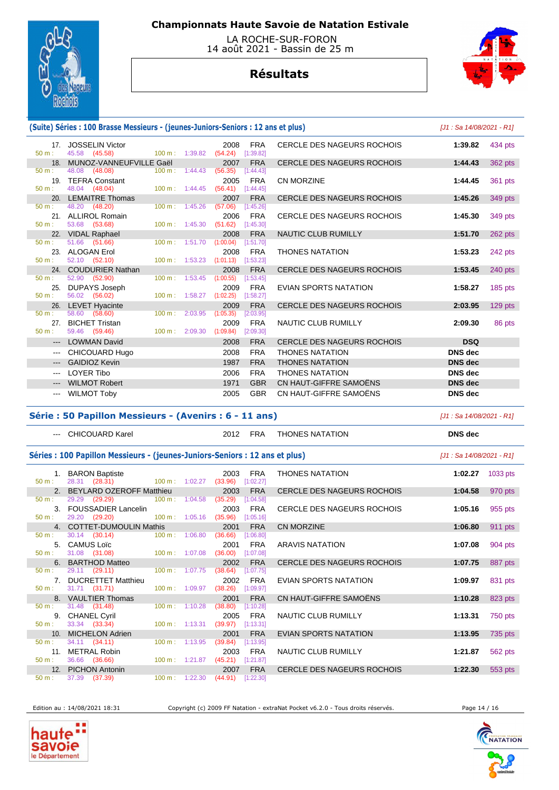

 LA ROCHE-SUR-FORON 14 août 2021 - Bassin de 25 m

# **Résultats**



### **(Suite) Séries : 100 Brasse Messieurs - (jeunes-Juniors-Seniors : 12 ans et plus)** [J1 : Sa 14/08/2021 - R1]

| 17 <sub>1</sub><br>$50 m$ : | <b>JOSSELIN Victor</b><br>45.58 (45.58)<br>$100 \text{ m}: 1:39.82$ |         | <b>FRA</b><br>2008<br>(54.24)<br>[1:39.82]   | CERCLE DES NAGEURS ROCHOIS        | 1:39.82        | 434 pts |
|-----------------------------|---------------------------------------------------------------------|---------|----------------------------------------------|-----------------------------------|----------------|---------|
| 18 <sub>1</sub>             | MUNOZ-VANNEUFVILLE Gaël                                             |         | <b>FRA</b><br>2007                           | <b>CERCLE DES NAGEURS ROCHOIS</b> | 1:44.43        | 362 pts |
| $50 m$ :                    | 48.08 (48.08)<br>$100 \text{ m}$ :                                  | 1:44.43 | (56.35)<br>[1:44.43]                         |                                   |                |         |
| 19.                         | <b>TEFRA Constant</b>                                               |         | <b>FRA</b><br>2005                           | CN MORZINE                        | 1:44.45        | 361 pts |
| $50 m$ :                    | 48.04 (48.04)<br>$100 \text{ m}: 1:44.45$                           |         | (56.41)<br>[1:44.45]                         |                                   |                |         |
| 20 <sub>1</sub>             | <b>LEMAITRE Thomas</b>                                              |         | 2007<br><b>FRA</b>                           | <b>CERCLE DES NAGEURS ROCHOIS</b> | 1:45.26        | 349 pts |
| $50 m$ :                    | 48.20 (48.20)<br>$100 \text{ m}$ :                                  | 1:45.26 | (57.06)<br>[1:45.26]                         |                                   |                |         |
|                             | 21. ALLIROL Romain                                                  |         | <b>FRA</b><br>2006                           | <b>CERCLE DES NAGEURS ROCHOIS</b> | 1:45.30        | 349 pts |
| $50 m$ :                    | 53.68 (53.68)<br>$100 m$ : 1:45.30                                  |         | (51.62)<br>[1:45.30]                         |                                   |                |         |
|                             | 22. VIDAL Raphael                                                   |         | 2008<br><b>FRA</b>                           | <b>NAUTIC CLUB RUMILLY</b>        | 1:51.70        | 262 pts |
| $50 m$ :                    | 51.66 (51.66)<br>100 m: 1:51.70                                     |         | (1:00.04)<br>[1:51.70]                       |                                   |                |         |
| 23.<br>$50 m$ :             | <b>ALOGAN Erol</b>                                                  |         | <b>FRA</b><br>2008                           | <b>THONES NATATION</b>            | 1:53.23        | 242 pts |
|                             | 52.10 (52.10)<br>100 m: 1:53.23                                     |         | (1:01.13)<br>[1:53.23]                       |                                   |                |         |
| $50 m$ :                    | 24. COUDURIER Nathan<br>52.90 (52.90)<br>$100 m$ : 1:53.45          |         | 2008<br><b>FRA</b><br>[1:53.45]<br>(1:00.55) | <b>CERCLE DES NAGEURS ROCHOIS</b> | 1:53.45        | 240 pts |
| 25.                         | <b>DUPAYS Joseph</b>                                                |         | 2009<br><b>FRA</b>                           | <b>EVIAN SPORTS NATATION</b>      | 1:58.27        | 185 pts |
| $50 m$ :                    | 56.02 (56.02)<br>100 m: 1:58.27                                     |         | (1:02.25)<br>[1:58.27]                       |                                   |                |         |
|                             | 26. LEVET Hyacinte                                                  |         | <b>FRA</b><br>2009                           | <b>CERCLE DES NAGEURS ROCHOIS</b> | 2:03.95        | 129 pts |
| $50 m$ :                    | 58.60 (58.60)<br>$100 \text{ m}$ :                                  | 2:03.95 | (1:05.35)<br>[2:03.95]                       |                                   |                |         |
|                             | 27. BICHET Tristan                                                  |         | <b>FRA</b><br>2009                           | <b>NAUTIC CLUB RUMILLY</b>        | 2:09.30        | 86 pts  |
| $50 m$ :                    | $100 \text{ m}$ : 2:09.30<br>59.46 (59.46)                          |         | (1:09.84)<br>[2:09.30]                       |                                   |                |         |
|                             | <b>LOWMAN David</b>                                                 |         | <b>FRA</b><br>2008                           | <b>CERCLE DES NAGEURS ROCHOIS</b> | <b>DSQ</b>     |         |
| $\qquad \qquad \cdots$      | CHICOUARD Hugo                                                      |         | 2008<br><b>FRA</b>                           | <b>THONES NATATION</b>            | <b>DNS</b> dec |         |
|                             | <b>GAIDIOZ Kevin</b>                                                |         | <b>FRA</b><br>1987                           | <b>THONES NATATION</b>            | <b>DNS</b> dec |         |
| $\cdots$                    | <b>LOYER Tibo</b>                                                   |         | 2006<br><b>FRA</b>                           | <b>THONES NATATION</b>            | <b>DNS</b> dec |         |
| $\qquad \qquad - -$         | <b>WILMOT Robert</b>                                                |         | <b>GBR</b><br>1971                           | CN HAUT-GIFFRE SAMOËNS            | <b>DNS</b> dec |         |
|                             | <b>WILMOT Toby</b>                                                  |         | <b>GBR</b><br>2005                           | CN HAUT-GIFFRE SAMOËNS            | <b>DNS</b> dec |         |
|                             |                                                                     |         |                                              |                                   |                |         |

### **Série : 50 Papillon Messieurs - (Avenirs : 6 - 11 ans)** [J1 : Sa 14/08/2021 - R1]

### Séries : 100 Papillon Messieurs - (jeunes-Juniors-Seniors : 12 ans et plus) **[J1 : Sa 14/08/2021 - R1]**

| $50 m$ : | 1. BARON Baptiste<br>28.31 (28.31) 100 m : 1:02.27 |                             | 2003<br>(33.96) | <b>FRA</b><br>[1:02.27] | <b>THONES NATATION</b>            | 1:02.27 | 1033 pts |
|----------|----------------------------------------------------|-----------------------------|-----------------|-------------------------|-----------------------------------|---------|----------|
|          | 2. BEYLARD OZEROFF Matthieu                        |                             | 2003            | <b>FRA</b>              | <b>CERCLE DES NAGEURS ROCHOIS</b> | 1:04.58 | 970 pts  |
| $50 m$ : | 29.29 (29.29)                                      | $100 \text{ m}$ : 1:04.58   | (35.29)         | [1:04.58]               |                                   |         |          |
|          | 3. FOUSSADIER Lancelin                             |                             | 2003            | <b>FRA</b>              | <b>CERCLE DES NAGEURS ROCHOIS</b> | 1:05.16 | 955 pts  |
| $50 m$ : | 29.20 (29.20)                                      | $100 \text{ m}$ : 1:05.16   | (35.96)         | [1:05.16]               |                                   |         |          |
|          | 4. COTTET-DUMOULIN Mathis                          |                             | 2001            | <b>FRA</b>              | <b>CN MORZINE</b>                 | 1:06.80 | 911 pts  |
| $50 m$ : | $30.14$ $(30.14)$                                  | $100 \text{ m}$ : $1:06.80$ | (36.66)         | [1:06.80]               |                                   |         |          |
|          | 5. CAMUS Loïc                                      |                             | 2001            | <b>FRA</b>              | <b>ARAVIS NATATION</b>            | 1:07.08 | 904 pts  |
| $50 m$ : | 31.08 (31.08)                                      | $100 \text{ m}$ : 1:07.08   | (36.00)         | [1:07.08]               |                                   |         |          |
|          | 6. BARTHOD Matteo                                  |                             | 2002            | <b>FRA</b>              | <b>CERCLE DES NAGEURS ROCHOIS</b> | 1:07.75 | 887 pts  |
| $50 m$ : | 29.11 (29.11)                                      | 100 m: 1:07.75              | (38.64)         | [1:07.75]               |                                   |         |          |
|          | 7. DUCRETTET Matthieu                              |                             | 2002            | <b>FRA</b>              | EVIAN SPORTS NATATION             | 1:09.97 | 831 pts  |
| $50 m$ : | 31.71 (31.71)                                      | 100 m: 1:09.97              | (38.26)         | [1:09.97]               |                                   |         |          |
|          | 8. VAULTIER Thomas                                 |                             | 2001            | <b>FRA</b>              | CN HAUT-GIFFRE SAMOËNS            | 1:10.28 | 823 pts  |
| 50 m:    | 31.48 (31.48)                                      | $100 \text{ m}$ : 1:10.28   | (38.80)         | [1:10.28]               |                                   |         |          |
|          | 9. CHANEL Cyril                                    |                             | 2005            | <b>FRA</b>              | NAUTIC CLUB RUMILLY               | 1:13.31 | 750 pts  |
| $50 m$ : | 33.34 (33.34)                                      | 100 m: 1:13.31              | (39.97)         | [1:13.31]               |                                   |         |          |
|          | 10. MICHELON Adrien                                |                             | 2001            | <b>FRA</b>              | EVIAN SPORTS NATATION             | 1:13.95 | 735 pts  |
| 50 m:    | 34.11 (34.11)                                      | $100 \text{ m}: 1:13.95$    | (39.84)         | [1:13.95]               |                                   |         |          |
|          | 11. METRAL Robin                                   |                             | 2003            | <b>FRA</b>              | NAUTIC CLUB RUMILLY               | 1:21.87 | 562 pts  |
| 50 m:    | 36.66 (36.66)                                      | 100 m: 1:21.87              | (45.21)         | [1:21.87]               |                                   |         |          |
|          | 12. PICHON Antonin                                 |                             | 2007            | <b>FRA</b>              | <b>CERCLE DES NAGEURS ROCHOIS</b> | 1:22.30 | 553 pts  |
| $50 m$ : | 37.39 (37.39)                                      | $100 \text{ m}: 1:22.30$    | (44.91)         | [1:22.30]               |                                   |         |          |

--- CHICOUARD Karel 2012 FRA THONES NATATION **DNS dec** 

Edition au : 14/08/2021 18:31 Copyright (c) 2009 FF Natation - extraNat Pocket v6.2.0 - Tous droits réservés. Page 14 / 16





h

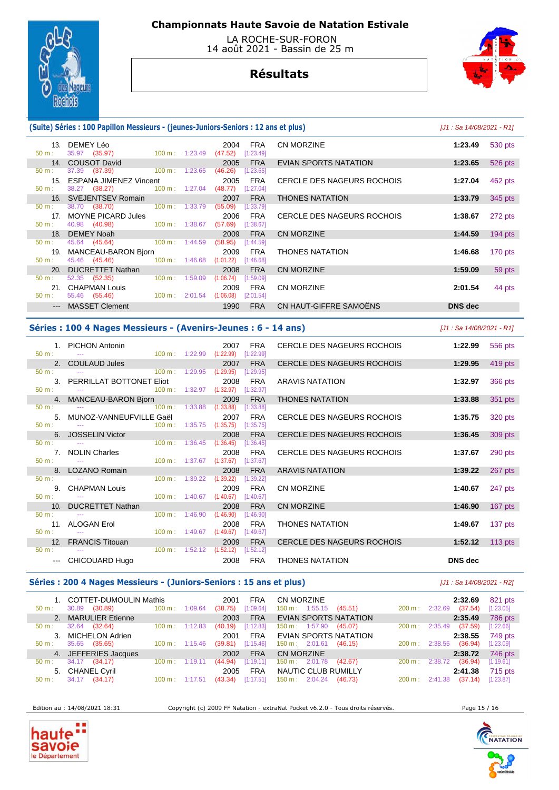

 LA ROCHE-SUR-FORON 14 août 2021 - Bassin de 25 m

# **Résultats**



### **(Suite) Séries : 100 Papillon Messieurs - (jeunes-Juniors-Seniors : 12 ans et plus)** [J1 : Sa 14/08/2021 - R1]

| $50 m$ :         | 13. DEMEY Léo<br>35.97 (35.97)             | $100 \text{ m}: 1:23.49$  |         | 2004<br>(47.52) | FRA<br>[1:23.49] | CN MORZINE                 | 1:23.49        | 530 pts   |
|------------------|--------------------------------------------|---------------------------|---------|-----------------|------------------|----------------------------|----------------|-----------|
|                  | 14. COUSOT David                           |                           |         | 2005            | <b>FRA</b>       | EVIAN SPORTS NATATION      | 1:23.65        | 526 pts   |
| 50 m:            | 37.39 (37.39)<br>$100 \text{ m}$ : 1:23.65 |                           |         | (46.26)         | [1:23.65]        |                            |                |           |
| 15.              | ESPANA JIMENEZ Vincent                     |                           |         | 2005            | <b>FRA</b>       | CERCLE DES NAGEURS ROCHOIS | 1:27.04        | 462 pts   |
| $50 \text{ m}$ : | 38.27 (38.27)                              | 100 m: 1:27.04            |         | (48.77)         | [1:27.04]        |                            |                |           |
|                  | 16. SVEJENTSEV Romain                      |                           |         | 2007            | <b>FRA</b>       | <b>THONES NATATION</b>     | 1:33.79        | 345 pts   |
| $50 \text{ m}$ : | 38.70 (38.70)                              | $100 \text{ m}$ : 1:33.79 |         | (55.09)         | [1:33.79]        |                            |                |           |
|                  | 17. MOYNE PICARD Jules                     |                           |         | 2006            | <b>FRA</b>       | CERCLE DES NAGEURS ROCHOIS | 1:38.67        | 272 pts   |
| $50 \text{ m}$ : | 40.98 (40.98)                              | $100 \text{ m}$ :         | 1:38.67 | (57.69)         | [1:38.67]        |                            |                |           |
|                  | 18. DEMEY Noah                             |                           |         | 2009            | <b>FRA</b>       | CN MORZINE                 | 1:44.59        | $194$ pts |
| $50 \text{ m}$ : | 45.64 (45.64)                              | $100 \text{ m}$ : 1:44.59 |         | (58.95)         | [1:44.59]        |                            |                |           |
| 19.              | MANCEAU-BARON Bjorn                        |                           |         | 2009            | <b>FRA</b>       | <b>THONES NATATION</b>     | 1:46.68        | 170 pts   |
| $50 \text{ m}$ : | 45.46 (45.46)                              | $100 \text{ m}: 1:46.68$  |         | (1:01.22)       | [1:46.68]        |                            |                |           |
| 20.              | <b>DUCRETTET Nathan</b>                    |                           |         | 2008            | <b>FRA</b>       | CN MORZINE                 | 1:59.09        | 59 pts    |
| $50 \text{ m}$ : | $52.35$ $(52.35)$                          | 100 m: 1:59.09            |         | (1:06.74)       | [1:59.09]        |                            |                |           |
|                  | 21. CHAPMAN Louis                          |                           |         | 2009            | <b>FRA</b>       | <b>CN MORZINE</b>          | 2:01.54        | 44 pts    |
| $50 m$ :         | 55.46 (55.46)                              | $100 \text{ m}: 2:01.54$  |         | (1:06.08)       | [2:01.54]        |                            |                |           |
|                  | --- MASSET Clement                         |                           |         | 1990            | <b>FRA</b>       | CN HAUT-GIFFRE SAMOENS     | <b>DNS</b> dec |           |

#### **Séries : 100 4 Nages Messieurs - (Avenirs-Jeunes : 6 - 14 ans)** [J1 : Sa 14/08/2021 - R1]

| $50 m$ :                       | 1. PICHON Antonin<br>$(1:22.99)$ $(1:22.99)$ |                           |                                      | 2007                      | <b>FRA</b><br>[1:22.99] | CERCLE DES NAGEURS ROCHOIS        | 1:22.99 | 556 pts   |
|--------------------------------|----------------------------------------------|---------------------------|--------------------------------------|---------------------------|-------------------------|-----------------------------------|---------|-----------|
|                                | 2. COULAUD Jules And All Andrew March 2014   |                           |                                      | 2007                      | <b>FRA</b>              | CERCLE DES NAGEURS ROCHOIS        | 1:29.95 | 419 pts   |
| 50 m:                          | $100 \text{ m}$ : 1:29.95                    |                           |                                      | (1:29.95)                 | [1:29.95]               |                                   |         |           |
|                                | 3. PERRILLAT BOTTONET Eliot                  |                           |                                      | 2008                      | <b>FRA</b>              | ARAVIS NATATION                   | 1:32.97 | 366 pts   |
| $50 m:$ $-$                    | $100 \text{ m}: 1:32.97$ $(1:32.97)$         |                           |                                      |                           | [1:32.97]               |                                   |         |           |
|                                |                                              |                           |                                      | 2009                      | <b>FRA</b>              | <b>THONES NATATION</b>            | 1:33.88 |           |
| $50 m$ :                       | 4. MANCEAU-BARON Bjorn                       |                           |                                      |                           |                         |                                   |         | 351 pts   |
|                                |                                              |                           | 100 m: 1:33.88 (1:33.88)             |                           | [1:33.88]               |                                   |         |           |
|                                | 5. MUNOZ-VANNEUFVILLE Gaël                   |                           |                                      | 2007                      | <b>FRA</b>              | CERCLE DES NAGEURS ROCHOIS        | 1:35.75 | 320 pts   |
| $50 m$ :                       |                                              |                           |                                      | 100 m : 1:35.75 (1:35.75) | [1:35.75]               |                                   |         |           |
|                                | 6. JOSSELIN Victor                           |                           |                                      | 2008                      | <b>FRA</b>              | <b>CERCLE DES NAGEURS ROCHOIS</b> | 1:36.45 | 309 pts   |
| 50 m:                          |                                              |                           | $100 \text{ m}: 1:36.45$ $(1:36.45)$ |                           | [1:36.45]               |                                   |         |           |
|                                | 7. NOLIN Charles                             |                           |                                      | 2008                      | FRA                     | CERCLE DES NAGEURS ROCHOIS        | 1:37.67 | 290 pts   |
| $50 \text{ m}$ : $\frac{1}{2}$ |                                              | 100 m : 1:37.67 (1:37.67) |                                      |                           | [1:37.67]               |                                   |         |           |
|                                | 8. LOZANO Romain                             |                           |                                      | 2008                      | <b>FRA</b>              | <b>ARAVIS NATATION</b>            | 1:39.22 | 267 pts   |
| $50 \text{ m}$ :               |                                              | $100 \text{ m}: 1:39.22$  |                                      | (1:39.22)                 | [1:39.22]               |                                   |         |           |
|                                |                                              |                           |                                      |                           |                         |                                   |         |           |
|                                | 9. CHAPMAN Louis                             |                           |                                      | 2009                      | FRA                     | <b>CN MORZINE</b>                 | 1:40.67 | 247 pts   |
| $50 \text{ m}$ : $\frac{1}{2}$ |                                              | $100 m$ : 1:40.67         |                                      | (1:40.67)                 | [1:40.67]               |                                   |         |           |
|                                | 10. DUCRETTET Nathan                         |                           |                                      | 2008                      | <b>FRA</b>              | <b>CN MORZINE</b>                 | 1:46.90 | $167$ pts |
| $50 \text{ m}$ : $\frac{1}{2}$ |                                              | $100 \text{ m}$ : 1:46.90 |                                      | (1:46.90)                 | [1:46.90]               |                                   |         |           |
|                                | 11. ALOGAN Erol                              |                           |                                      | 2008                      | <b>FRA</b>              | <b>THONES NATATION</b>            | 1:49.67 | 137 pts   |
| $50 \text{ m}$ :               | <b>Contract Contract</b>                     |                           | $100 \text{ m}: 1:49.67$ $(1:49.67)$ |                           | [1:49.67]               |                                   |         |           |
|                                | 12. FRANCIS Titouan                          |                           |                                      | 2009                      | <b>FRA</b>              | <b>CERCLE DES NAGEURS ROCHOIS</b> | 1:52.12 | $113$ pts |
| $50 m$ :                       |                                              |                           | $100 \text{ m}: 1:52.12$ $(1:52.12)$ |                           | [1:52.12]               |                                   |         |           |
|                                |                                              |                           |                                      | 2008                      | <b>FRA</b>              | <b>THONES NATATION</b>            | DNS dec |           |
|                                | --- CHICOUARD Hugo                           |                           |                                      |                           |                         |                                   |         |           |

### Séries : 200 4 Nages Messieurs - (Juniors-Seniors : 15 ans et plus) *[J1 : Sa 14/08/2021 - R2]*

 1. COTTET-DUMOULIN Mathis 2001 FRA CN MORZINE **2:32.69** 821 pts 50 m : 30.89 (30.89) 100 m : 1:09.64 (38.75) [1:09.64] 150 m : 1:55.15 (45.51) 200 m : 2:32.69 (37.54) [1:23.05] 2. MARULIER Etienne 2003 FRA EVIAN SPORTS NATATION **2:35.49** 786 pts 50 m : 32.64 (32.64) 100 m : 1:12.83 (40.19) [1:12.83] 150 m : 1:57.90 (45.07) 200 m : 2:35.49 (37.59) [1:22.66] 3. MICHELON Adrien 2001 FRA EVIAN SPORTS NATATION **2:38.55** 749 pts 50 m : 35.65 (35.65) 100 m : 1:15.46 (39.81) [1:15.46] 150 m : 2:01.61 (46.15) 200 m : 2:38.55 (36.94) [1:23.09] 4. JEFFERIES Jacques 2002 FRA CN MORZINE **2:38.72** 746 pts 50 m : 34.17 (34.17) 100 m : 1:19.11 (44.94) [1:19.11] 150 m : 2:01.78 (42.67) 200 m : 2:38.72 (36.94) [1:19.61] 5. CHANEL Cyril 2005 FRA NAUTIC CLUB RUMILLY **2:41.38** 715 pts 150 m : 2:04.24 (46.73)

Edition au : 14/08/2021 18:31 Copyright (c) 2009 FF Natation - extraNat Pocket v6.2.0 - Tous droits réservés. Page 15 / 16